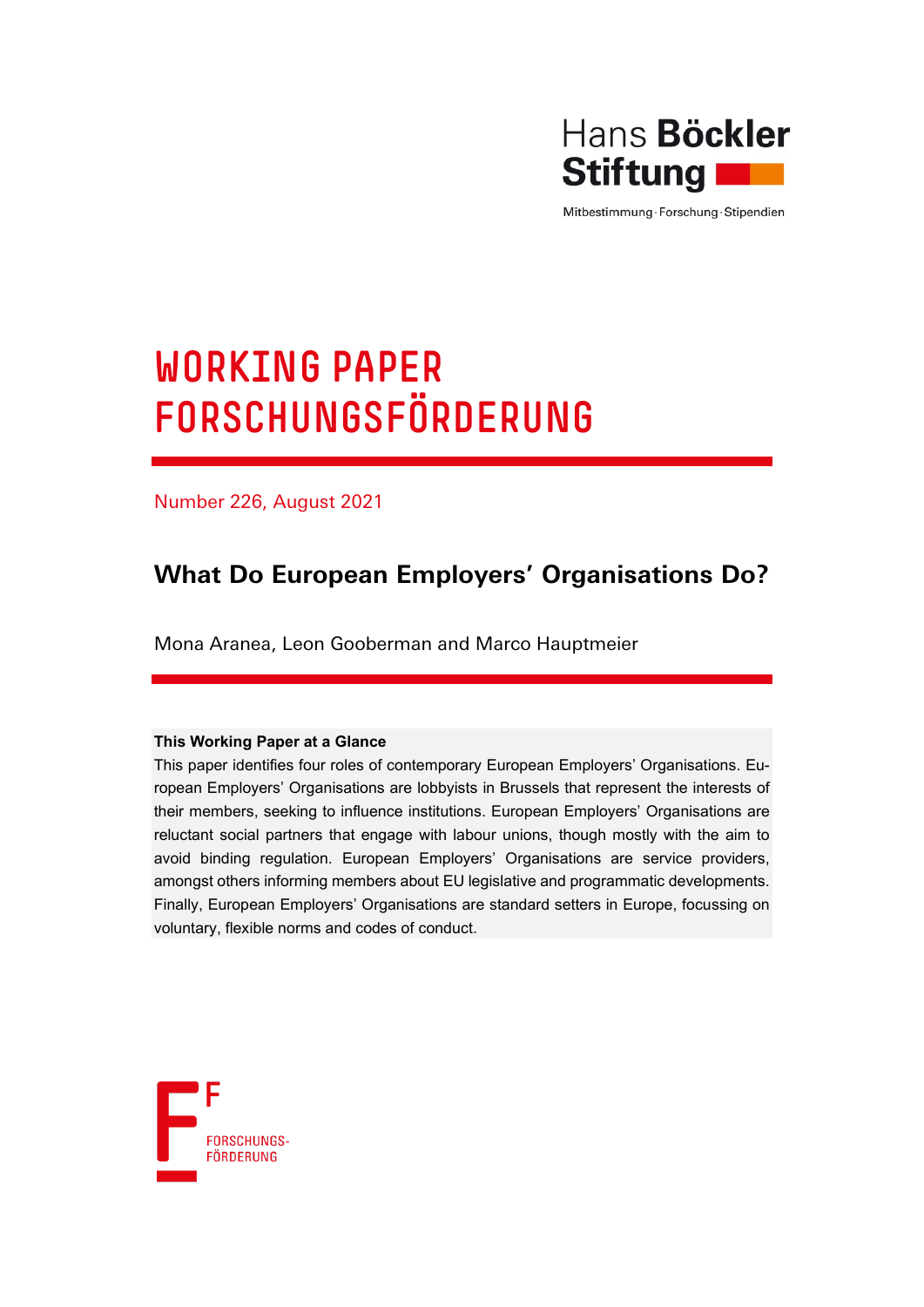

Mitbestimmung · Forschung · Stipendien

# WORKING PAPER FORSCHUNGSFÖRDERUNG

Number 226, August 2021

## **What Do European Employers' Organisations Do?**

Mona Aranea, Leon Gooberman and Marco Hauptmeier

#### **This Working Paper at a Glance**

This paper identifies four roles of contemporary European Employers' Organisations. European Employers' Organisations are lobbyists in Brussels that represent the interests of their members, seeking to influence institutions. European Employers' Organisations are reluctant social partners that engage with labour unions, though mostly with the aim to avoid binding regulation. European Employers' Organisations are service providers, amongst others informing members about EU legislative and programmatic developments. Finally, European Employers' Organisations are standard setters in Europe, focussing on voluntary, flexible norms and codes of conduct.

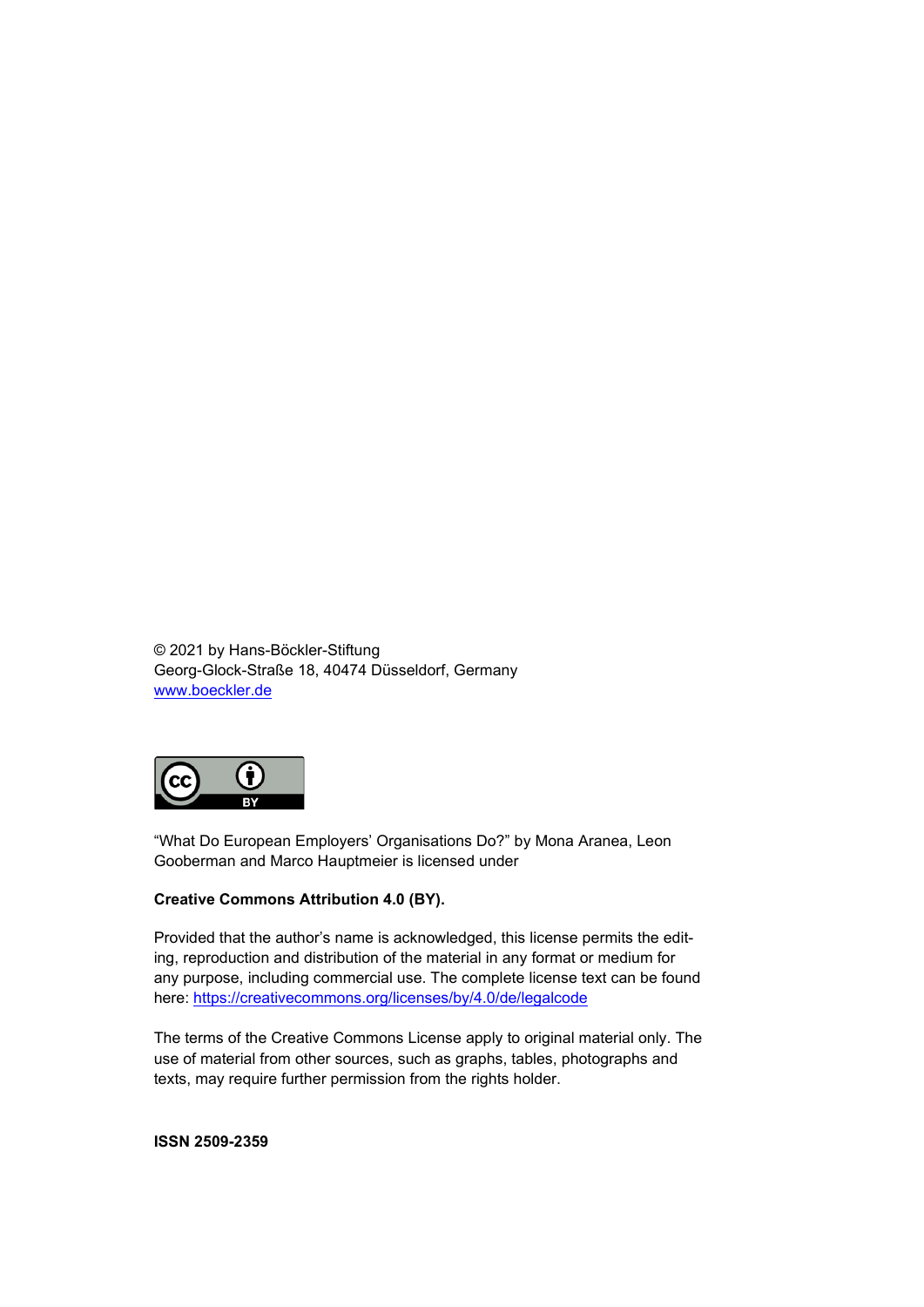© 2021 by Hans-Böckler-Stiftung Georg-Glock-Straße 18, 40474 Düsseldorf, Germany [www.boeckler.de](http://www.boeckler.de/)



"What Do European Employers' Organisations Do?" by Mona Aranea, Leon Gooberman and Marco Hauptmeier is licensed under

#### **Creative Commons Attribution 4.0 (BY).**

Provided that the author's name is acknowledged, this license permits the editing, reproduction and distribution of the material in any format or medium for any purpose, including commercial use. The complete license text can be found here:<https://creativecommons.org/licenses/by/4.0/de/legalcode>

The terms of the Creative Commons License apply to original material only. The use of material from other sources, such as graphs, tables, photographs and texts, may require further permission from the rights holder.

**ISSN 2509-2359**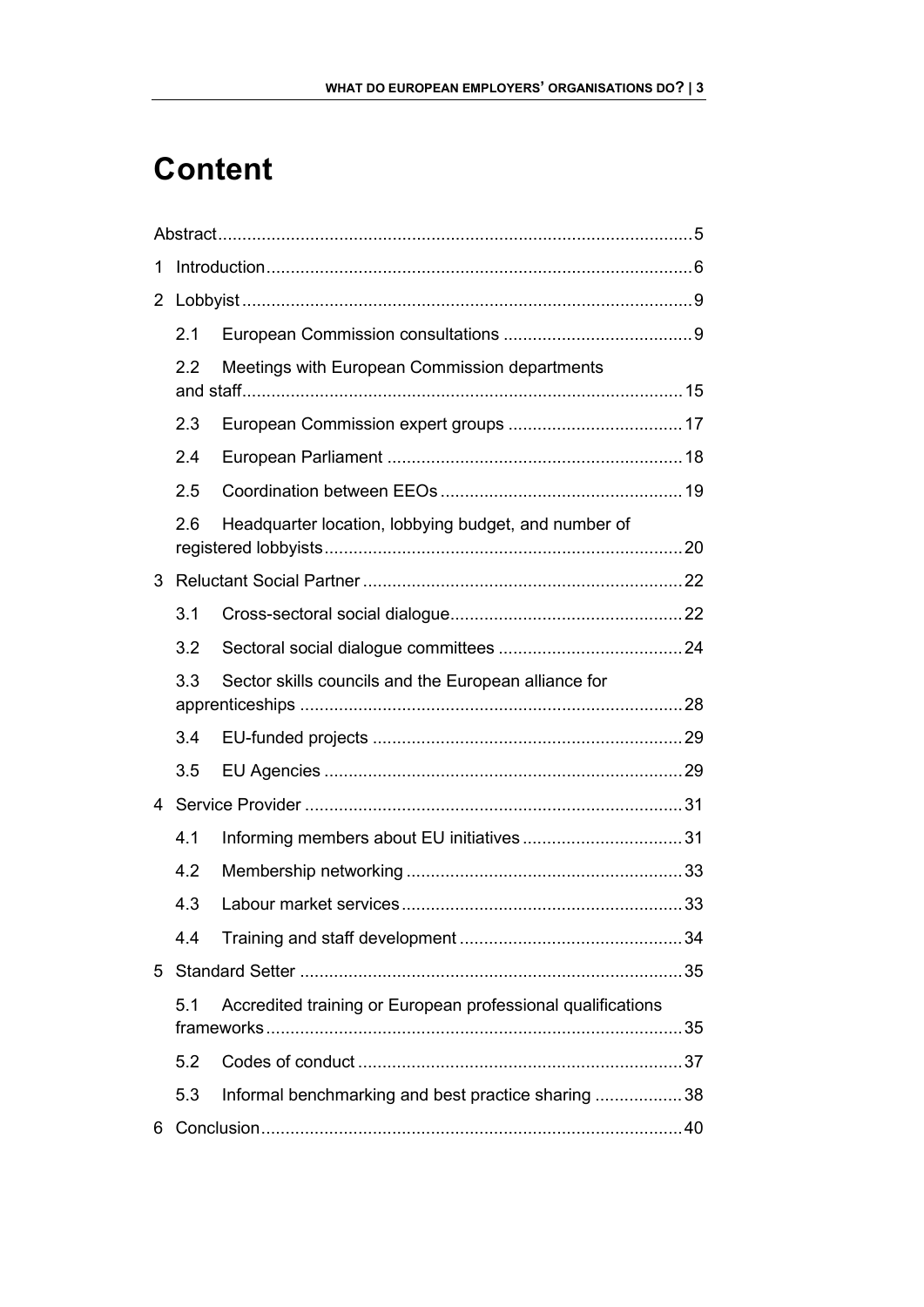# **Content**

| 1              |                                                                    |                                                      |  |
|----------------|--------------------------------------------------------------------|------------------------------------------------------|--|
| $\overline{2}$ |                                                                    |                                                      |  |
|                | 2.1                                                                |                                                      |  |
|                | 2.2                                                                | Meetings with European Commission departments        |  |
|                | 2.3                                                                |                                                      |  |
|                | 2.4                                                                |                                                      |  |
|                | 2.5                                                                |                                                      |  |
|                | 2.6                                                                | Headquarter location, lobbying budget, and number of |  |
| 3              |                                                                    |                                                      |  |
|                | 3.1                                                                |                                                      |  |
|                | 3.2                                                                |                                                      |  |
|                | 3.3                                                                | Sector skills councils and the European alliance for |  |
|                | 3.4                                                                |                                                      |  |
|                | 3.5                                                                |                                                      |  |
|                |                                                                    |                                                      |  |
|                | 4.1                                                                |                                                      |  |
|                | 4.2                                                                |                                                      |  |
|                | 4.3                                                                |                                                      |  |
|                | 4.4                                                                |                                                      |  |
| 5              |                                                                    |                                                      |  |
|                | Accredited training or European professional qualifications<br>5.1 |                                                      |  |
|                | 5.2                                                                |                                                      |  |
|                | 5.3                                                                | Informal benchmarking and best practice sharing 38   |  |
| 6              |                                                                    |                                                      |  |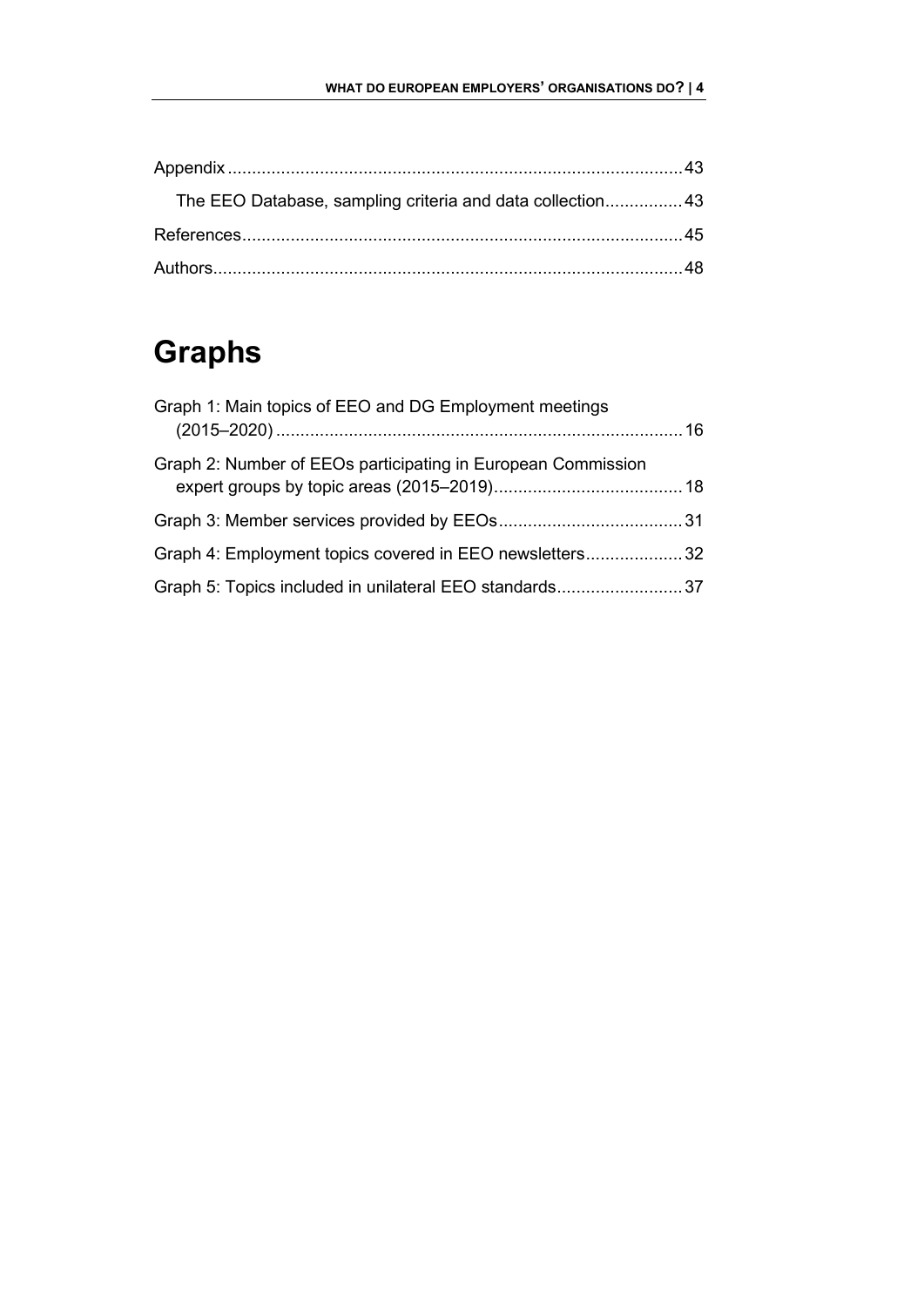| The EEO Database, sampling criteria and data collection 43 |  |
|------------------------------------------------------------|--|
|                                                            |  |
|                                                            |  |

# **Graphs**

| Graph 1: Main topics of EEO and DG Employment meetings       |  |
|--------------------------------------------------------------|--|
| Graph 2: Number of EEOs participating in European Commission |  |
|                                                              |  |
| Graph 4: Employment topics covered in EEO newsletters32      |  |
| Graph 5: Topics included in unilateral EEO standards37       |  |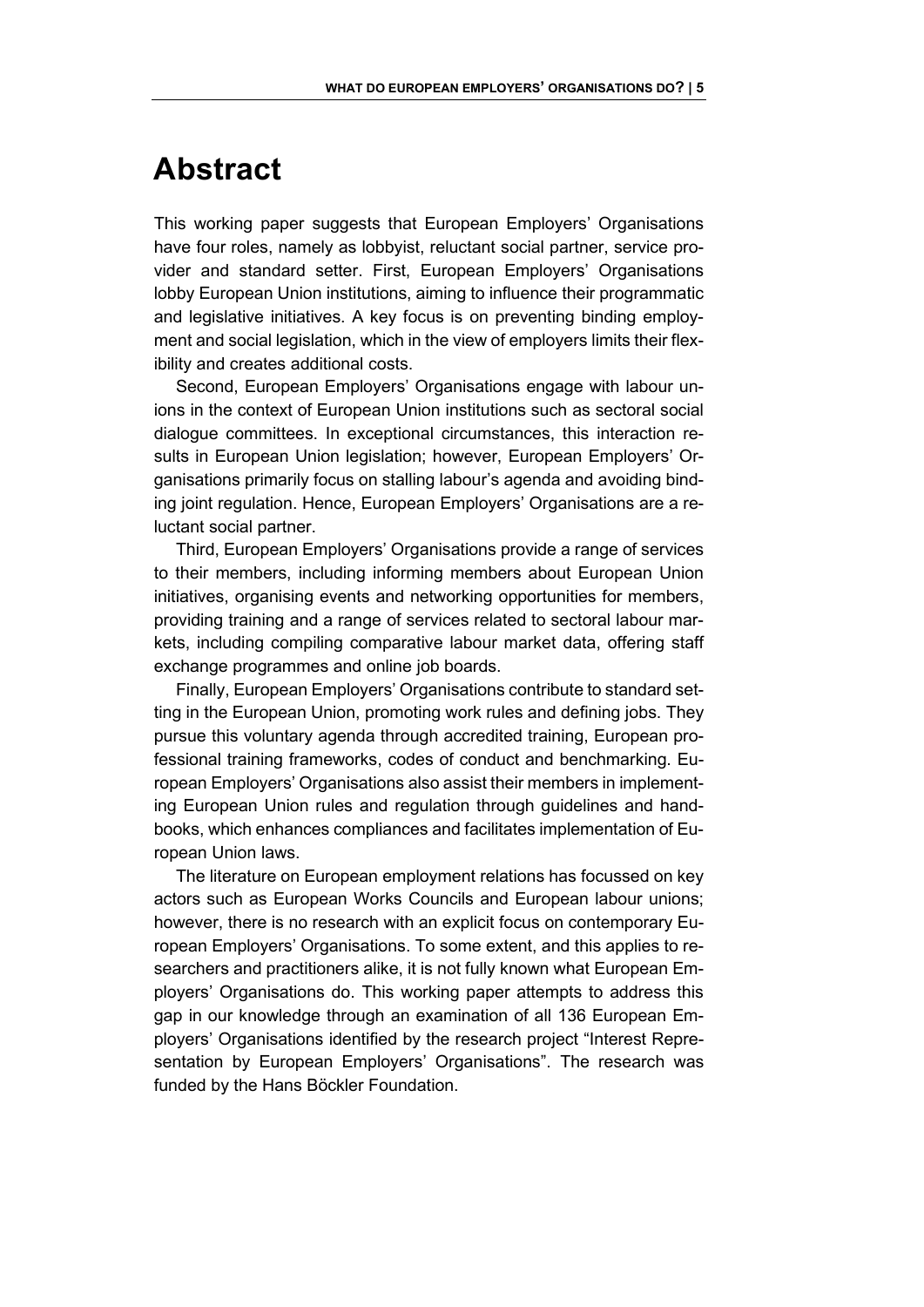## <span id="page-4-0"></span>**Abstract**

This working paper suggests that European Employers' Organisations have four roles, namely as lobbyist, reluctant social partner, service provider and standard setter. First, European Employers' Organisations lobby European Union institutions, aiming to influence their programmatic and legislative initiatives. A key focus is on preventing binding employment and social legislation, which in the view of employers limits their flexibility and creates additional costs.

Second, European Employers' Organisations engage with labour unions in the context of European Union institutions such as sectoral social dialogue committees. In exceptional circumstances, this interaction results in European Union legislation; however, European Employers' Organisations primarily focus on stalling labour's agenda and avoiding binding joint regulation. Hence, European Employers' Organisations are a reluctant social partner.

Third, European Employers' Organisations provide a range of services to their members, including informing members about European Union initiatives, organising events and networking opportunities for members, providing training and a range of services related to sectoral labour markets, including compiling comparative labour market data, offering staff exchange programmes and online job boards.

Finally, European Employers' Organisations contribute to standard setting in the European Union, promoting work rules and defining jobs. They pursue this voluntary agenda through accredited training, European professional training frameworks, codes of conduct and benchmarking. European Employers' Organisations also assist their members in implementing European Union rules and regulation through guidelines and handbooks, which enhances compliances and facilitates implementation of European Union laws.

The literature on European employment relations has focussed on key actors such as European Works Councils and European labour unions; however, there is no research with an explicit focus on contemporary European Employers' Organisations. To some extent, and this applies to researchers and practitioners alike, it is not fully known what European Employers' Organisations do. This working paper attempts to address this gap in our knowledge through an examination of all 136 European Employers' Organisations identified by the research project "Interest Representation by European Employers' Organisations". The research was funded by the Hans Böckler Foundation.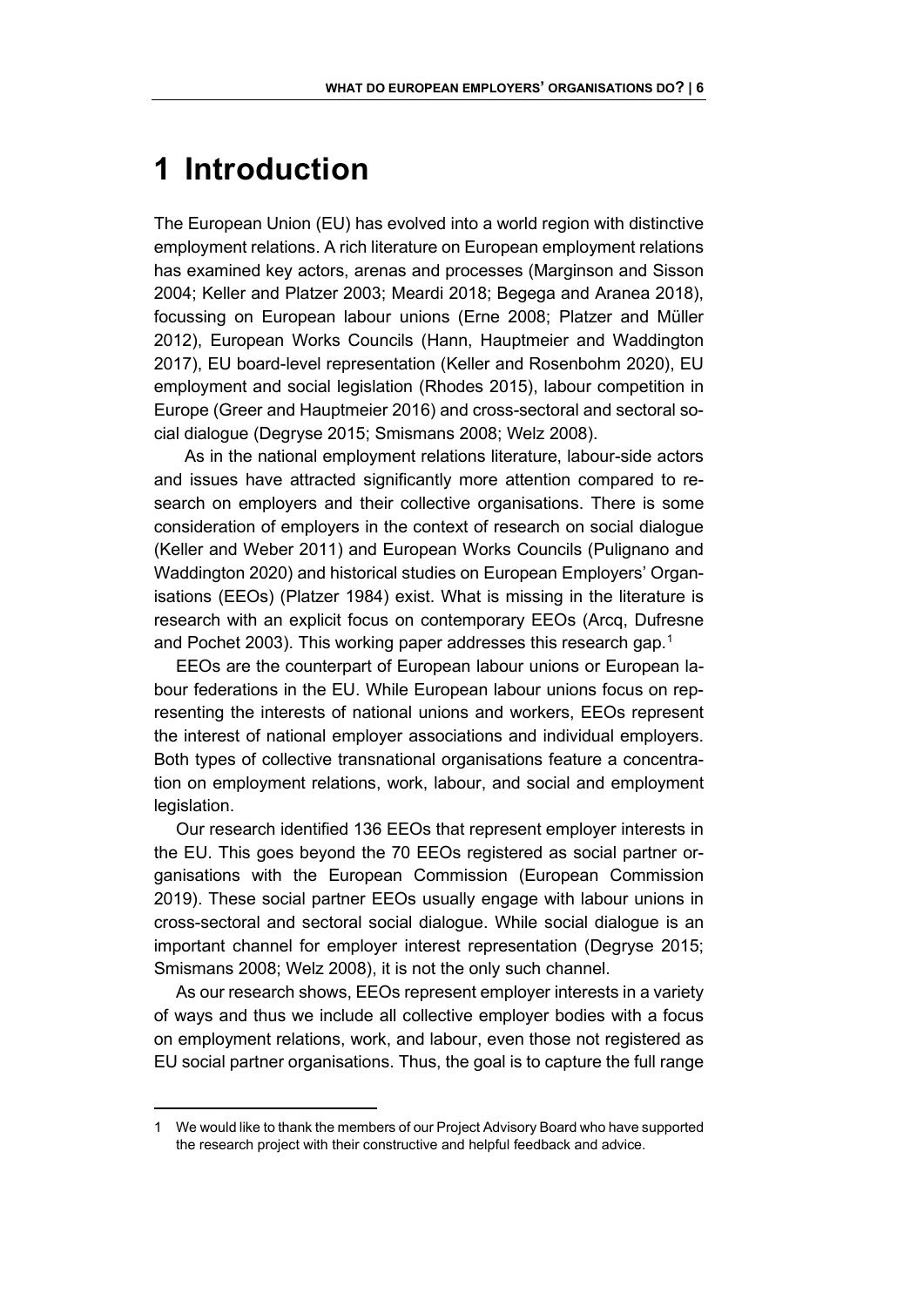# <span id="page-5-0"></span>**1 Introduction**

The European Union (EU) has evolved into a world region with distinctive employment relations. A rich literature on European employment relations has examined key actors, arenas and processes (Marginson and Sisson 2004; Keller and Platzer 2003; Meardi 2018; Begega and Aranea 2018), focussing on European labour unions (Erne 2008; Platzer and Müller 2012), European Works Councils (Hann, Hauptmeier and Waddington 2017), EU board-level representation (Keller and Rosenbohm 2020), EU employment and social legislation (Rhodes 2015), labour competition in Europe (Greer and Hauptmeier 2016) and cross-sectoral and sectoral social dialogue (Degryse 2015; Smismans 2008; Welz 2008).

As in the national employment relations literature, labour-side actors and issues have attracted significantly more attention compared to research on employers and their collective organisations. There is some consideration of employers in the context of research on social dialogue (Keller and Weber 2011) and European Works Councils (Pulignano and Waddington 2020) and historical studies on European Employers' Organisations (EEOs) (Platzer 1984) exist. What is missing in the literature is research with an explicit focus on contemporary EEOs (Arcq, Dufresne and Pochet 2003). This working paper addresses this research gap.<sup>[1](#page-5-1)</sup>

EEOs are the counterpart of European labour unions or European labour federations in the EU. While European labour unions focus on representing the interests of national unions and workers, EEOs represent the interest of national employer associations and individual employers. Both types of collective transnational organisations feature a concentration on employment relations, work, labour, and social and employment legislation.

Our research identified 136 EEOs that represent employer interests in the EU. This goes beyond the 70 EEOs registered as social partner organisations with the European Commission (European Commission 2019). These social partner EEOs usually engage with labour unions in cross-sectoral and sectoral social dialogue. While social dialogue is an important channel for employer interest representation (Degryse 2015; Smismans 2008; Welz 2008), it is not the only such channel.

As our research shows, EEOs represent employer interests in a variety of ways and thus we include all collective employer bodies with a focus on employment relations, work, and labour, even those not registered as EU social partner organisations. Thus, the goal is to capture the full range

<span id="page-5-1"></span><sup>1</sup> We would like to thank the members of our Project Advisory Board who have supported the research project with their constructive and helpful feedback and advice.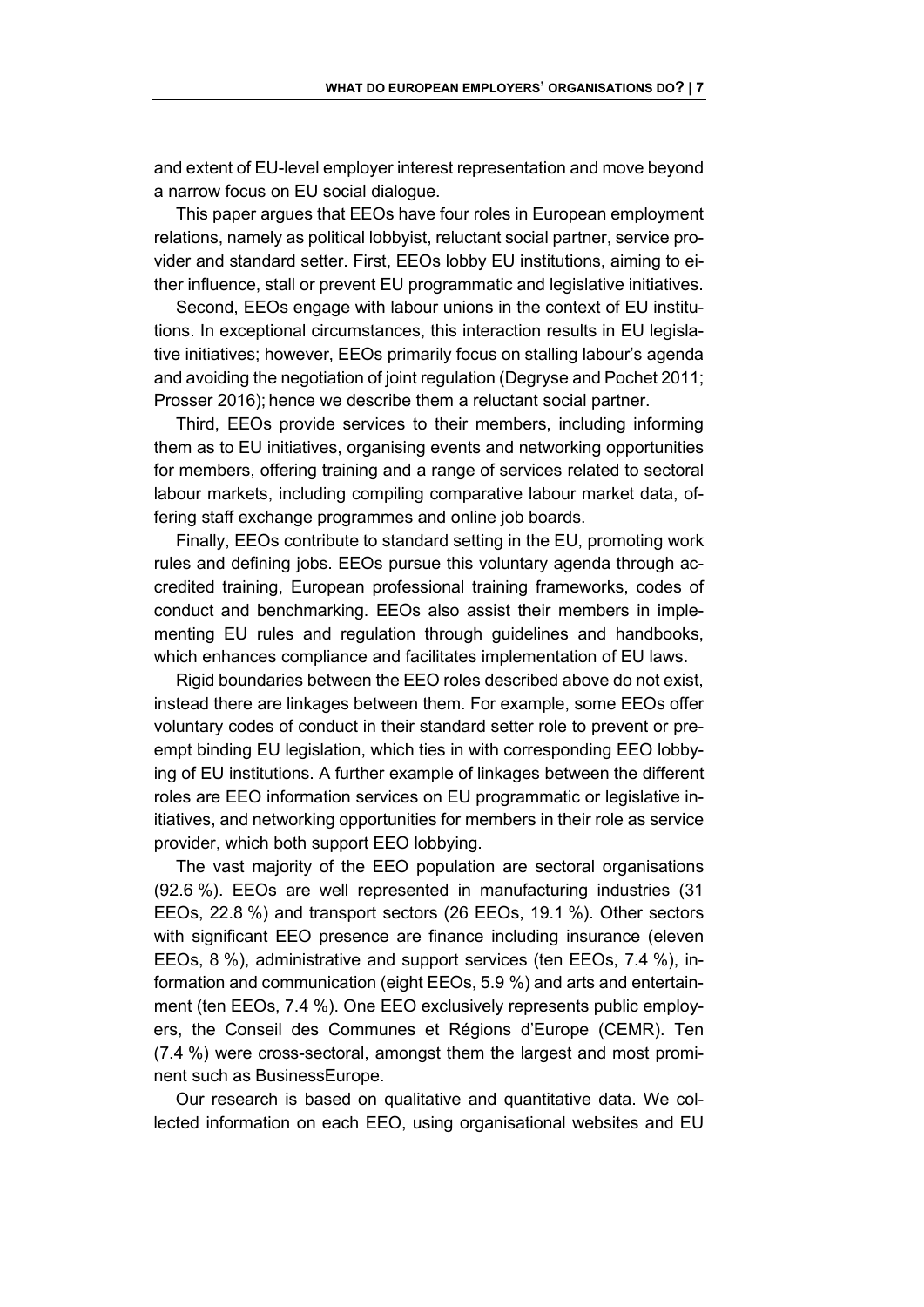and extent of EU-level employer interest representation and move beyond a narrow focus on EU social dialogue.

This paper argues that EEOs have four roles in European employment relations, namely as political lobbyist, reluctant social partner, service provider and standard setter. First, EEOs lobby EU institutions, aiming to either influence, stall or prevent EU programmatic and legislative initiatives.

Second, EEOs engage with labour unions in the context of EU institutions. In exceptional circumstances, this interaction results in EU legislative initiatives; however, EEOs primarily focus on stalling labour's agenda and avoiding the negotiation of joint regulation (Degryse and Pochet 2011; Prosser 2016); hence we describe them a reluctant social partner.

Third, EEOs provide services to their members, including informing them as to EU initiatives, organising events and networking opportunities for members, offering training and a range of services related to sectoral labour markets, including compiling comparative labour market data, offering staff exchange programmes and online job boards.

Finally, EEOs contribute to standard setting in the EU, promoting work rules and defining jobs. EEOs pursue this voluntary agenda through accredited training, European professional training frameworks, codes of conduct and benchmarking. EEOs also assist their members in implementing EU rules and regulation through guidelines and handbooks, which enhances compliance and facilitates implementation of EU laws.

Rigid boundaries between the EEO roles described above do not exist, instead there are linkages between them. For example, some EEOs offer voluntary codes of conduct in their standard setter role to prevent or preempt binding EU legislation, which ties in with corresponding EEO lobbying of EU institutions. A further example of linkages between the different roles are EEO information services on EU programmatic or legislative initiatives, and networking opportunities for members in their role as service provider, which both support EEO lobbying.

The vast majority of the EEO population are sectoral organisations (92.6 %). EEOs are well represented in manufacturing industries (31 EEOs, 22.8 %) and transport sectors (26 EEOs, 19.1 %). Other sectors with significant EEO presence are finance including insurance (eleven EEOs, 8 %), administrative and support services (ten EEOs, 7.4 %), information and communication (eight EEOs, 5.9 %) and arts and entertainment (ten EEOs, 7.4 %). One EEO exclusively represents public employers, the Conseil des Communes et Régions d'Europe (CEMR). Ten (7.4 %) were cross-sectoral, amongst them the largest and most prominent such as BusinessEurope.

Our research is based on qualitative and quantitative data. We collected information on each EEO, using organisational websites and EU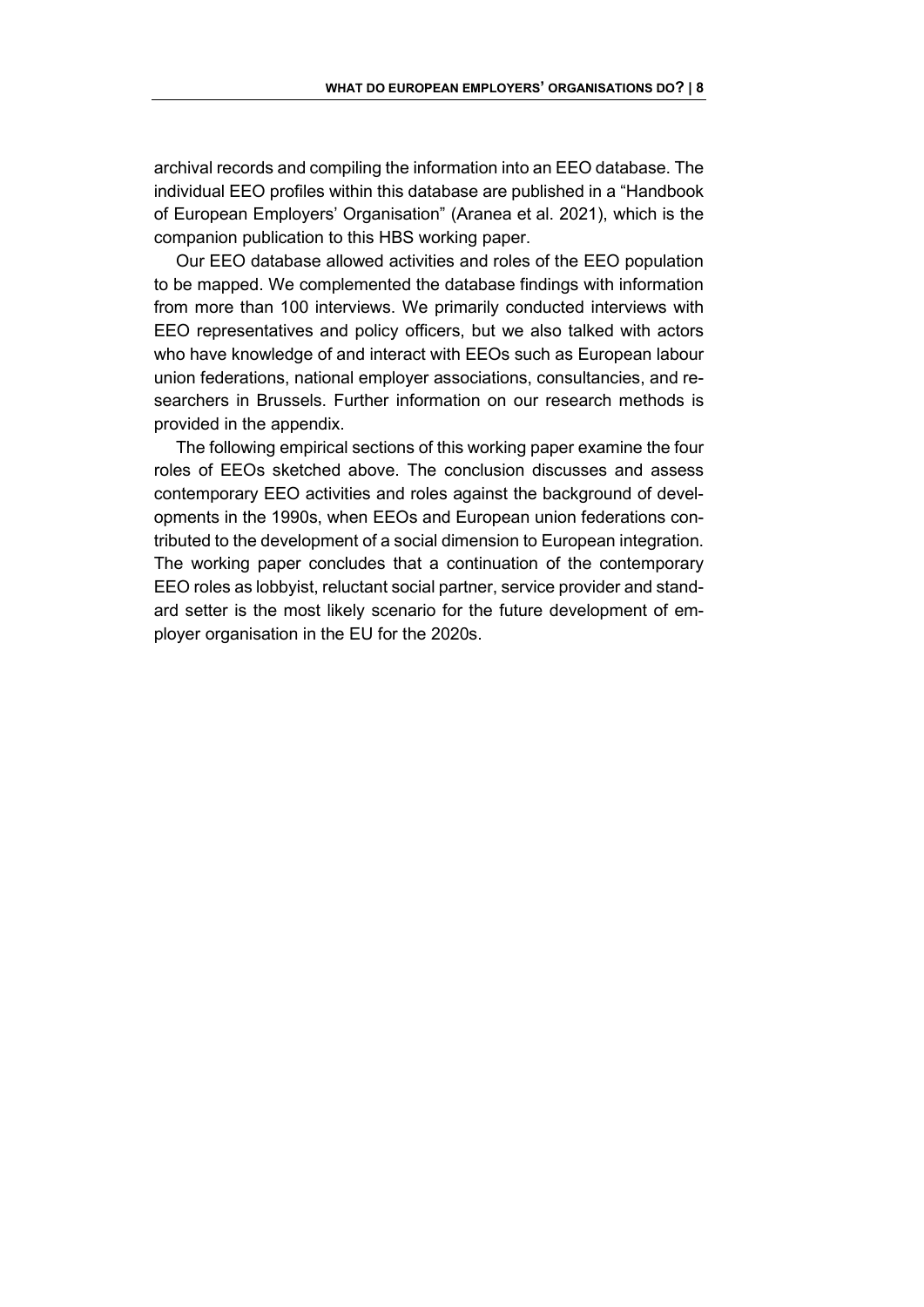archival records and compiling the information into an EEO database. The individual EEO profiles within this database are published in a "Handbook of European Employers' Organisation" (Aranea et al. 2021), which is the companion publication to this HBS working paper.

Our EEO database allowed activities and roles of the EEO population to be mapped. We complemented the database findings with information from more than 100 interviews. We primarily conducted interviews with EEO representatives and policy officers, but we also talked with actors who have knowledge of and interact with EEOs such as European labour union federations, national employer associations, consultancies, and researchers in Brussels. Further information on our research methods is provided in the appendix.

The following empirical sections of this working paper examine the four roles of EEOs sketched above. The conclusion discusses and assess contemporary EEO activities and roles against the background of developments in the 1990s, when EEOs and European union federations contributed to the development of a social dimension to European integration. The working paper concludes that a continuation of the contemporary EEO roles as lobbyist, reluctant social partner, service provider and standard setter is the most likely scenario for the future development of employer organisation in the EU for the 2020s.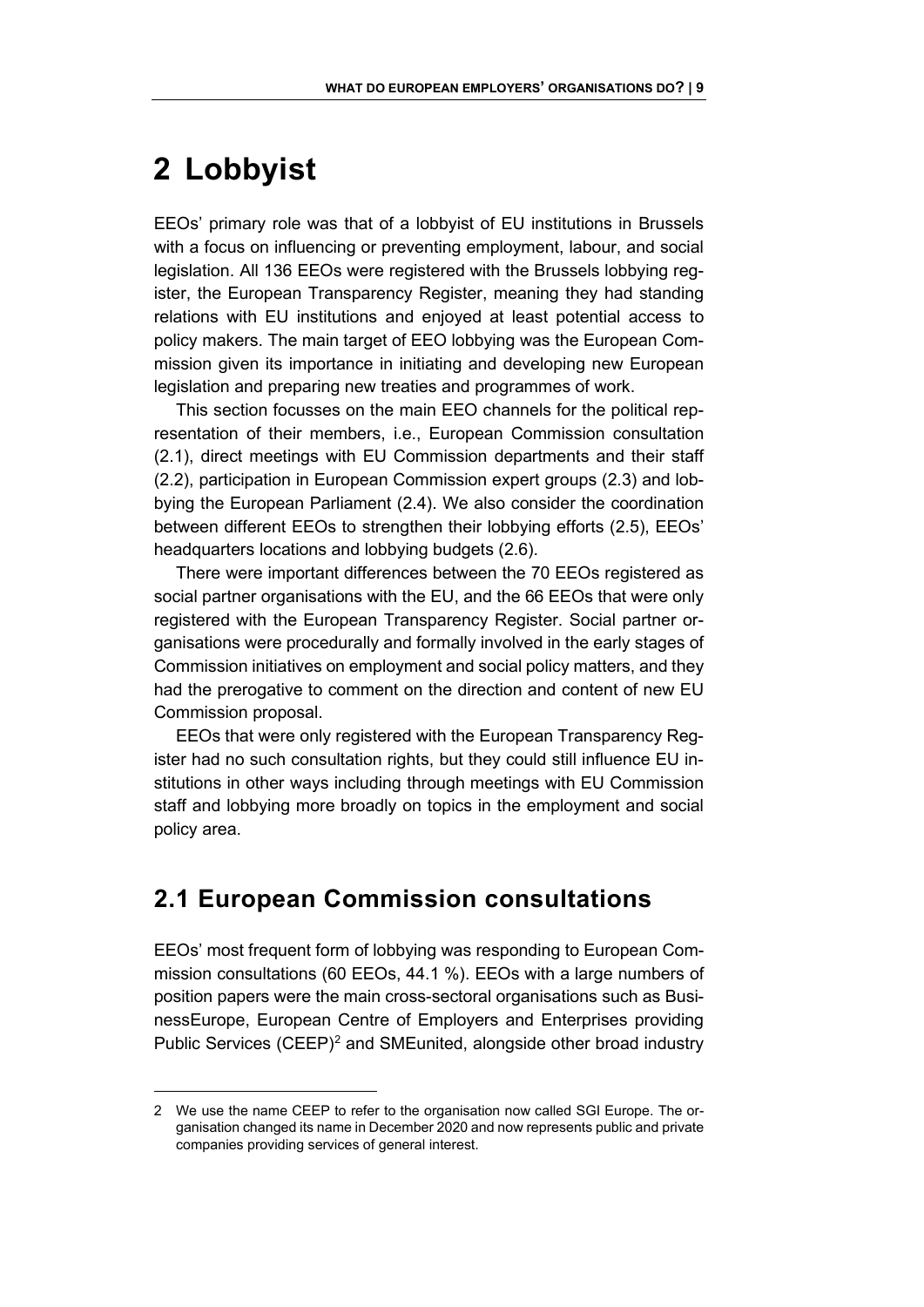# <span id="page-8-0"></span>**2 Lobbyist**

EEOs' primary role was that of a lobbyist of EU institutions in Brussels with a focus on influencing or preventing employment, labour, and social legislation. All 136 EEOs were registered with the Brussels lobbying register, the European Transparency Register, meaning they had standing relations with EU institutions and enjoyed at least potential access to policy makers. The main target of EEO lobbying was the European Commission given its importance in initiating and developing new European legislation and preparing new treaties and programmes of work.

This section focusses on the main EEO channels for the political representation of their members, i.e., European Commission consultation (2.1), direct meetings with EU Commission departments and their staff (2.2), participation in European Commission expert groups (2.3) and lobbying the European Parliament (2.4). We also consider the coordination between different EEOs to strengthen their lobbying efforts (2.5), EEOs' headquarters locations and lobbying budgets (2.6).

There were important differences between the 70 EEOs registered as social partner organisations with the EU, and the 66 EEOs that were only registered with the European Transparency Register. Social partner organisations were procedurally and formally involved in the early stages of Commission initiatives on employment and social policy matters, and they had the prerogative to comment on the direction and content of new EU Commission proposal.

EEOs that were only registered with the European Transparency Register had no such consultation rights, but they could still influence EU institutions in other ways including through meetings with EU Commission staff and lobbying more broadly on topics in the employment and social policy area.

#### <span id="page-8-1"></span>**2.1 European Commission consultations**

EEOs' most frequent form of lobbying was responding to European Commission consultations (60 EEOs, 44.1 %). EEOs with a large numbers of position papers were the main cross-sectoral organisations such as BusinessEurope, European Centre of Employers and Enterprises providing Public Services (CEEP)<sup>[2](#page-8-2)</sup> and SMEunited, alongside other broad industry

<span id="page-8-2"></span><sup>2</sup> We use the name CEEP to refer to the organisation now called SGI Europe. The organisation changed its name in December 2020 and now represents public and private companies providing services of general interest.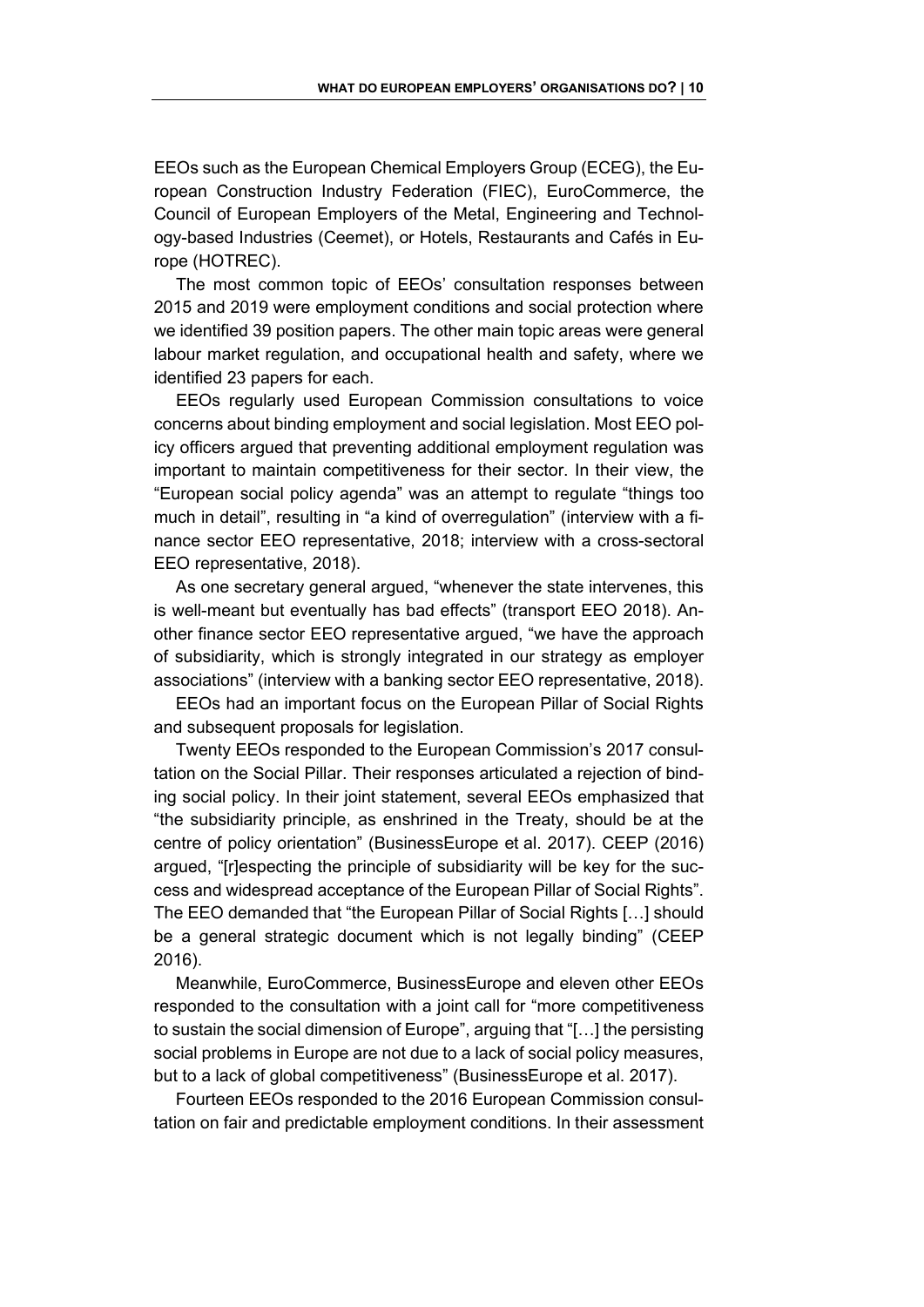EEOs such as the European Chemical Employers Group (ECEG), the European Construction Industry Federation (FIEC), EuroCommerce, the Council of European Employers of the Metal, Engineering and Technology-based Industries (Ceemet), or Hotels, Restaurants and Cafés in Europe (HOTREC).

The most common topic of EEOs' consultation responses between 2015 and 2019 were employment conditions and social protection where we identified 39 position papers. The other main topic areas were general labour market regulation, and occupational health and safety, where we identified 23 papers for each.

EEOs regularly used European Commission consultations to voice concerns about binding employment and social legislation. Most EEO policy officers argued that preventing additional employment regulation was important to maintain competitiveness for their sector. In their view, the "European social policy agenda" was an attempt to regulate "things too much in detail", resulting in "a kind of overregulation" (interview with a finance sector EEO representative, 2018; interview with a cross-sectoral EEO representative, 2018).

As one secretary general argued, "whenever the state intervenes, this is well-meant but eventually has bad effects" (transport EEO 2018). Another finance sector EEO representative argued, "we have the approach of subsidiarity, which is strongly integrated in our strategy as employer associations" (interview with a banking sector EEO representative, 2018).

EEOs had an important focus on the European Pillar of Social Rights and subsequent proposals for legislation.

Twenty EEOs responded to the European Commission's 2017 consultation on the Social Pillar. Their responses articulated a rejection of binding social policy. In their joint statement, several EEOs emphasized that "the subsidiarity principle, as enshrined in the Treaty, should be at the centre of policy orientation" (BusinessEurope et al. 2017). CEEP (2016) argued, "[r]especting the principle of subsidiarity will be key for the success and widespread acceptance of the European Pillar of Social Rights". The EEO demanded that "the European Pillar of Social Rights […] should be a general strategic document which is not legally binding" (CEEP 2016).

Meanwhile, EuroCommerce, BusinessEurope and eleven other EEOs responded to the consultation with a joint call for "more competitiveness to sustain the social dimension of Europe", arguing that "[…] the persisting social problems in Europe are not due to a lack of social policy measures, but to a lack of global competitiveness" (BusinessEurope et al. 2017).

Fourteen EEOs responded to the 2016 European Commission consultation on fair and predictable employment conditions. In their assessment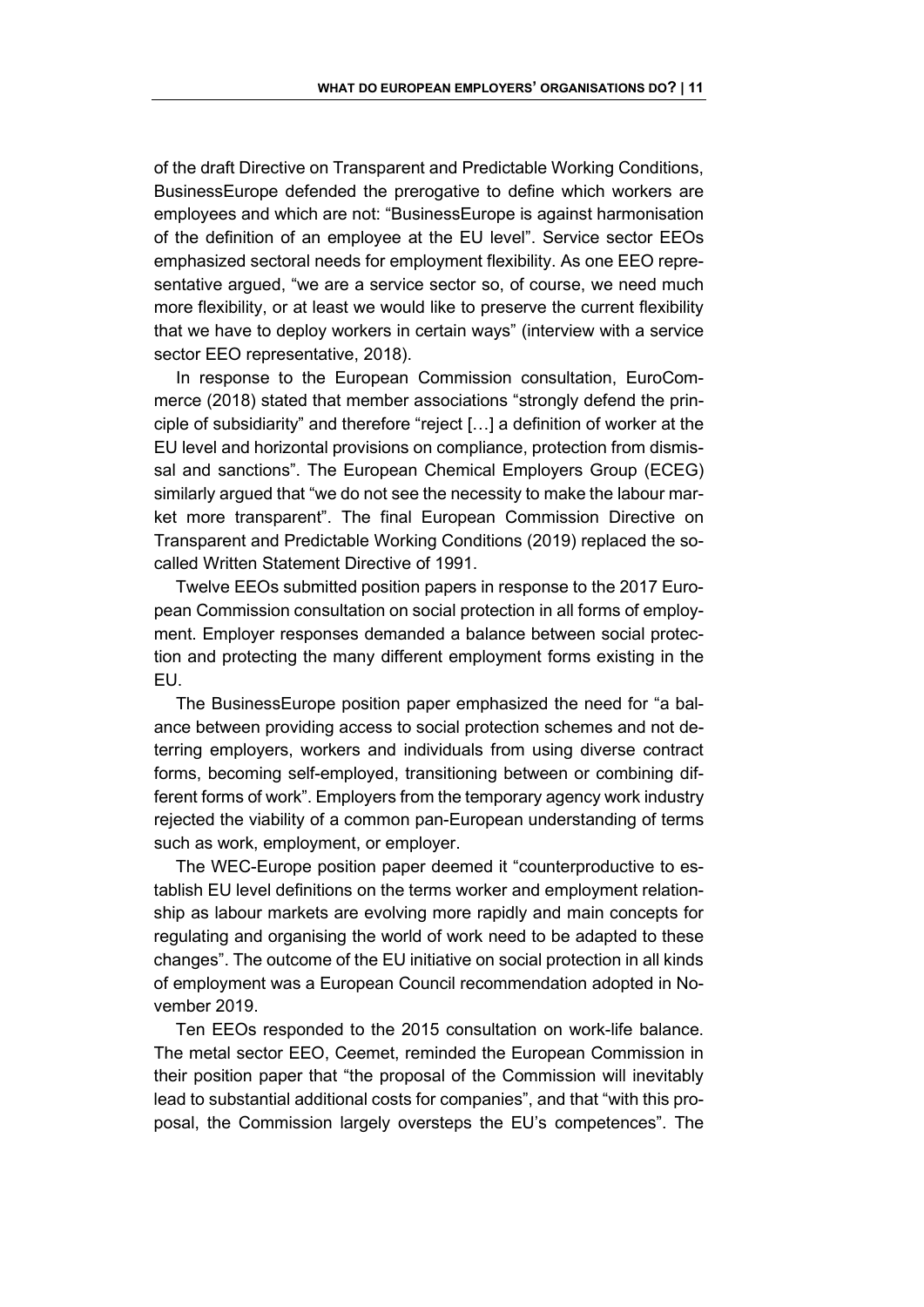of the draft Directive on Transparent and Predictable Working Conditions, BusinessEurope defended the prerogative to define which workers are employees and which are not: "BusinessEurope is against harmonisation of the definition of an employee at the EU level". Service sector EEOs emphasized sectoral needs for employment flexibility. As one EEO representative argued, "we are a service sector so, of course, we need much more flexibility, or at least we would like to preserve the current flexibility that we have to deploy workers in certain ways" (interview with a service sector EEO representative, 2018).

In response to the European Commission consultation, EuroCommerce (2018) stated that member associations "strongly defend the principle of subsidiarity" and therefore "reject […] a definition of worker at the EU level and horizontal provisions on compliance, protection from dismissal and sanctions". The European Chemical Employers Group (ECEG) similarly argued that "we do not see the necessity to make the labour market more transparent". The final European Commission Directive on Transparent and Predictable Working Conditions (2019) replaced the socalled Written Statement Directive of 1991.

Twelve EEOs submitted position papers in response to the 2017 European Commission consultation on social protection in all forms of employment. Employer responses demanded a balance between social protection and protecting the many different employment forms existing in the EU.

The BusinessEurope position paper emphasized the need for "a balance between providing access to social protection schemes and not deterring employers, workers and individuals from using diverse contract forms, becoming self-employed, transitioning between or combining different forms of work". Employers from the temporary agency work industry rejected the viability of a common pan-European understanding of terms such as work, employment, or employer.

The WEC-Europe position paper deemed it "counterproductive to establish EU level definitions on the terms worker and employment relationship as labour markets are evolving more rapidly and main concepts for regulating and organising the world of work need to be adapted to these changes". The outcome of the EU initiative on social protection in all kinds of employment was a European Council recommendation adopted in November 2019.

Ten EEOs responded to the 2015 consultation on work-life balance. The metal sector EEO, Ceemet, reminded the European Commission in their position paper that "the proposal of the Commission will inevitably lead to substantial additional costs for companies", and that "with this proposal, the Commission largely oversteps the EU's competences". The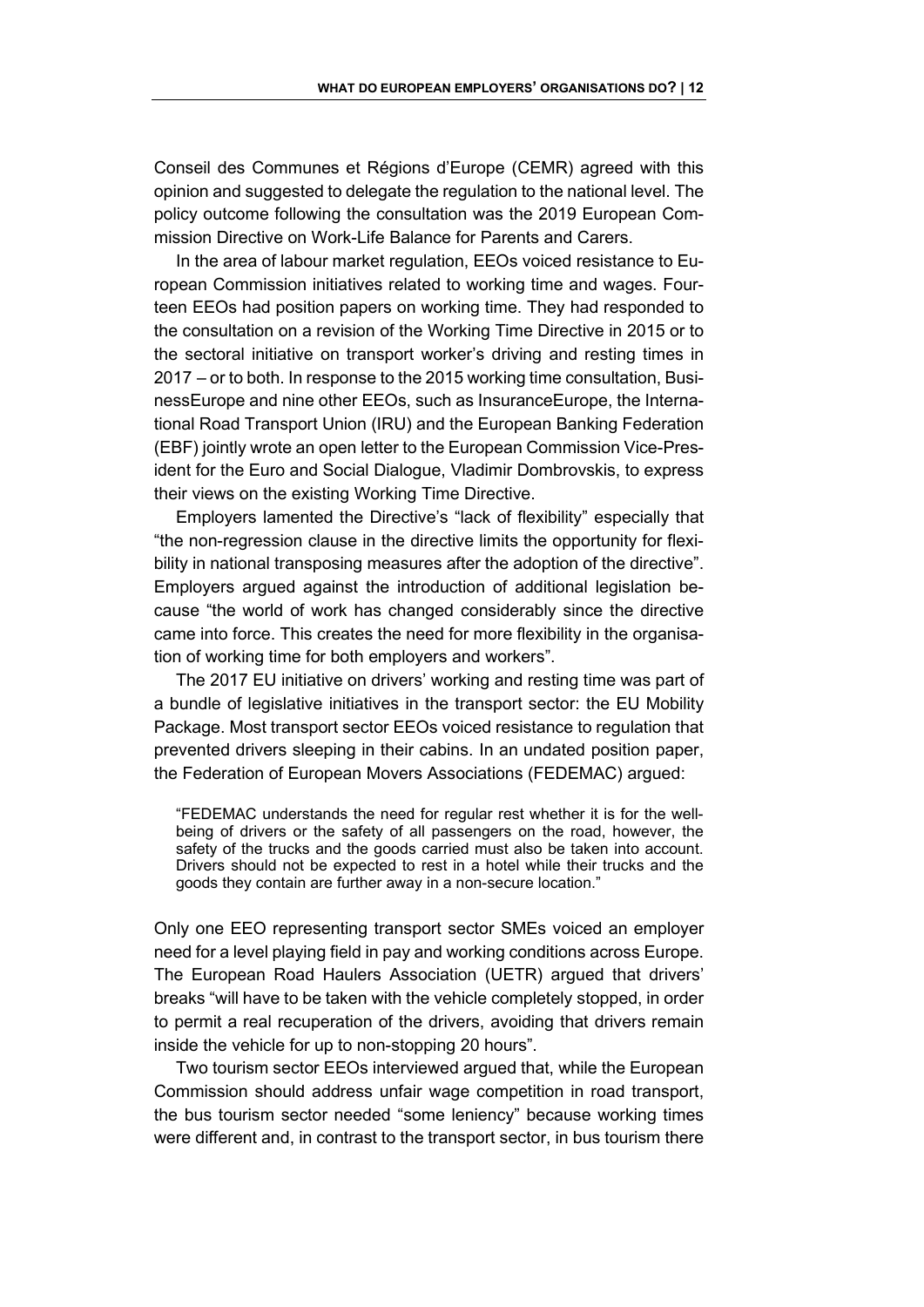Conseil des Communes et Régions d'Europe (CEMR) agreed with this opinion and suggested to delegate the regulation to the national level. The policy outcome following the consultation was the 2019 European Commission Directive on Work-Life Balance for Parents and Carers.

In the area of labour market regulation, EEOs voiced resistance to European Commission initiatives related to working time and wages. Fourteen EEOs had position papers on working time. They had responded to the consultation on a revision of the Working Time Directive in 2015 or to the sectoral initiative on transport worker's driving and resting times in 2017 – or to both. In response to the 2015 working time consultation, BusinessEurope and nine other EEOs, such as InsuranceEurope, the International Road Transport Union (IRU) and the European Banking Federation (EBF) jointly wrote an open letter to the European Commission Vice-President for the Euro and Social Dialogue, Vladimir Dombrovskis, to express their views on the existing Working Time Directive.

Employers lamented the Directive's "lack of flexibility" especially that "the non-regression clause in the directive limits the opportunity for flexibility in national transposing measures after the adoption of the directive". Employers argued against the introduction of additional legislation because "the world of work has changed considerably since the directive came into force. This creates the need for more flexibility in the organisation of working time for both employers and workers".

The 2017 EU initiative on drivers' working and resting time was part of a bundle of legislative initiatives in the transport sector: the EU Mobility Package. Most transport sector EEOs voiced resistance to regulation that prevented drivers sleeping in their cabins. In an undated position paper, the Federation of European Movers Associations (FEDEMAC) argued:

"FEDEMAC understands the need for regular rest whether it is for the wellbeing of drivers or the safety of all passengers on the road, however, the safety of the trucks and the goods carried must also be taken into account. Drivers should not be expected to rest in a hotel while their trucks and the goods they contain are further away in a non-secure location."

Only one EEO representing transport sector SMEs voiced an employer need for a level playing field in pay and working conditions across Europe. The European Road Haulers Association (UETR) argued that drivers' breaks "will have to be taken with the vehicle completely stopped, in order to permit a real recuperation of the drivers, avoiding that drivers remain inside the vehicle for up to non-stopping 20 hours".

Two tourism sector EEOs interviewed argued that, while the European Commission should address unfair wage competition in road transport, the bus tourism sector needed "some leniency" because working times were different and, in contrast to the transport sector, in bus tourism there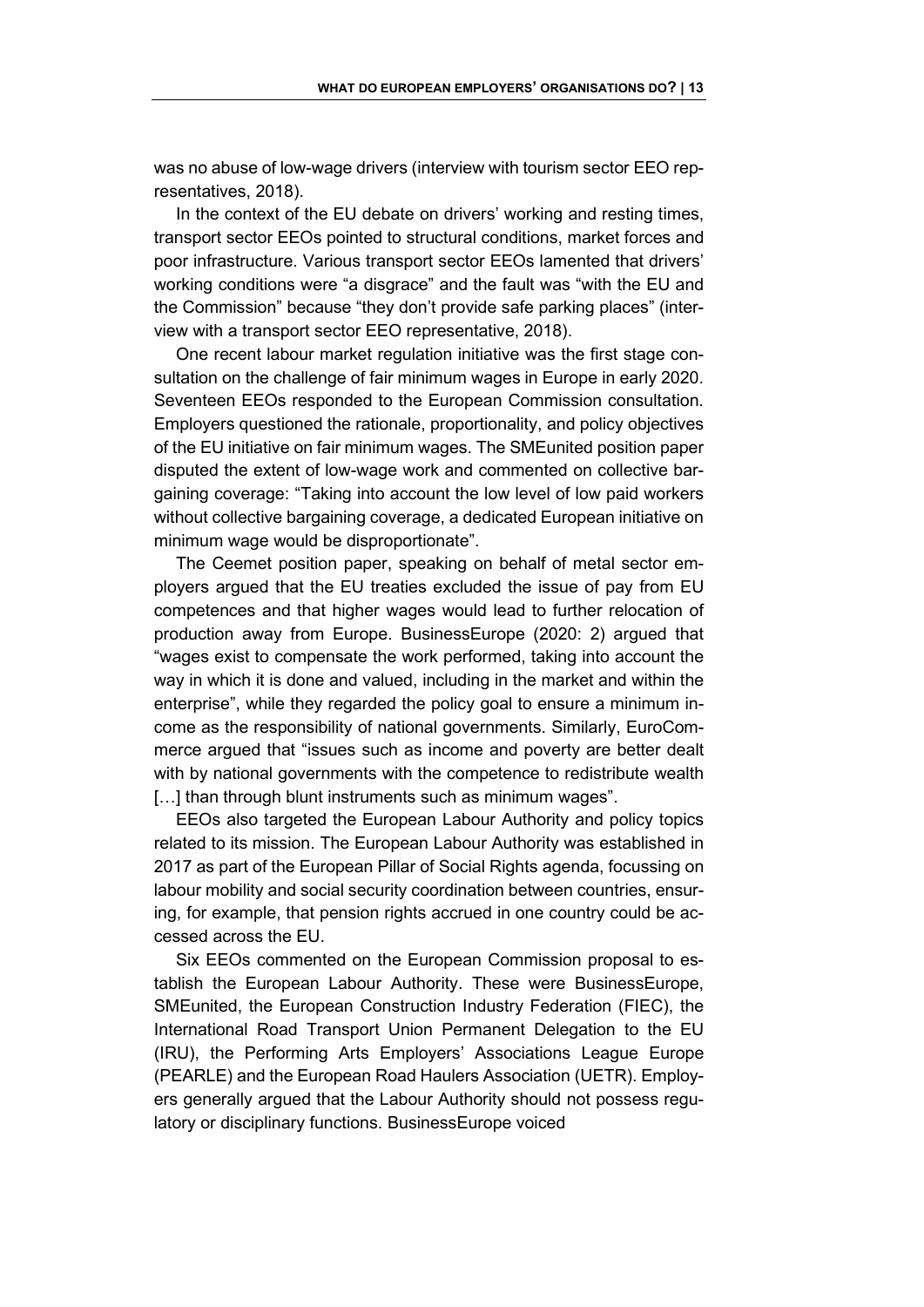was no abuse of low-wage drivers (interview with tourism sector EEO representatives, 2018).

In the context of the EU debate on drivers' working and resting times. transport sector EEOs pointed to structural conditions, market forces and poor infrastructure. Various transport sector EEOs lamented that drivers' working conditions were "a disgrace" and the fault was "with the EU and the Commission" because "they don't provide safe parking places" (interview with a transport sector EEO representative, 2018).

One recent labour market regulation initiative was the first stage consultation on the challenge of fair minimum wages in Europe in early 2020. Seventeen EEOs responded to the European Commission consultation. Employers questioned the rationale, proportionality, and policy objectives of the EU initiative on fair minimum wages. The SMEunited position paper disputed the extent of low-wage work and commented on collective bargaining coverage: "Taking into account the low level of low paid workers without collective bargaining coverage, a dedicated European initiative on minimum wage would be disproportionate".

The Ceemet position paper, speaking on behalf of metal sector employers argued that the EU treaties excluded the issue of pay from EU competences and that higher wages would lead to further relocation of production away from Europe. BusinessEurope (2020: 2) argued that "wages exist to compensate the work performed, taking into account the way in which it is done and valued, including in the market and within the enterprise", while they regarded the policy goal to ensure a minimum income as the responsibility of national governments. Similarly, EuroCommerce argued that "issues such as income and poverty are better dealt with by national governments with the competence to redistribute wealth [...] than through blunt instruments such as minimum wages".

EEOs also targeted the European Labour Authority and policy topics related to its mission. The European Labour Authority was established in 2017 as part of the European Pillar of Social Rights agenda, focussing on labour mobility and social security coordination between countries, ensuring, for example, that pension rights accrued in one country could be accessed across the EU.

Six EEOs commented on the European Commission proposal to establish the European Labour Authority. These were BusinessEurope, SMEunited, the European Construction Industry Federation (FIEC), the International Road Transport Union Permanent Delegation to the EU (IRU), the Performing Arts Employers' Associations League Europe (PEARLE) and the European Road Haulers Association (UETR). Employers generally argued that the Labour Authority should not possess regulatory or disciplinary functions. BusinessEurope voiced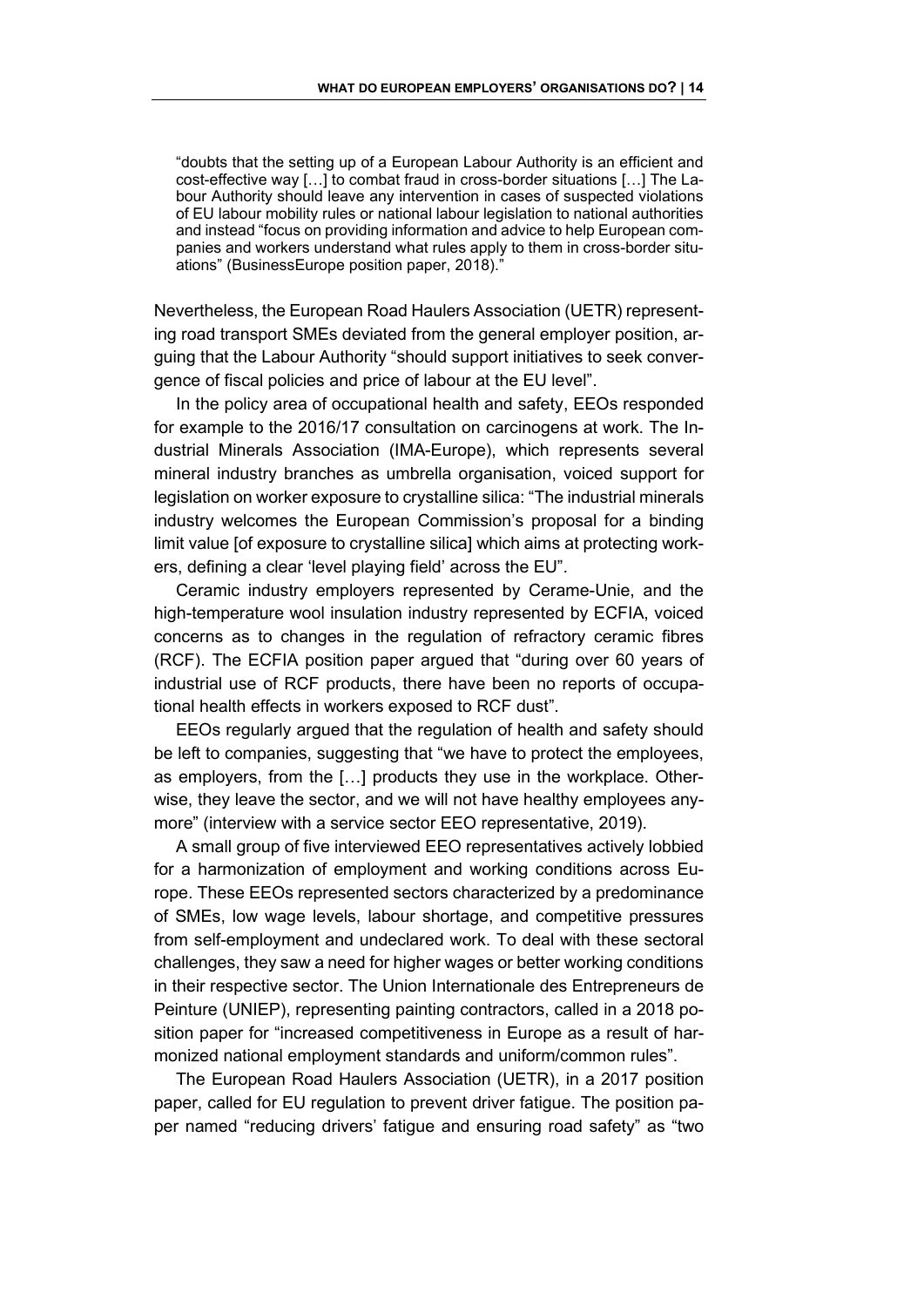"doubts that the setting up of a European Labour Authority is an efficient and cost-effective way […] to combat fraud in cross-border situations […] The Labour Authority should leave any intervention in cases of suspected violations of EU labour mobility rules or national labour legislation to national authorities and instead "focus on providing information and advice to help European companies and workers understand what rules apply to them in cross-border situations" (BusinessEurope position paper, 2018)."

Nevertheless, the European Road Haulers Association (UETR) representing road transport SMEs deviated from the general employer position, arguing that the Labour Authority "should support initiatives to seek convergence of fiscal policies and price of labour at the EU level".

In the policy area of occupational health and safety, EEOs responded for example to the 2016/17 consultation on carcinogens at work. The Industrial Minerals Association (IMA-Europe), which represents several mineral industry branches as umbrella organisation, voiced support for legislation on worker exposure to crystalline silica: "The industrial minerals industry welcomes the European Commission's proposal for a binding limit value [of exposure to crystalline silica] which aims at protecting workers, defining a clear 'level playing field' across the EU".

Ceramic industry employers represented by Cerame-Unie, and the high-temperature wool insulation industry represented by ECFIA, voiced concerns as to changes in the regulation of refractory ceramic fibres (RCF). The ECFIA position paper argued that "during over 60 years of industrial use of RCF products, there have been no reports of occupational health effects in workers exposed to RCF dust".

EEOs regularly argued that the regulation of health and safety should be left to companies, suggesting that "we have to protect the employees, as employers, from the […] products they use in the workplace. Otherwise, they leave the sector, and we will not have healthy employees anymore" (interview with a service sector EEO representative, 2019).

A small group of five interviewed EEO representatives actively lobbied for a harmonization of employment and working conditions across Europe. These EEOs represented sectors characterized by a predominance of SMEs, low wage levels, labour shortage, and competitive pressures from self-employment and undeclared work. To deal with these sectoral challenges, they saw a need for higher wages or better working conditions in their respective sector. The Union Internationale des Entrepreneurs de Peinture (UNIEP), representing painting contractors, called in a 2018 position paper for "increased competitiveness in Europe as a result of harmonized national employment standards and uniform/common rules".

The European Road Haulers Association (UETR), in a 2017 position paper, called for EU regulation to prevent driver fatigue. The position paper named "reducing drivers' fatigue and ensuring road safety" as "two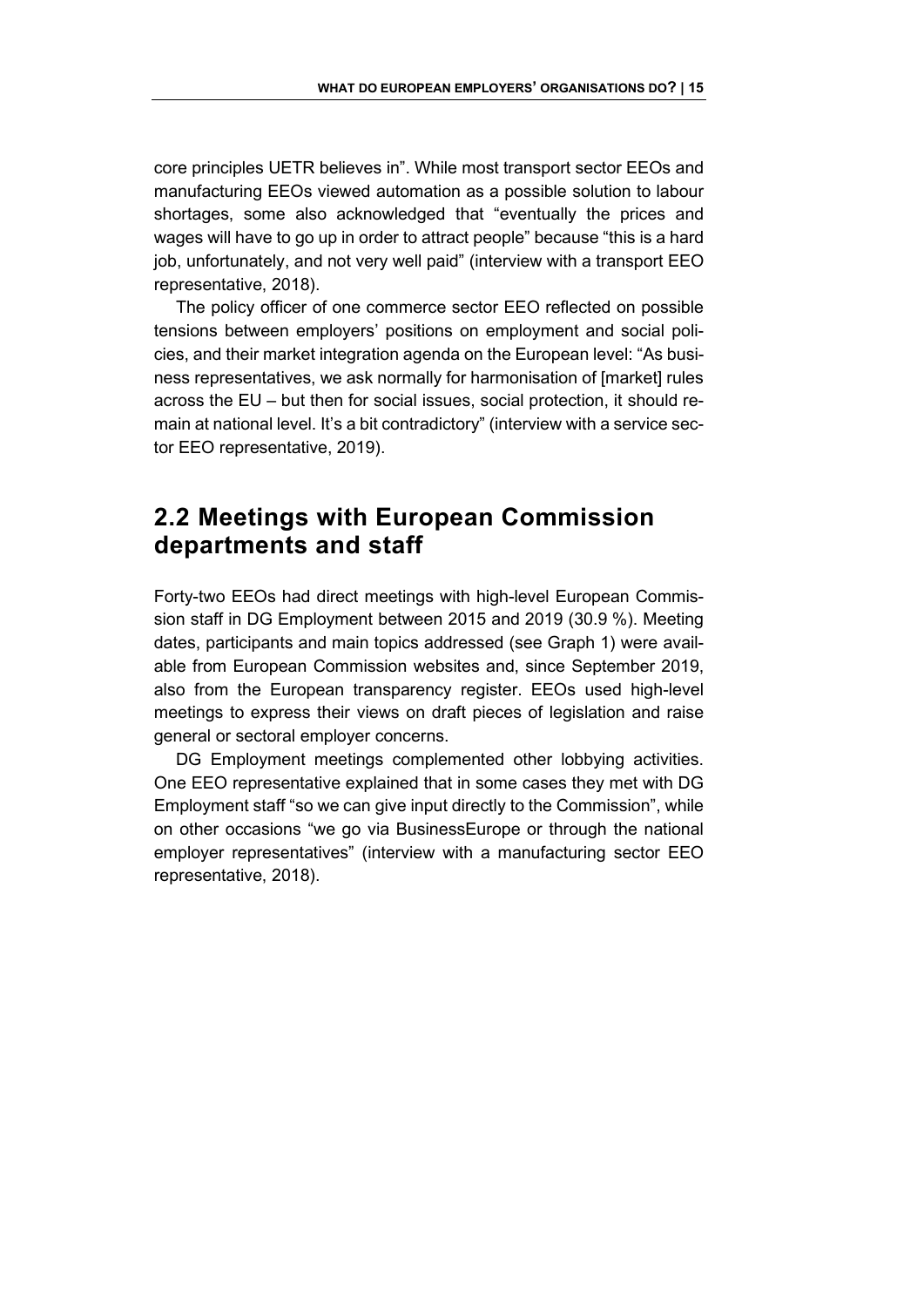core principles UETR believes in". While most transport sector EEOs and manufacturing EEOs viewed automation as a possible solution to labour shortages, some also acknowledged that "eventually the prices and wages will have to go up in order to attract people" because "this is a hard job, unfortunately, and not very well paid" (interview with a transport EEO representative, 2018).

The policy officer of one commerce sector EEO reflected on possible tensions between employers' positions on employment and social policies, and their market integration agenda on the European level: "As business representatives, we ask normally for harmonisation of [market] rules across the EU – but then for social issues, social protection, it should remain at national level. It's a bit contradictory" (interview with a service sector EEO representative, 2019).

#### <span id="page-14-0"></span>**2.2 Meetings with European Commission departments and staff**

Forty-two EEOs had direct meetings with high-level European Commission staff in DG Employment between 2015 and 2019 (30.9 %). Meeting dates, participants and main topics addressed (see Graph 1) were available from European Commission websites and, since September 2019, also from the European transparency register. EEOs used high-level meetings to express their views on draft pieces of legislation and raise general or sectoral employer concerns.

DG Employment meetings complemented other lobbying activities. One EEO representative explained that in some cases they met with DG Employment staff "so we can give input directly to the Commission", while on other occasions "we go via BusinessEurope or through the national employer representatives" (interview with a manufacturing sector EEO representative, 2018).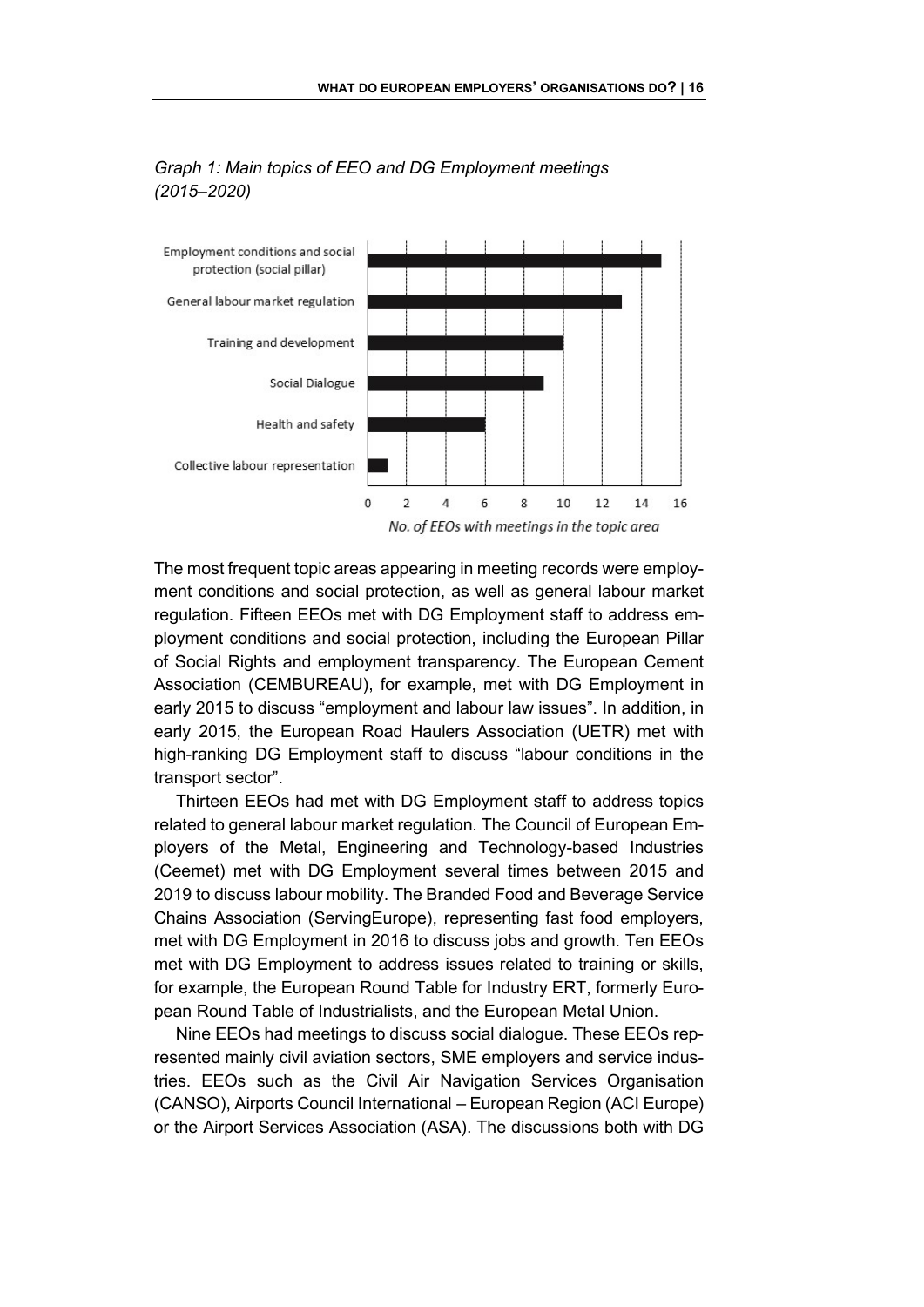

#### <span id="page-15-0"></span>*Graph 1: Main topics of EEO and DG Employment meetings (2015–2020)*

The most frequent topic areas appearing in meeting records were employment conditions and social protection, as well as general labour market regulation. Fifteen EEOs met with DG Employment staff to address employment conditions and social protection, including the European Pillar of Social Rights and employment transparency. The European Cement Association (CEMBUREAU), for example, met with DG Employment in early 2015 to discuss "employment and labour law issues". In addition, in early 2015, the European Road Haulers Association (UETR) met with high-ranking DG Employment staff to discuss "labour conditions in the transport sector".

Thirteen EEOs had met with DG Employment staff to address topics related to general labour market regulation. The Council of European Employers of the Metal, Engineering and Technology-based Industries (Ceemet) met with DG Employment several times between 2015 and 2019 to discuss labour mobility. The Branded Food and Beverage Service Chains Association (ServingEurope), representing fast food employers, met with DG Employment in 2016 to discuss jobs and growth. Ten EEOs met with DG Employment to address issues related to training or skills, for example, the European Round Table for Industry ERT, formerly European Round Table of Industrialists, and the European Metal Union.

Nine EEOs had meetings to discuss social dialogue. These EEOs represented mainly civil aviation sectors, SME employers and service industries. EEOs such as the Civil Air Navigation Services Organisation (CANSO), Airports Council International – European Region (ACI Europe) or the Airport Services Association (ASA). The discussions both with DG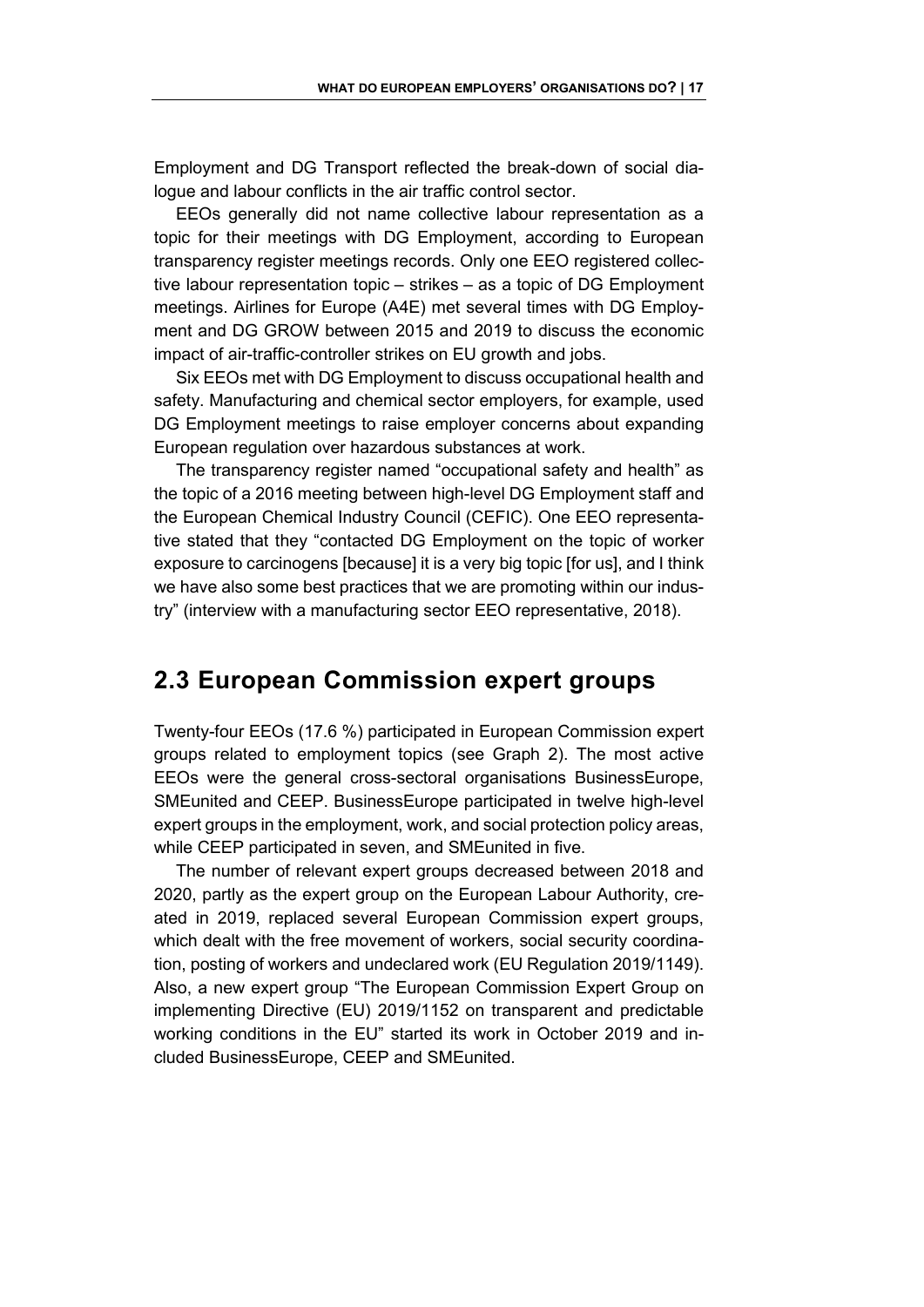Employment and DG Transport reflected the break-down of social dialogue and labour conflicts in the air traffic control sector.

EEOs generally did not name collective labour representation as a topic for their meetings with DG Employment, according to European transparency register meetings records. Only one EEO registered collective labour representation topic – strikes – as a topic of DG Employment meetings. Airlines for Europe (A4E) met several times with DG Employment and DG GROW between 2015 and 2019 to discuss the economic impact of air-traffic-controller strikes on EU growth and jobs.

Six EEOs met with DG Employment to discuss occupational health and safety. Manufacturing and chemical sector employers, for example, used DG Employment meetings to raise employer concerns about expanding European regulation over hazardous substances at work.

The transparency register named "occupational safety and health" as the topic of a 2016 meeting between high-level DG Employment staff and the European Chemical Industry Council (CEFIC). One EEO representative stated that they "contacted DG Employment on the topic of worker exposure to carcinogens [because] it is a very big topic [for us], and I think we have also some best practices that we are promoting within our industry" (interview with a manufacturing sector EEO representative, 2018).

#### <span id="page-16-0"></span>**2.3 European Commission expert groups**

Twenty-four EEOs (17.6 %) participated in European Commission expert groups related to employment topics (see Graph 2). The most active EEOs were the general cross-sectoral organisations BusinessEurope, SMEunited and CEEP. BusinessEurope participated in twelve high-level expert groups in the employment, work, and social protection policy areas, while CEEP participated in seven, and SMEunited in five.

The number of relevant expert groups decreased between 2018 and 2020, partly as the expert group on the European Labour Authority, created in 2019, replaced several European Commission expert groups, which dealt with the free movement of workers, social security coordination, posting of workers and undeclared work (EU Regulation 2019/1149). Also, a new expert group "The European Commission Expert Group on implementing Directive (EU) 2019/1152 on transparent and predictable working conditions in the EU" started its work in October 2019 and included BusinessEurope, CEEP and SMEunited.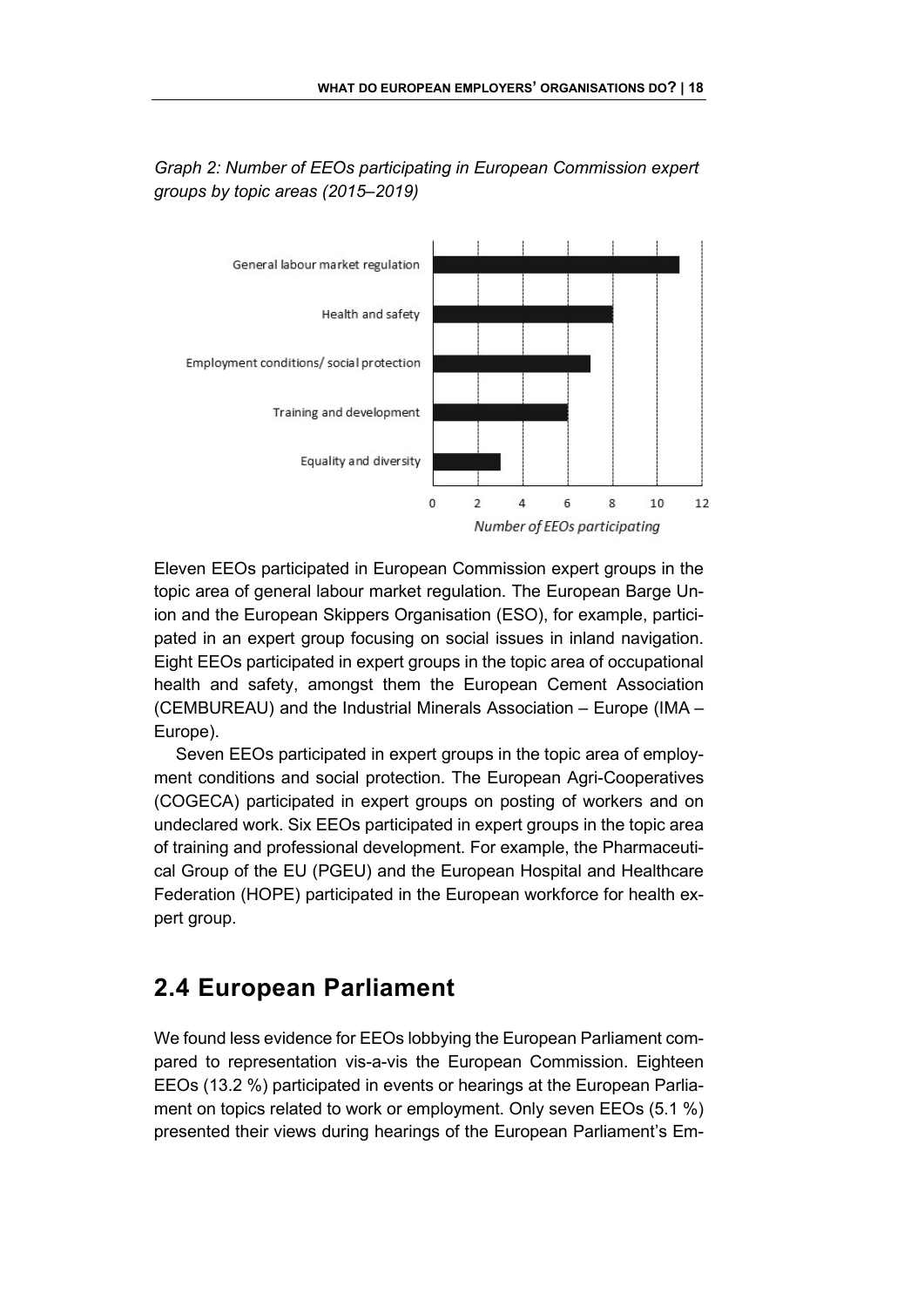

<span id="page-17-1"></span>*Graph 2: Number of EEOs participating in European Commission expert groups by topic areas (2015–2019)*

Eleven EEOs participated in European Commission expert groups in the topic area of general labour market regulation. The European Barge Union and the European Skippers Organisation (ESO), for example, participated in an expert group focusing on social issues in inland navigation. Eight EEOs participated in expert groups in the topic area of occupational health and safety, amongst them the European Cement Association (CEMBUREAU) and the Industrial Minerals Association – Europe (IMA – Europe).

Seven EEOs participated in expert groups in the topic area of employment conditions and social protection. The European Agri-Cooperatives (COGECA) participated in expert groups on posting of workers and on undeclared work. Six EEOs participated in expert groups in the topic area of training and professional development. For example, the Pharmaceutical Group of the EU (PGEU) and the European Hospital and Healthcare Federation (HOPE) participated in the European workforce for health expert group.

## <span id="page-17-0"></span>**2.4 European Parliament**

We found less evidence for EEOs lobbying the European Parliament compared to representation vis-a-vis the European Commission. Eighteen EEOs (13.2 %) participated in events or hearings at the European Parliament on topics related to work or employment. Only seven EEOs (5.1 %) presented their views during hearings of the European Parliament's Em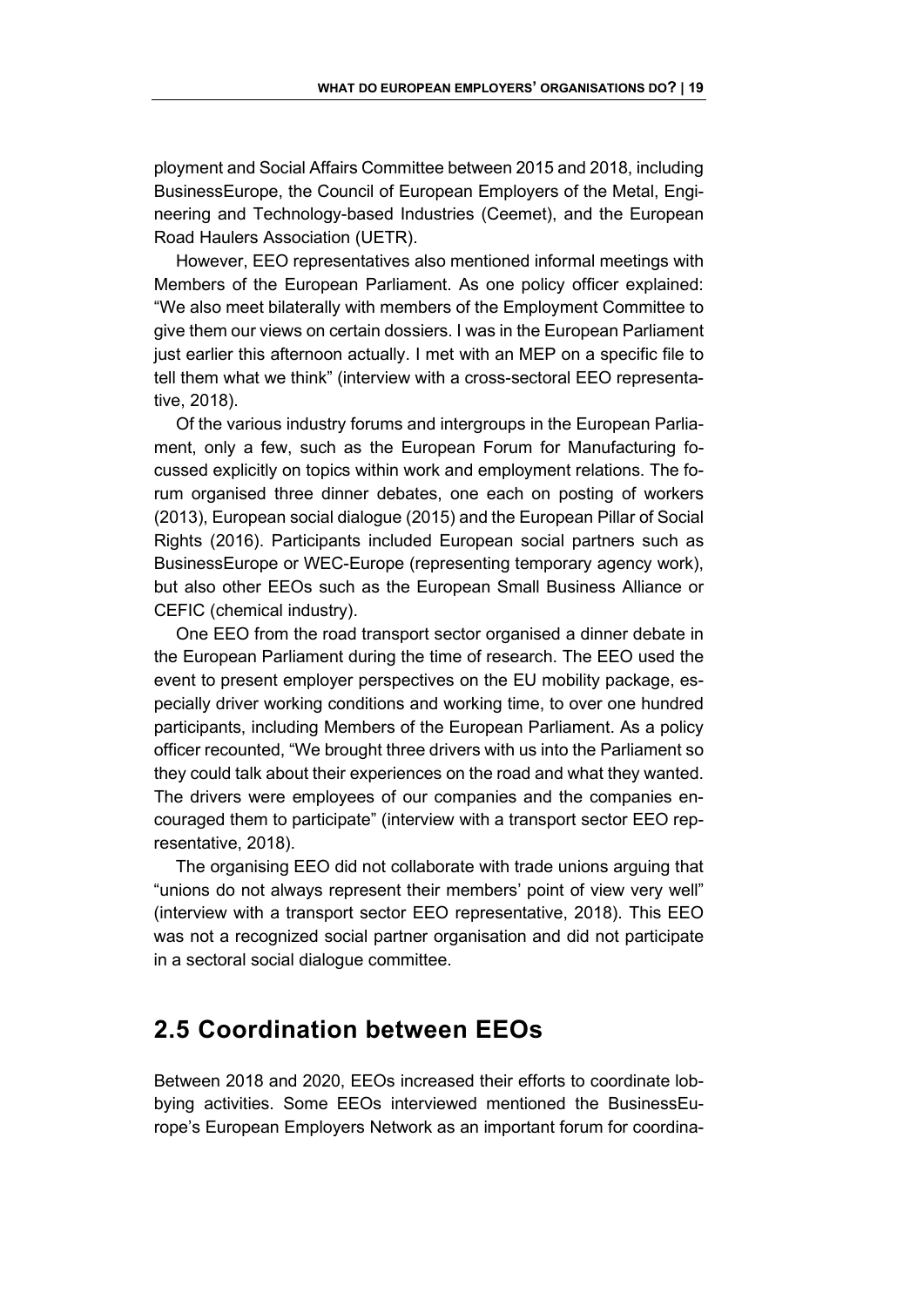ployment and Social Affairs Committee between 2015 and 2018, including BusinessEurope, the Council of European Employers of the Metal, Engineering and Technology-based Industries (Ceemet), and the European Road Haulers Association (UETR).

However, EEO representatives also mentioned informal meetings with Members of the European Parliament. As one policy officer explained: "We also meet bilaterally with members of the Employment Committee to give them our views on certain dossiers. I was in the European Parliament just earlier this afternoon actually. I met with an MEP on a specific file to tell them what we think" (interview with a cross-sectoral EEO representative, 2018).

Of the various industry forums and intergroups in the European Parliament, only a few, such as the European Forum for Manufacturing focussed explicitly on topics within work and employment relations. The forum organised three dinner debates, one each on posting of workers (2013), European social dialogue (2015) and the European Pillar of Social Rights (2016). Participants included European social partners such as BusinessEurope or WEC-Europe (representing temporary agency work), but also other EEOs such as the European Small Business Alliance or CEFIC (chemical industry).

One EEO from the road transport sector organised a dinner debate in the European Parliament during the time of research. The EEO used the event to present employer perspectives on the EU mobility package, especially driver working conditions and working time, to over one hundred participants, including Members of the European Parliament. As a policy officer recounted, "We brought three drivers with us into the Parliament so they could talk about their experiences on the road and what they wanted. The drivers were employees of our companies and the companies encouraged them to participate" (interview with a transport sector EEO representative, 2018).

The organising EEO did not collaborate with trade unions arguing that "unions do not always represent their members' point of view very well" (interview with a transport sector EEO representative, 2018). This EEO was not a recognized social partner organisation and did not participate in a sectoral social dialogue committee.

#### <span id="page-18-0"></span>**2.5 Coordination between EEOs**

Between 2018 and 2020, EEOs increased their efforts to coordinate lobbying activities. Some EEOs interviewed mentioned the BusinessEurope's European Employers Network as an important forum for coordina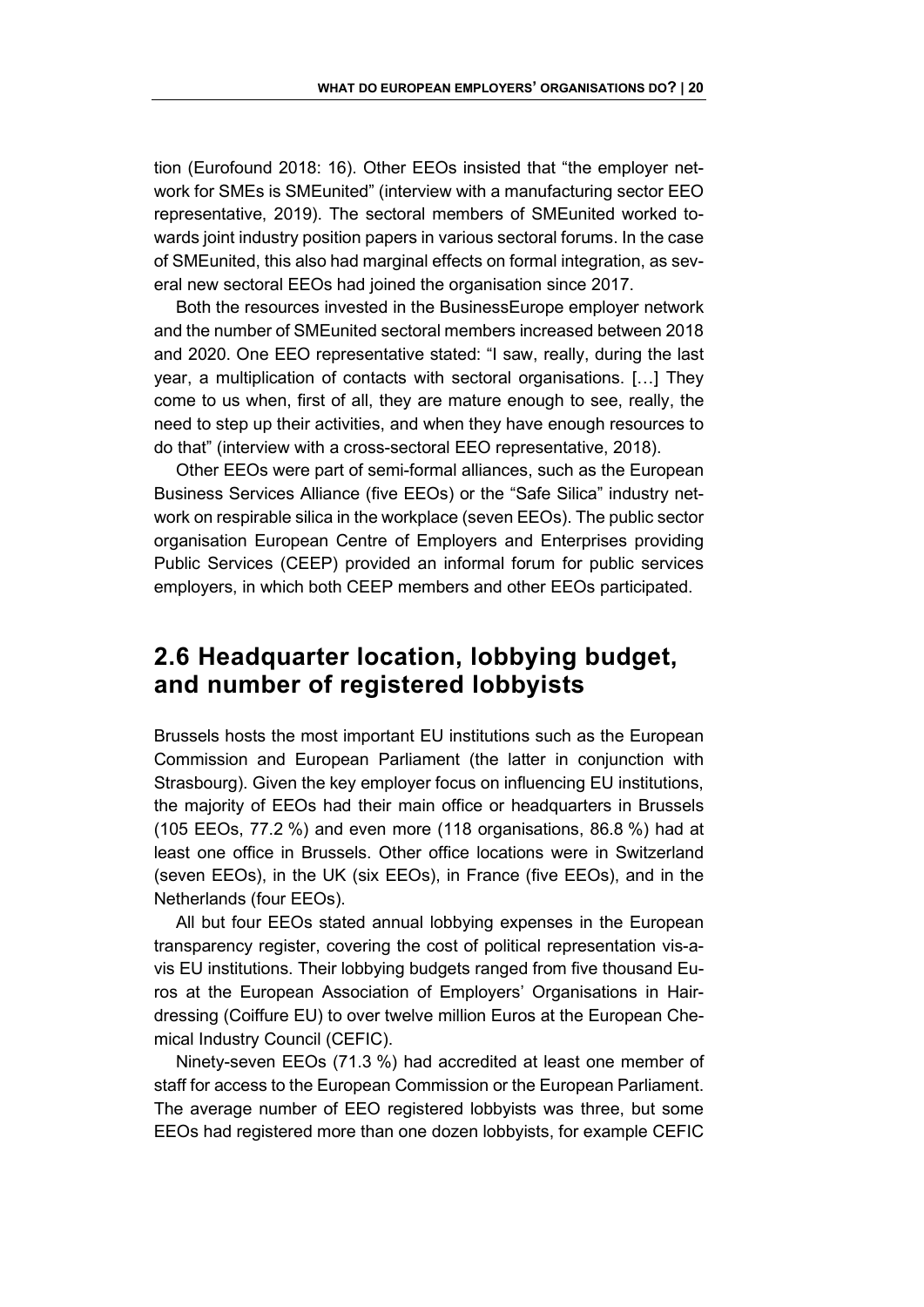tion (Eurofound 2018: 16). Other EEOs insisted that "the employer network for SMEs is SMEunited" (interview with a manufacturing sector EEO representative, 2019). The sectoral members of SMEunited worked towards joint industry position papers in various sectoral forums. In the case of SMEunited, this also had marginal effects on formal integration, as several new sectoral EEOs had joined the organisation since 2017.

Both the resources invested in the BusinessEurope employer network and the number of SMEunited sectoral members increased between 2018 and 2020. One EEO representative stated: "I saw, really, during the last year, a multiplication of contacts with sectoral organisations. […] They come to us when, first of all, they are mature enough to see, really, the need to step up their activities, and when they have enough resources to do that" (interview with a cross-sectoral EEO representative, 2018).

Other EEOs were part of semi-formal alliances, such as the European Business Services Alliance (five EEOs) or the "Safe Silica" industry network on respirable silica in the workplace (seven EEOs). The public sector organisation European Centre of Employers and Enterprises providing Public Services (CEEP) provided an informal forum for public services employers, in which both CEEP members and other EEOs participated.

#### <span id="page-19-0"></span>**2.6 Headquarter location, lobbying budget, and number of registered lobbyists**

Brussels hosts the most important EU institutions such as the European Commission and European Parliament (the latter in conjunction with Strasbourg). Given the key employer focus on influencing EU institutions, the majority of EEOs had their main office or headquarters in Brussels (105 EEOs, 77.2 %) and even more (118 organisations, 86.8 %) had at least one office in Brussels. Other office locations were in Switzerland (seven EEOs), in the UK (six EEOs), in France (five EEOs), and in the Netherlands (four EEOs).

All but four EEOs stated annual lobbying expenses in the European transparency register, covering the cost of political representation vis-avis EU institutions. Their lobbying budgets ranged from five thousand Euros at the European Association of Employers' Organisations in Hairdressing (Coiffure EU) to over twelve million Euros at the European Chemical Industry Council (CEFIC).

Ninety-seven EEOs (71.3 %) had accredited at least one member of staff for access to the European Commission or the European Parliament. The average number of EEO registered lobbyists was three, but some EEOs had registered more than one dozen lobbyists, for example CEFIC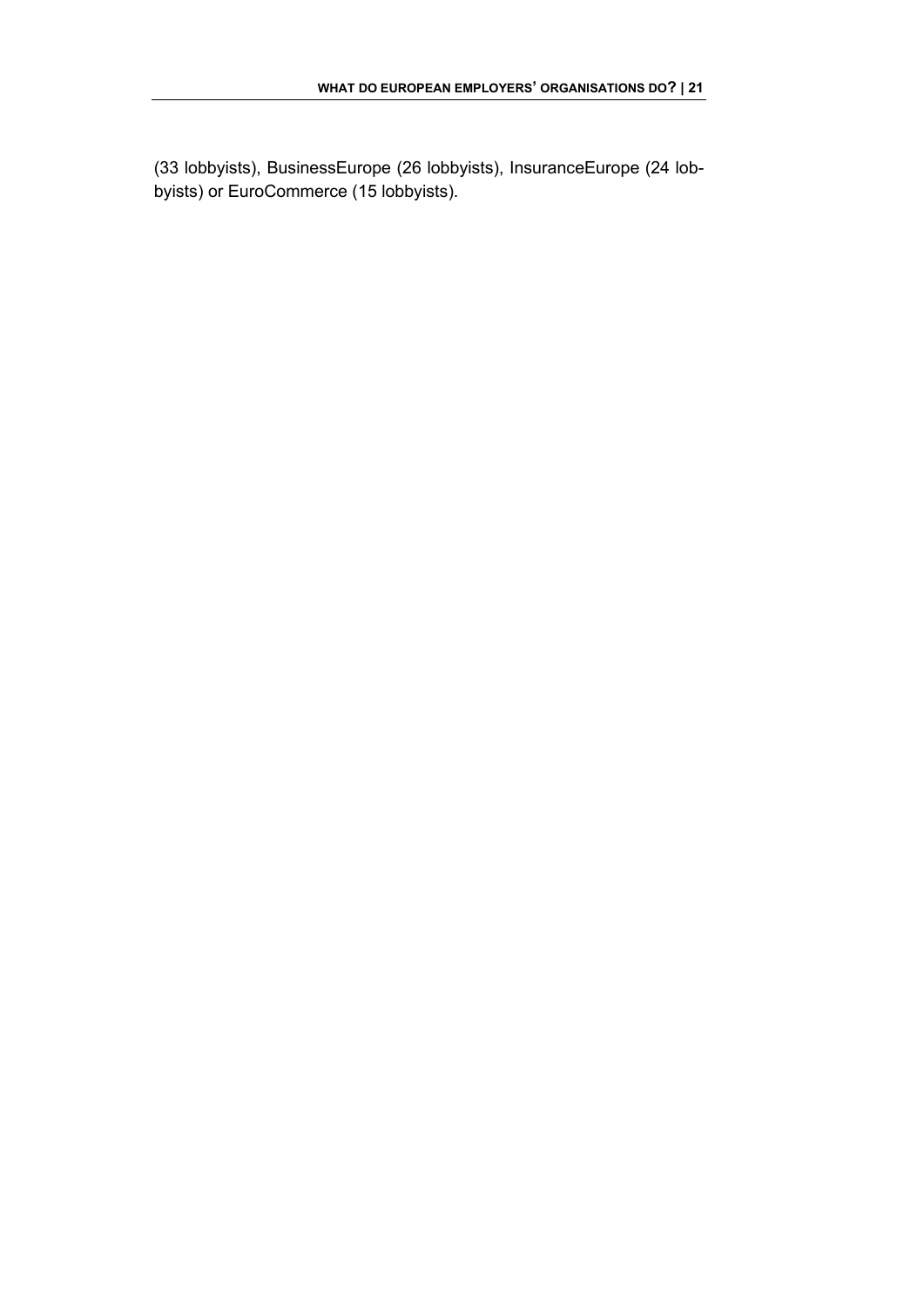(33 lobbyists), BusinessEurope (26 lobbyists), InsuranceEurope (24 lobbyists) or EuroCommerce (15 lobbyists).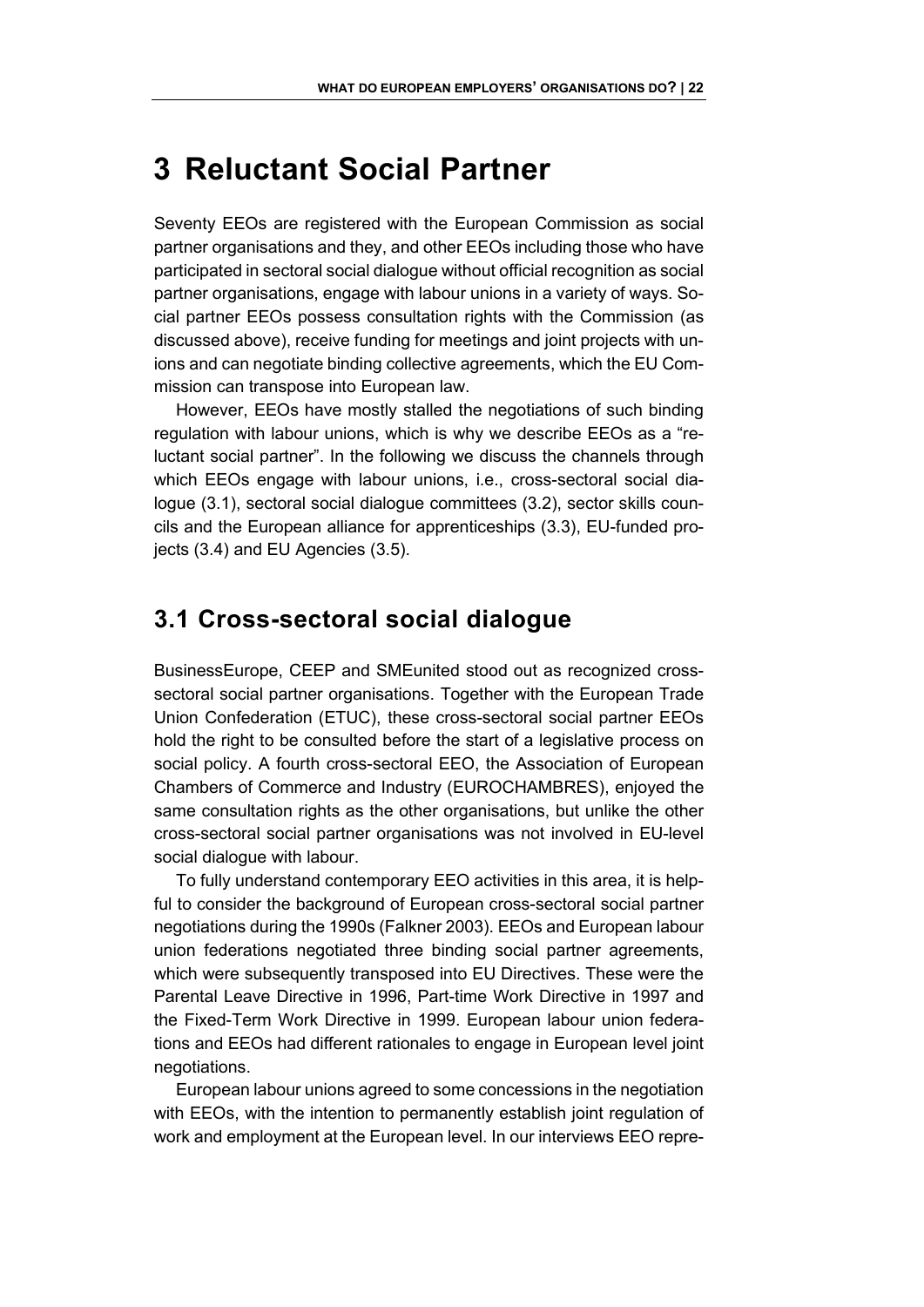# <span id="page-21-0"></span>**3 Reluctant Social Partner**

Seventy EEOs are registered with the European Commission as social partner organisations and they, and other EEOs including those who have participated in sectoral social dialogue without official recognition as social partner organisations, engage with labour unions in a variety of ways. Social partner EEOs possess consultation rights with the Commission (as discussed above), receive funding for meetings and joint projects with unions and can negotiate binding collective agreements, which the EU Commission can transpose into European law.

However, EEOs have mostly stalled the negotiations of such binding regulation with labour unions, which is why we describe EEOs as a "reluctant social partner". In the following we discuss the channels through which EEOs engage with labour unions, i.e., cross-sectoral social dialogue (3.1), sectoral social dialogue committees (3.2), sector skills councils and the European alliance for apprenticeships (3.3), EU-funded projects (3.4) and EU Agencies (3.5).

#### <span id="page-21-1"></span>**3.1 Cross-sectoral social dialogue**

BusinessEurope, CEEP and SMEunited stood out as recognized crosssectoral social partner organisations. Together with the European Trade Union Confederation (ETUC), these cross-sectoral social partner EEOs hold the right to be consulted before the start of a legislative process on social policy. A fourth cross-sectoral EEO, the Association of European Chambers of Commerce and Industry (EUROCHAMBRES), enjoyed the same consultation rights as the other organisations, but unlike the other cross-sectoral social partner organisations was not involved in EU-level social dialogue with labour.

To fully understand contemporary EEO activities in this area, it is helpful to consider the background of European cross-sectoral social partner negotiations during the 1990s (Falkner 2003). EEOs and European labour union federations negotiated three binding social partner agreements, which were subsequently transposed into EU Directives. These were the Parental Leave Directive in 1996, Part-time Work Directive in 1997 and the Fixed-Term Work Directive in 1999. European labour union federations and EEOs had different rationales to engage in European level joint negotiations.

European labour unions agreed to some concessions in the negotiation with EEOs, with the intention to permanently establish joint regulation of work and employment at the European level. In our interviews EEO repre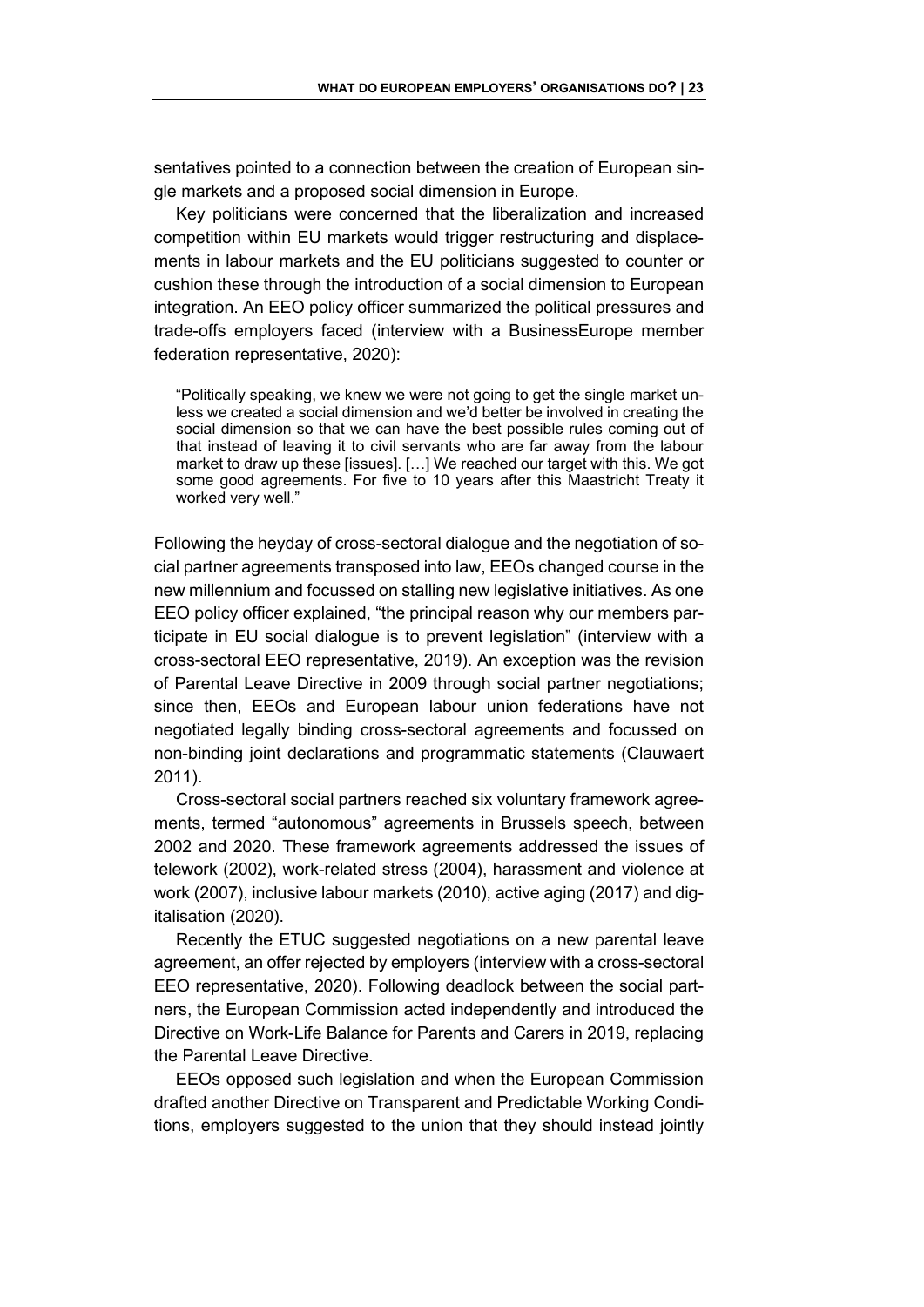sentatives pointed to a connection between the creation of European single markets and a proposed social dimension in Europe.

Key politicians were concerned that the liberalization and increased competition within EU markets would trigger restructuring and displacements in labour markets and the EU politicians suggested to counter or cushion these through the introduction of a social dimension to European integration. An EEO policy officer summarized the political pressures and trade-offs employers faced (interview with a BusinessEurope member federation representative, 2020):

"Politically speaking, we knew we were not going to get the single market unless we created a social dimension and we'd better be involved in creating the social dimension so that we can have the best possible rules coming out of that instead of leaving it to civil servants who are far away from the labour market to draw up these [issues]. […] We reached our target with this. We got some good agreements. For five to 10 years after this Maastricht Treaty it worked very well."

Following the heyday of cross-sectoral dialogue and the negotiation of social partner agreements transposed into law, EEOs changed course in the new millennium and focussed on stalling new legislative initiatives. As one EEO policy officer explained, "the principal reason why our members participate in EU social dialogue is to prevent legislation" (interview with a cross-sectoral EEO representative, 2019). An exception was the revision of Parental Leave Directive in 2009 through social partner negotiations; since then, EEOs and European labour union federations have not negotiated legally binding cross-sectoral agreements and focussed on non-binding joint declarations and programmatic statements (Clauwaert 2011).

Cross-sectoral social partners reached six voluntary framework agreements, termed "autonomous" agreements in Brussels speech, between 2002 and 2020. These framework agreements addressed the issues of telework (2002), work-related stress (2004), harassment and violence at work (2007), inclusive labour markets (2010), active aging (2017) and digitalisation (2020).

Recently the ETUC suggested negotiations on a new parental leave agreement, an offer rejected by employers (interview with a cross-sectoral EEO representative, 2020). Following deadlock between the social partners, the European Commission acted independently and introduced the Directive on Work-Life Balance for Parents and Carers in 2019, replacing the Parental Leave Directive.

EEOs opposed such legislation and when the European Commission drafted another Directive on Transparent and Predictable Working Conditions, employers suggested to the union that they should instead jointly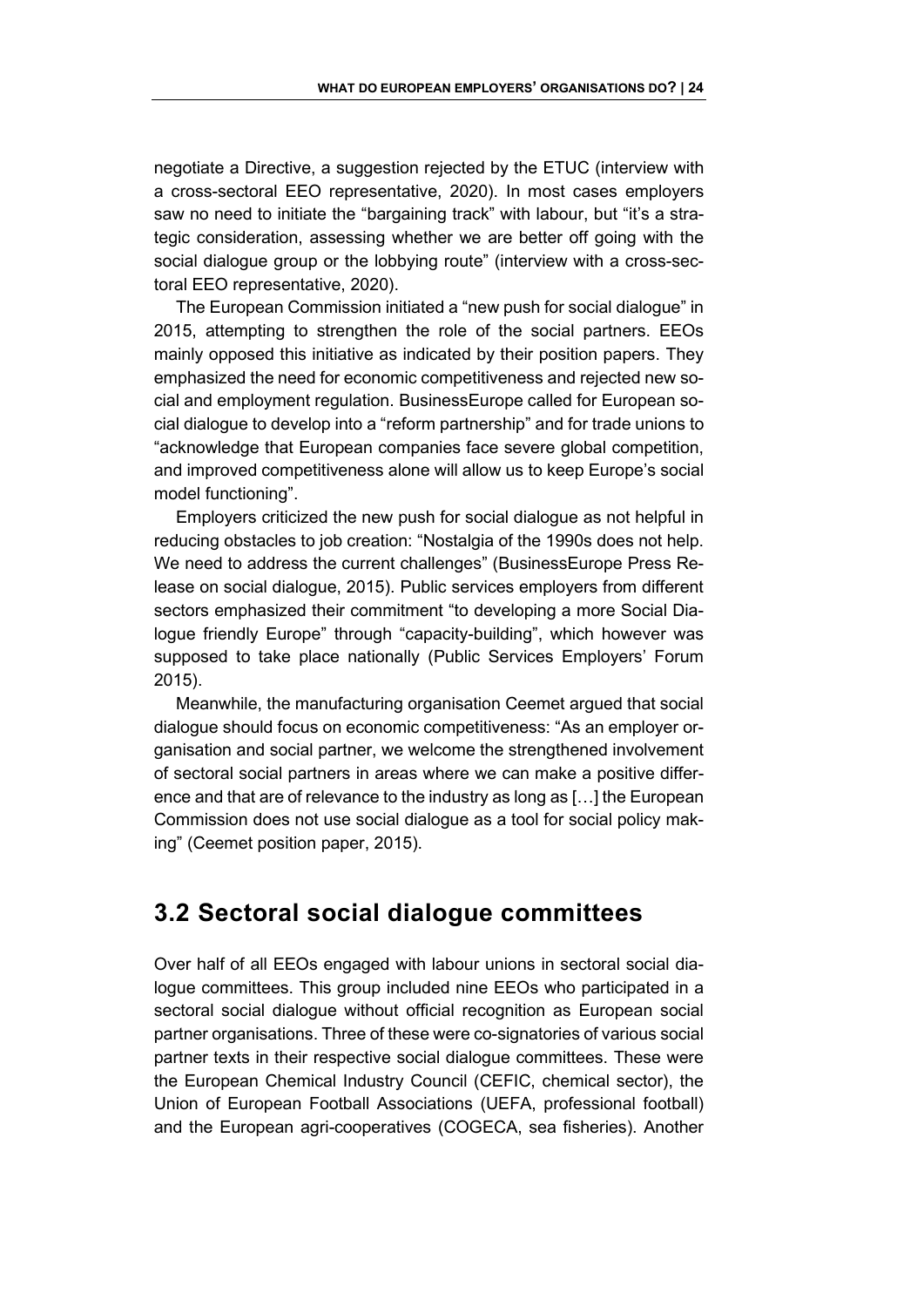negotiate a Directive, a suggestion rejected by the ETUC (interview with a cross-sectoral EEO representative, 2020). In most cases employers saw no need to initiate the "bargaining track" with labour, but "it's a strategic consideration, assessing whether we are better off going with the social dialogue group or the lobbying route" (interview with a cross-sectoral EEO representative, 2020).

The European Commission initiated a "new push for social dialogue" in 2015, attempting to strengthen the role of the social partners. EEOs mainly opposed this initiative as indicated by their position papers. They emphasized the need for economic competitiveness and rejected new social and employment regulation. BusinessEurope called for European social dialogue to develop into a "reform partnership" and for trade unions to "acknowledge that European companies face severe global competition, and improved competitiveness alone will allow us to keep Europe's social model functioning".

Employers criticized the new push for social dialogue as not helpful in reducing obstacles to job creation: "Nostalgia of the 1990s does not help. We need to address the current challenges" (BusinessEurope Press Release on social dialogue, 2015). Public services employers from different sectors emphasized their commitment "to developing a more Social Dialogue friendly Europe" through "capacity-building", which however was supposed to take place nationally (Public Services Employers' Forum 2015).

Meanwhile, the manufacturing organisation Ceemet argued that social dialogue should focus on economic competitiveness: "As an employer organisation and social partner, we welcome the strengthened involvement of sectoral social partners in areas where we can make a positive difference and that are of relevance to the industry as long as […] the European Commission does not use social dialogue as a tool for social policy making" (Ceemet position paper, 2015).

#### <span id="page-23-0"></span>**3.2 Sectoral social dialogue committees**

Over half of all EEOs engaged with labour unions in sectoral social dialogue committees. This group included nine EEOs who participated in a sectoral social dialogue without official recognition as European social partner organisations. Three of these were co-signatories of various social partner texts in their respective social dialogue committees. These were the European Chemical Industry Council (CEFIC, chemical sector), the Union of European Football Associations (UEFA, professional football) and the European agri-cooperatives (COGECA, sea fisheries). Another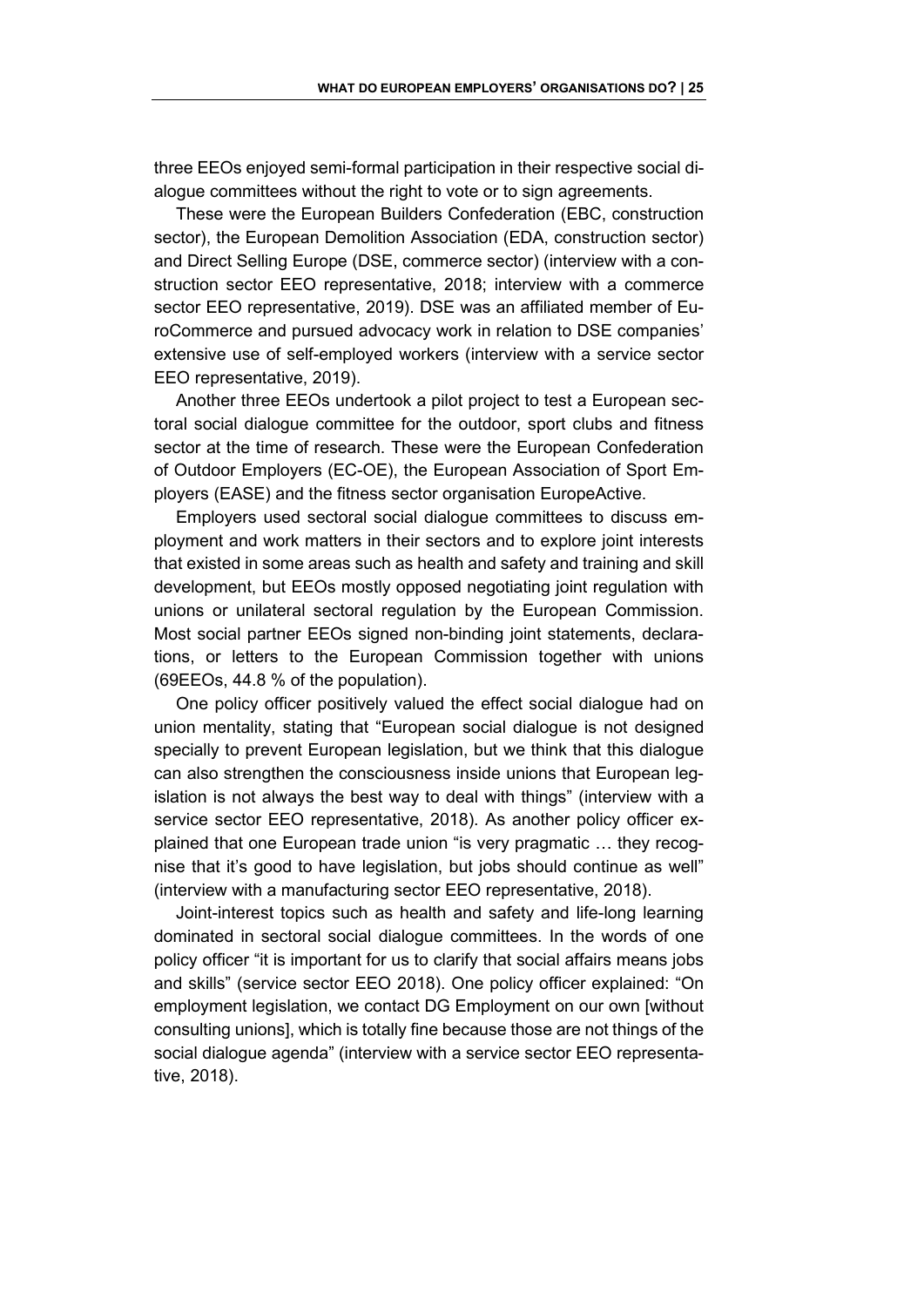three EEOs enjoyed semi-formal participation in their respective social dialogue committees without the right to vote or to sign agreements.

These were the European Builders Confederation (EBC, construction sector), the European Demolition Association (EDA, construction sector) and Direct Selling Europe (DSE, commerce sector) (interview with a construction sector EEO representative, 2018; interview with a commerce sector EEO representative, 2019). DSE was an affiliated member of EuroCommerce and pursued advocacy work in relation to DSE companies' extensive use of self-employed workers (interview with a service sector EEO representative, 2019).

Another three EEOs undertook a pilot project to test a European sectoral social dialogue committee for the outdoor, sport clubs and fitness sector at the time of research. These were the European Confederation of Outdoor Employers (EC-OE), the European Association of Sport Employers (EASE) and the fitness sector organisation EuropeActive.

Employers used sectoral social dialogue committees to discuss employment and work matters in their sectors and to explore joint interests that existed in some areas such as health and safety and training and skill development, but EEOs mostly opposed negotiating joint regulation with unions or unilateral sectoral regulation by the European Commission. Most social partner EEOs signed non-binding joint statements, declarations, or letters to the European Commission together with unions (69EEOs, 44.8 % of the population).

One policy officer positively valued the effect social dialogue had on union mentality, stating that "European social dialogue is not designed specially to prevent European legislation, but we think that this dialogue can also strengthen the consciousness inside unions that European legislation is not always the best way to deal with things" (interview with a service sector EEO representative, 2018). As another policy officer explained that one European trade union "is very pragmatic … they recognise that it's good to have legislation, but jobs should continue as well" (interview with a manufacturing sector EEO representative, 2018).

Joint-interest topics such as health and safety and life-long learning dominated in sectoral social dialogue committees. In the words of one policy officer "it is important for us to clarify that social affairs means jobs and skills" (service sector EEO 2018). One policy officer explained: "On employment legislation, we contact DG Employment on our own [without consulting unions], which is totally fine because those are not things of the social dialogue agenda" (interview with a service sector EEO representative, 2018).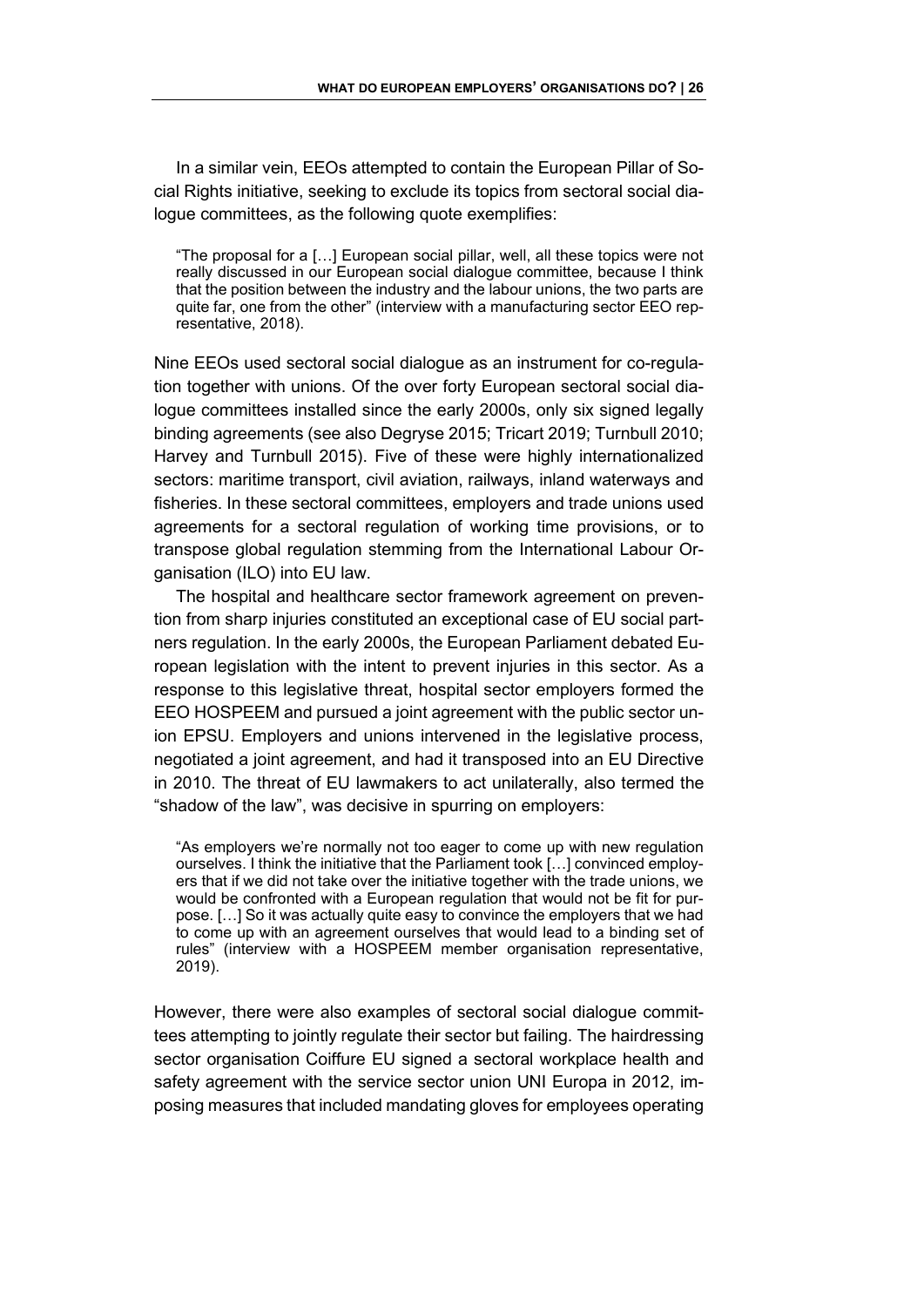In a similar vein, EEOs attempted to contain the European Pillar of Social Rights initiative, seeking to exclude its topics from sectoral social dialogue committees, as the following quote exemplifies:

"The proposal for a […] European social pillar, well, all these topics were not really discussed in our European social dialogue committee, because I think that the position between the industry and the labour unions, the two parts are quite far, one from the other" (interview with a manufacturing sector EEO representative, 2018).

Nine EEOs used sectoral social dialogue as an instrument for co-regulation together with unions. Of the over forty European sectoral social dialogue committees installed since the early 2000s, only six signed legally binding agreements (see also Degryse 2015; Tricart 2019; Turnbull 2010; Harvey and Turnbull 2015). Five of these were highly internationalized sectors: maritime transport, civil aviation, railways, inland waterways and fisheries. In these sectoral committees, employers and trade unions used agreements for a sectoral regulation of working time provisions, or to transpose global regulation stemming from the International Labour Organisation (ILO) into EU law.

The hospital and healthcare sector framework agreement on prevention from sharp injuries constituted an exceptional case of EU social partners regulation. In the early 2000s, the European Parliament debated European legislation with the intent to prevent injuries in this sector. As a response to this legislative threat, hospital sector employers formed the EEO HOSPEEM and pursued a joint agreement with the public sector union EPSU. Employers and unions intervened in the legislative process, negotiated a joint agreement, and had it transposed into an EU Directive in 2010. The threat of EU lawmakers to act unilaterally, also termed the "shadow of the law", was decisive in spurring on employers:

"As employers we're normally not too eager to come up with new regulation ourselves. I think the initiative that the Parliament took […] convinced employers that if we did not take over the initiative together with the trade unions, we would be confronted with a European regulation that would not be fit for purpose. […] So it was actually quite easy to convince the employers that we had to come up with an agreement ourselves that would lead to a binding set of rules" (interview with a HOSPEEM member organisation representative, 2019).

However, there were also examples of sectoral social dialogue committees attempting to jointly regulate their sector but failing. The hairdressing sector organisation Coiffure EU signed a sectoral workplace health and safety agreement with the service sector union UNI Europa in 2012, imposing measures that included mandating gloves for employees operating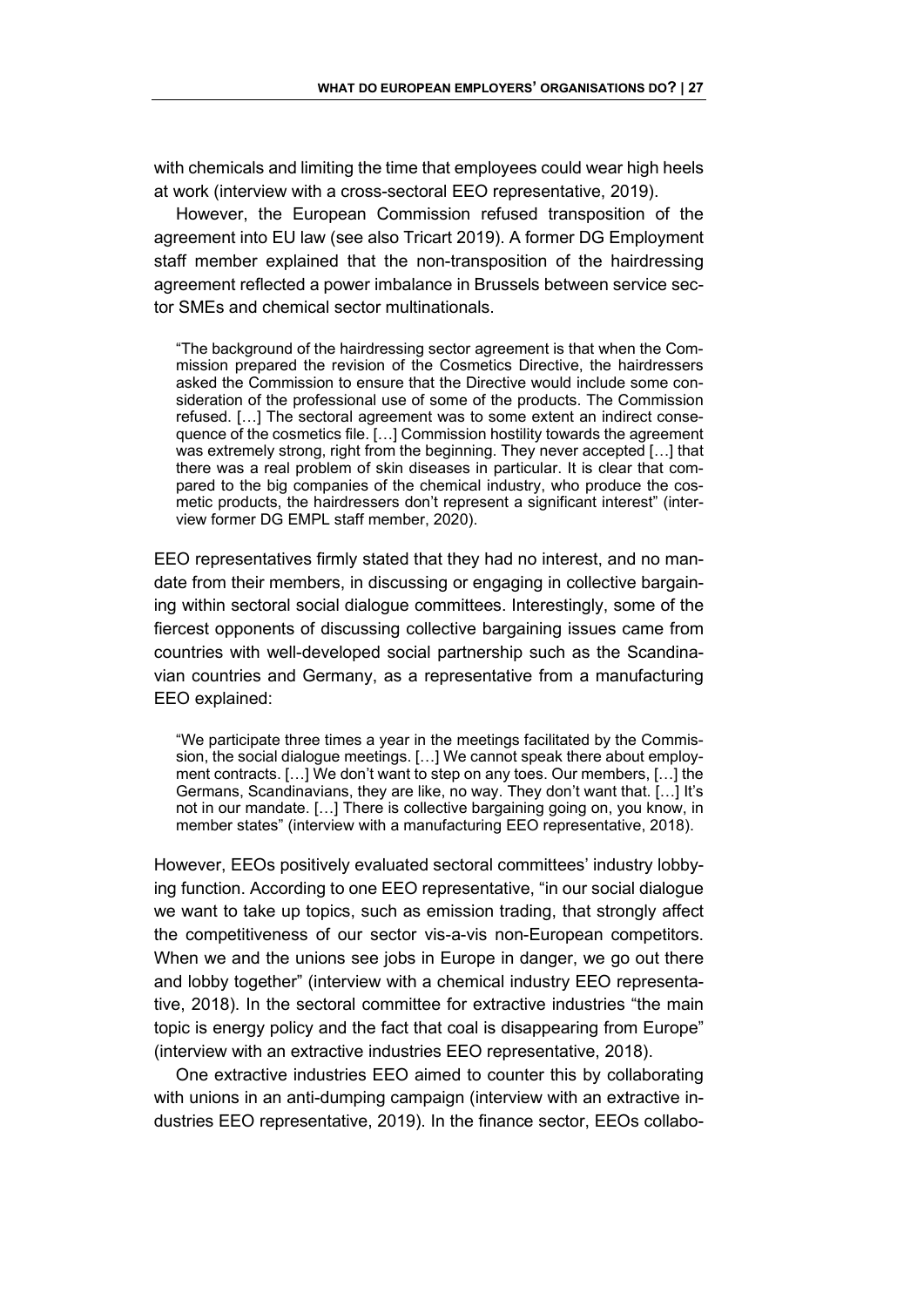with chemicals and limiting the time that employees could wear high heels at work (interview with a cross-sectoral EEO representative, 2019).

However, the European Commission refused transposition of the agreement into EU law (see also Tricart 2019). A former DG Employment staff member explained that the non-transposition of the hairdressing agreement reflected a power imbalance in Brussels between service sector SMEs and chemical sector multinationals.

"The background of the hairdressing sector agreement is that when the Commission prepared the revision of the Cosmetics Directive, the hairdressers asked the Commission to ensure that the Directive would include some consideration of the professional use of some of the products. The Commission refused. […] The sectoral agreement was to some extent an indirect consequence of the cosmetics file. […] Commission hostility towards the agreement was extremely strong, right from the beginning. They never accepted […] that there was a real problem of skin diseases in particular. It is clear that compared to the big companies of the chemical industry, who produce the cosmetic products, the hairdressers don't represent a significant interest" (interview former DG EMPL staff member, 2020).

EEO representatives firmly stated that they had no interest, and no mandate from their members, in discussing or engaging in collective bargaining within sectoral social dialogue committees. Interestingly, some of the fiercest opponents of discussing collective bargaining issues came from countries with well-developed social partnership such as the Scandinavian countries and Germany, as a representative from a manufacturing EEO explained:

"We participate three times a year in the meetings facilitated by the Commission, the social dialogue meetings. […] We cannot speak there about employment contracts. […] We don't want to step on any toes. Our members, […] the Germans, Scandinavians, they are like, no way. They don't want that. […] It's not in our mandate. […] There is collective bargaining going on, you know, in member states" (interview with a manufacturing EEO representative, 2018).

However, EEOs positively evaluated sectoral committees' industry lobbying function. According to one EEO representative, "in our social dialogue we want to take up topics, such as emission trading, that strongly affect the competitiveness of our sector vis-a-vis non-European competitors. When we and the unions see jobs in Europe in danger, we go out there and lobby together" (interview with a chemical industry EEO representative, 2018). In the sectoral committee for extractive industries "the main topic is energy policy and the fact that coal is disappearing from Europe" (interview with an extractive industries EEO representative, 2018).

One extractive industries EEO aimed to counter this by collaborating with unions in an anti-dumping campaign (interview with an extractive industries EEO representative, 2019). In the finance sector, EEOs collabo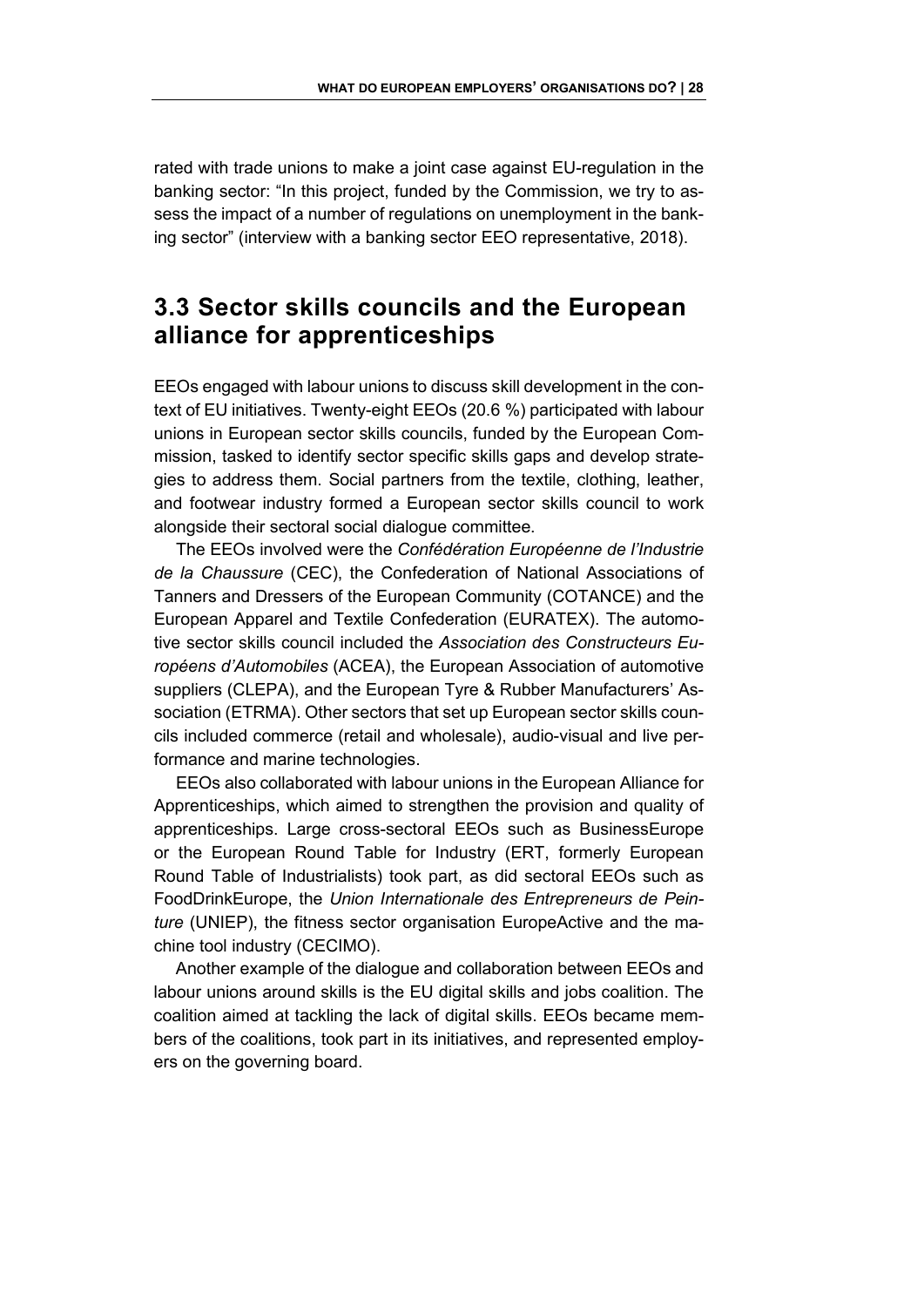rated with trade unions to make a joint case against EU-regulation in the banking sector: "In this project, funded by the Commission, we try to assess the impact of a number of regulations on unemployment in the banking sector" (interview with a banking sector EEO representative, 2018).

#### <span id="page-27-0"></span>**3.3 Sector skills councils and the European alliance for apprenticeships**

EEOs engaged with labour unions to discuss skill development in the context of EU initiatives. Twenty-eight EEOs (20.6 %) participated with labour unions in European sector skills councils, funded by the European Commission, tasked to identify sector specific skills gaps and develop strategies to address them. Social partners from the textile, clothing, leather, and footwear industry formed a European sector skills council to work alongside their sectoral social dialogue committee.

The EEOs involved were the *Confédération Européenne de l'Industrie de la Chaussure* (CEC), the Confederation of National Associations of Tanners and Dressers of the European Community (COTANCE) and the European Apparel and Textile Confederation (EURATEX). The automotive sector skills council included the *Association des Constructeurs Européens d'Automobiles* (ACEA), the European Association of automotive suppliers (CLEPA), and the European Tyre & Rubber Manufacturers' Association (ETRMA). Other sectors that set up European sector skills councils included commerce (retail and wholesale), audio-visual and live performance and marine technologies.

EEOs also collaborated with labour unions in the European Alliance for Apprenticeships, which aimed to strengthen the provision and quality of apprenticeships. Large cross-sectoral EEOs such as BusinessEurope or the European Round Table for Industry (ERT, formerly European Round Table of Industrialists) took part, as did sectoral EEOs such as FoodDrinkEurope, the *Union Internationale des Entrepreneurs de Peinture* (UNIEP), the fitness sector organisation EuropeActive and the machine tool industry (CECIMO).

Another example of the dialogue and collaboration between EEOs and labour unions around skills is the EU digital skills and jobs coalition. The coalition aimed at tackling the lack of digital skills. EEOs became members of the coalitions, took part in its initiatives, and represented employers on the governing board.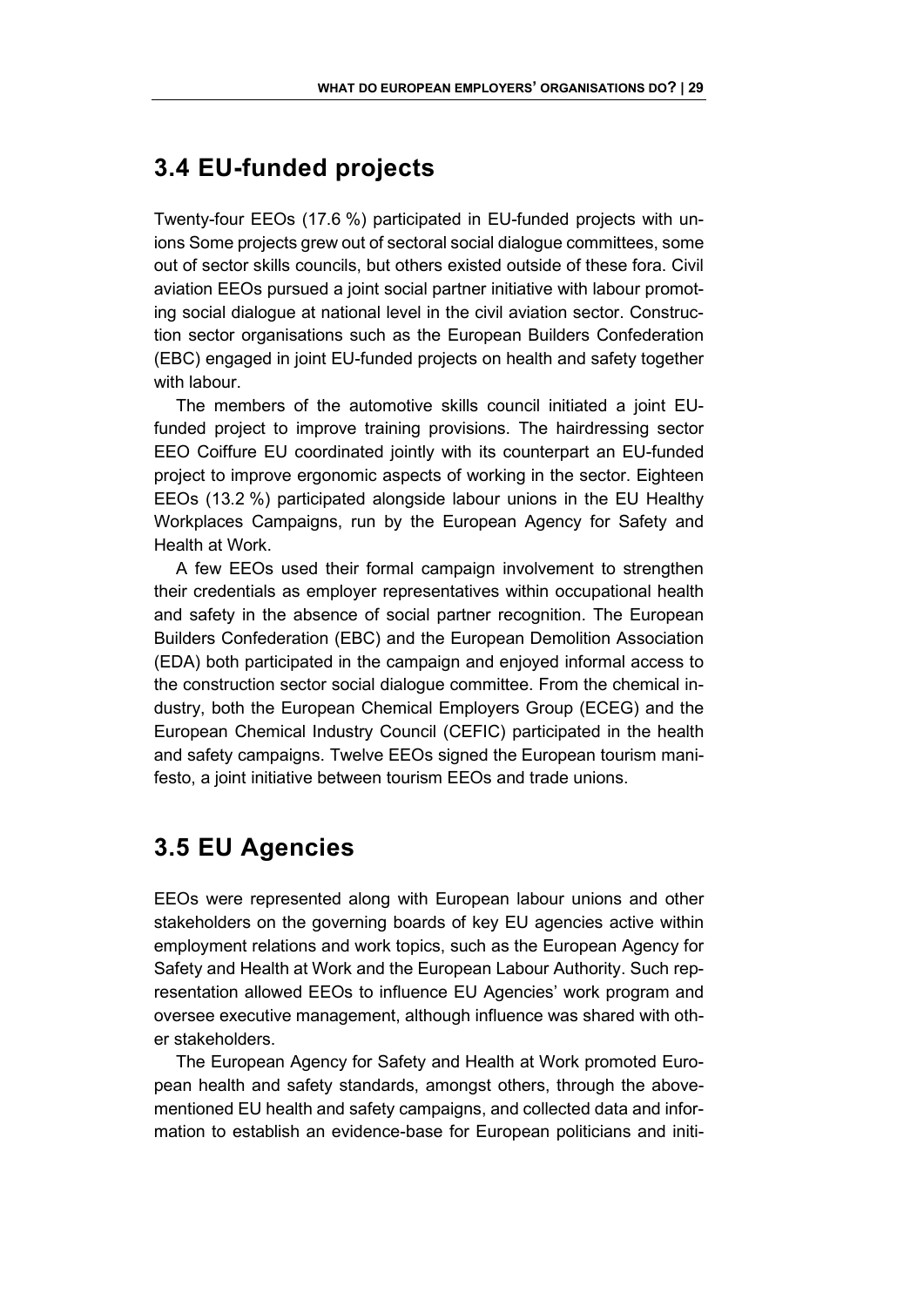### <span id="page-28-0"></span>**3.4 EU-funded projects**

Twenty-four EEOs (17.6 %) participated in EU-funded projects with unions Some projects grew out of sectoral social dialogue committees, some out of sector skills councils, but others existed outside of these fora. Civil aviation EEOs pursued a joint social partner initiative with labour promoting social dialogue at national level in the civil aviation sector. Construction sector organisations such as the European Builders Confederation (EBC) engaged in joint EU-funded projects on health and safety together with labour.

The members of the automotive skills council initiated a joint EUfunded project to improve training provisions. The hairdressing sector EEO Coiffure EU coordinated jointly with its counterpart an EU-funded project to improve ergonomic aspects of working in the sector. Eighteen EEOs (13.2 %) participated alongside labour unions in the EU Healthy Workplaces Campaigns, run by the European Agency for Safety and Health at Work.

A few EEOs used their formal campaign involvement to strengthen their credentials as employer representatives within occupational health and safety in the absence of social partner recognition. The European Builders Confederation (EBC) and the European Demolition Association (EDA) both participated in the campaign and enjoyed informal access to the construction sector social dialogue committee. From the chemical industry, both the European Chemical Employers Group (ECEG) and the European Chemical Industry Council (CEFIC) participated in the health and safety campaigns. Twelve EEOs signed the European tourism manifesto, a joint initiative between tourism EEOs and trade unions.

### <span id="page-28-1"></span>**3.5 EU Agencies**

EEOs were represented along with European labour unions and other stakeholders on the governing boards of key EU agencies active within employment relations and work topics, such as the European Agency for Safety and Health at Work and the European Labour Authority. Such representation allowed EEOs to influence EU Agencies' work program and oversee executive management, although influence was shared with other stakeholders.

The European Agency for Safety and Health at Work promoted European health and safety standards, amongst others, through the abovementioned EU health and safety campaigns, and collected data and information to establish an evidence-base for European politicians and initi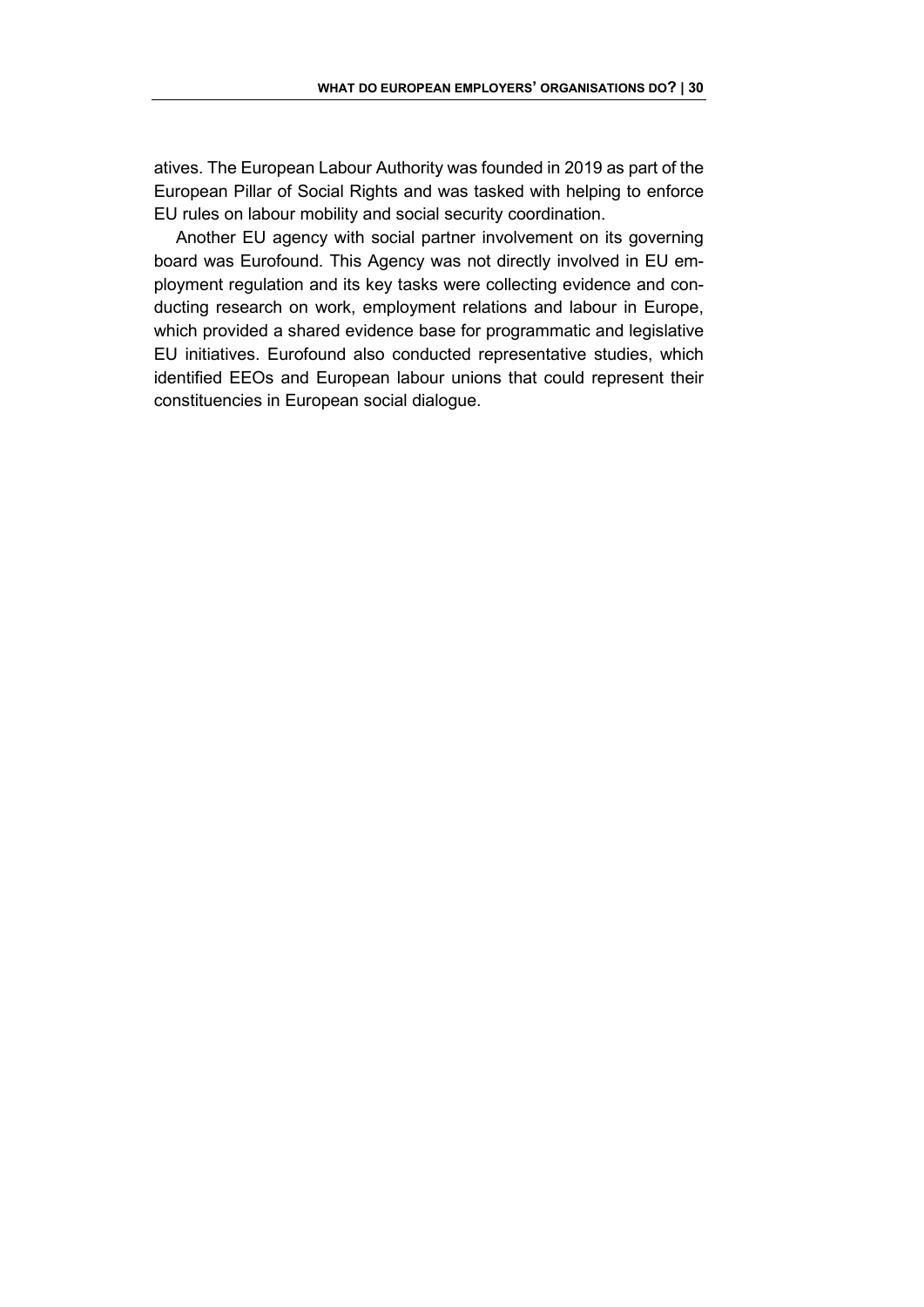atives. The European Labour Authority was founded in 2019 as part of the European Pillar of Social Rights and was tasked with helping to enforce EU rules on labour mobility and social security coordination.

Another EU agency with social partner involvement on its governing board was Eurofound. This Agency was not directly involved in EU employment regulation and its key tasks were collecting evidence and conducting research on work, employment relations and labour in Europe, which provided a shared evidence base for programmatic and legislative EU initiatives. Eurofound also conducted representative studies, which identified EEOs and European labour unions that could represent their constituencies in European social dialogue.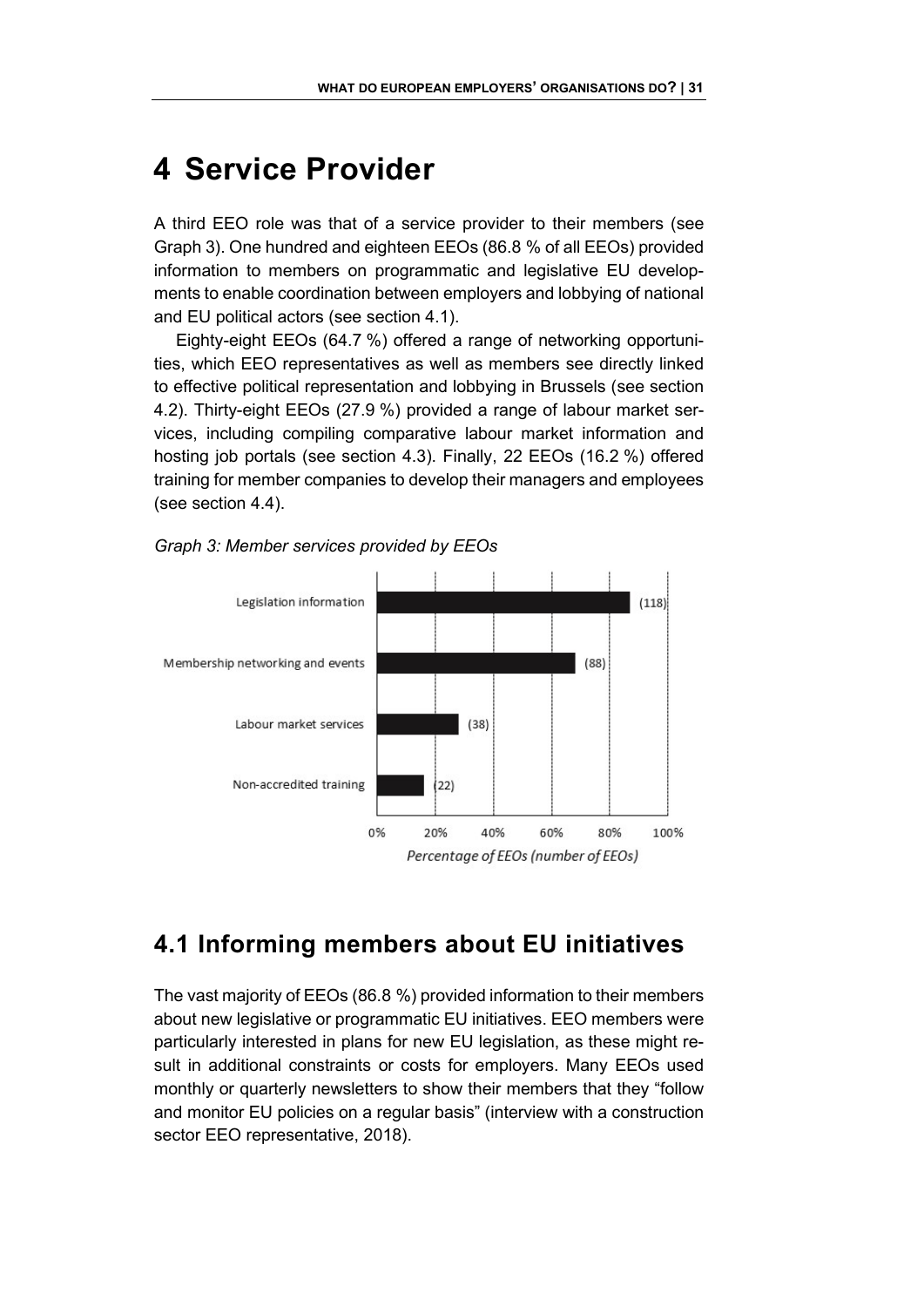# <span id="page-30-0"></span>**4 Service Provider**

A third EEO role was that of a service provider to their members (see Graph 3). One hundred and eighteen EEOs (86.8 % of all EEOs) provided information to members on programmatic and legislative EU developments to enable coordination between employers and lobbying of national and EU political actors (see section 4.1).

Eighty-eight EEOs (64.7 %) offered a range of networking opportunities, which EEO representatives as well as members see directly linked to effective political representation and lobbying in Brussels (see section 4.2). Thirty-eight EEOs (27.9 %) provided a range of labour market services, including compiling comparative labour market information and hosting job portals (see section 4.3). Finally, 22 EEOs (16.2 %) offered training for member companies to develop their managers and employees (see section 4.4).

<span id="page-30-2"></span>



#### <span id="page-30-1"></span>**4.1 Informing members about EU initiatives**

The vast majority of EEOs (86.8 %) provided information to their members about new legislative or programmatic EU initiatives. EEO members were particularly interested in plans for new EU legislation, as these might result in additional constraints or costs for employers. Many EEOs used monthly or quarterly newsletters to show their members that they "follow and monitor EU policies on a regular basis" (interview with a construction sector EEO representative, 2018).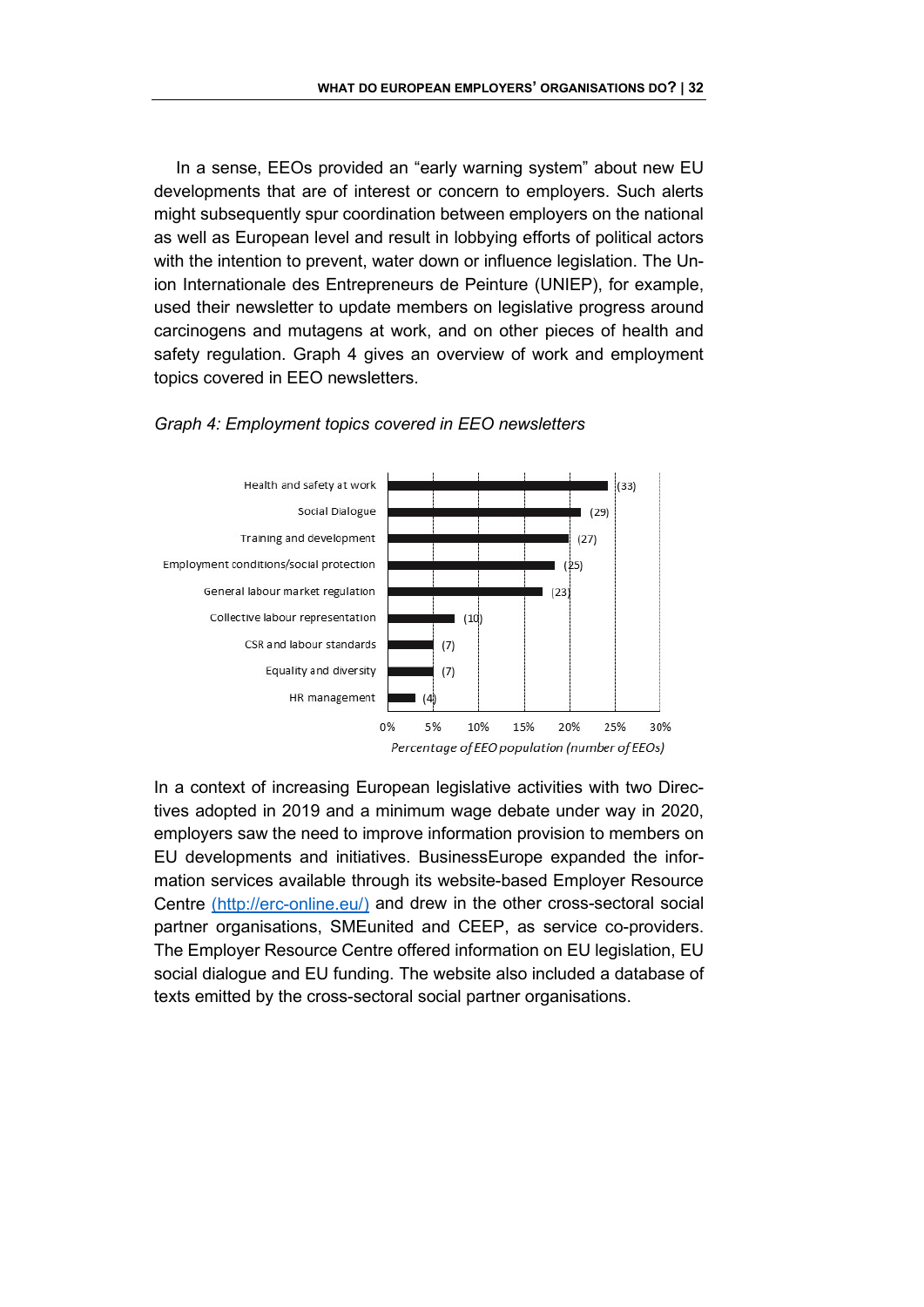In a sense, EEOs provided an "early warning system" about new EU developments that are of interest or concern to employers. Such alerts might subsequently spur coordination between employers on the national as well as European level and result in lobbying efforts of political actors with the intention to prevent, water down or influence legislation. The Union Internationale des Entrepreneurs de Peinture (UNIEP), for example, used their newsletter to update members on legislative progress around carcinogens and mutagens at work, and on other pieces of health and safety regulation. Graph 4 gives an overview of work and employment topics covered in EEO newsletters.



#### <span id="page-31-0"></span>*Graph 4: Employment topics covered in EEO newsletters*

In a context of increasing European legislative activities with two Directives adopted in 2019 and a minimum wage debate under way in 2020, employers saw the need to improve information provision to members on EU developments and initiatives. BusinessEurope expanded the information services available through its website-based Employer Resource Centre [\(http://erc-online.eu/\)](http://erc-online.eu/) and drew in the other cross-sectoral social partner organisations, SMEunited and CEEP, as service co-providers. The Employer Resource Centre offered information on EU legislation, EU social dialogue and EU funding. The website also included a database of texts emitted by the cross-sectoral social partner organisations.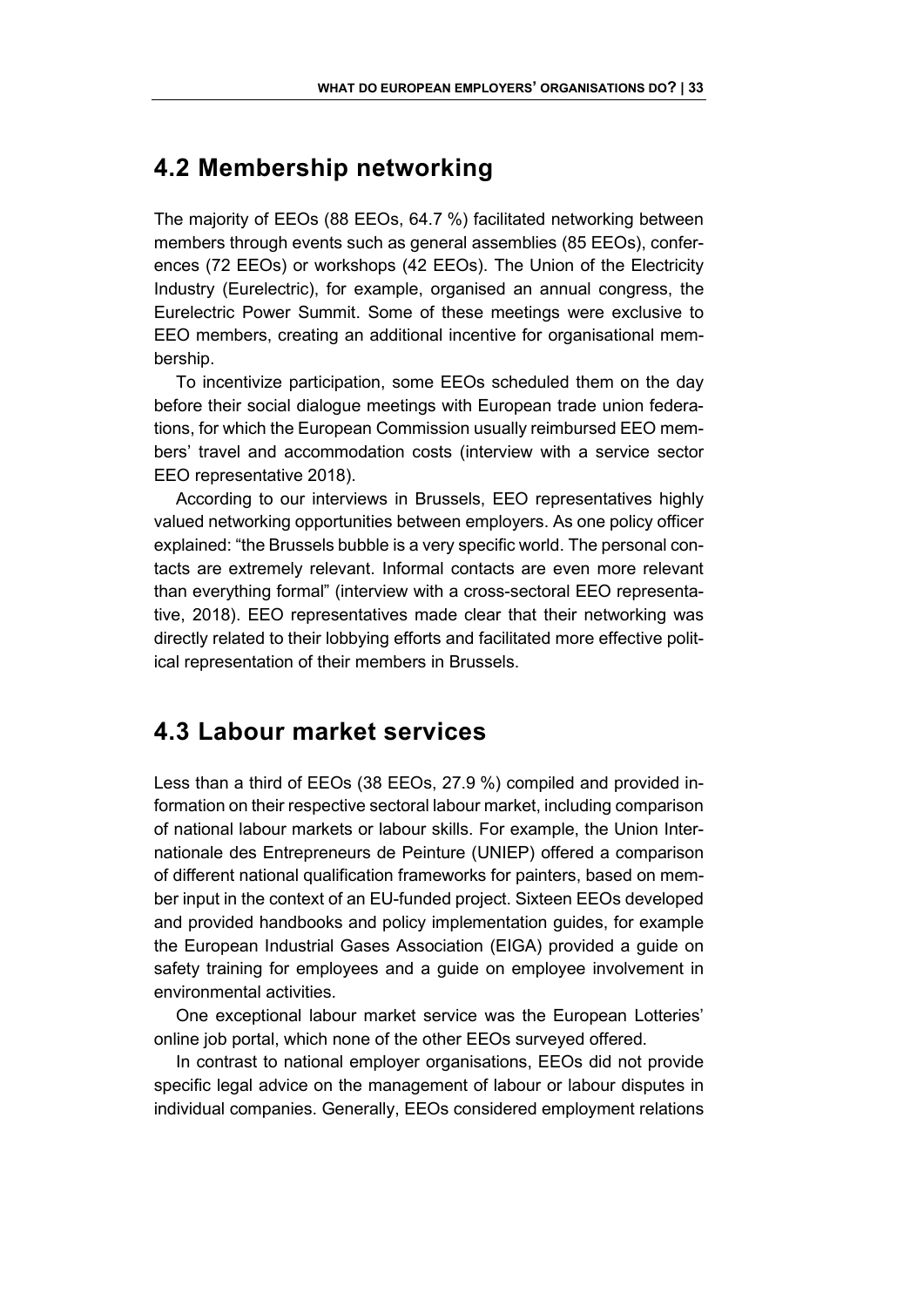### <span id="page-32-0"></span>**4.2 Membership networking**

The majority of EEOs (88 EEOs, 64.7 %) facilitated networking between members through events such as general assemblies (85 EEOs), conferences (72 EEOs) or workshops (42 EEOs). The Union of the Electricity Industry (Eurelectric), for example, organised an annual congress, the Eurelectric Power Summit. Some of these meetings were exclusive to EEO members, creating an additional incentive for organisational membership.

To incentivize participation, some EEOs scheduled them on the day before their social dialogue meetings with European trade union federations, for which the European Commission usually reimbursed EEO members' travel and accommodation costs (interview with a service sector EEO representative 2018).

According to our interviews in Brussels, EEO representatives highly valued networking opportunities between employers. As one policy officer explained: "the Brussels bubble is a very specific world. The personal contacts are extremely relevant. Informal contacts are even more relevant than everything formal" (interview with a cross-sectoral EEO representative, 2018). EEO representatives made clear that their networking was directly related to their lobbying efforts and facilitated more effective political representation of their members in Brussels.

#### <span id="page-32-1"></span>**4.3 Labour market services**

Less than a third of EEOs (38 EEOs, 27.9 %) compiled and provided information on their respective sectoral labour market, including comparison of national labour markets or labour skills. For example, the Union Internationale des Entrepreneurs de Peinture (UNIEP) offered a comparison of different national qualification frameworks for painters, based on member input in the context of an EU-funded project. Sixteen EEOs developed and provided handbooks and policy implementation guides, for example the European Industrial Gases Association (EIGA) provided a guide on safety training for employees and a guide on employee involvement in environmental activities.

One exceptional labour market service was the European Lotteries' online job portal, which none of the other EEOs surveyed offered.

In contrast to national employer organisations, EEOs did not provide specific legal advice on the management of labour or labour disputes in individual companies. Generally, EEOs considered employment relations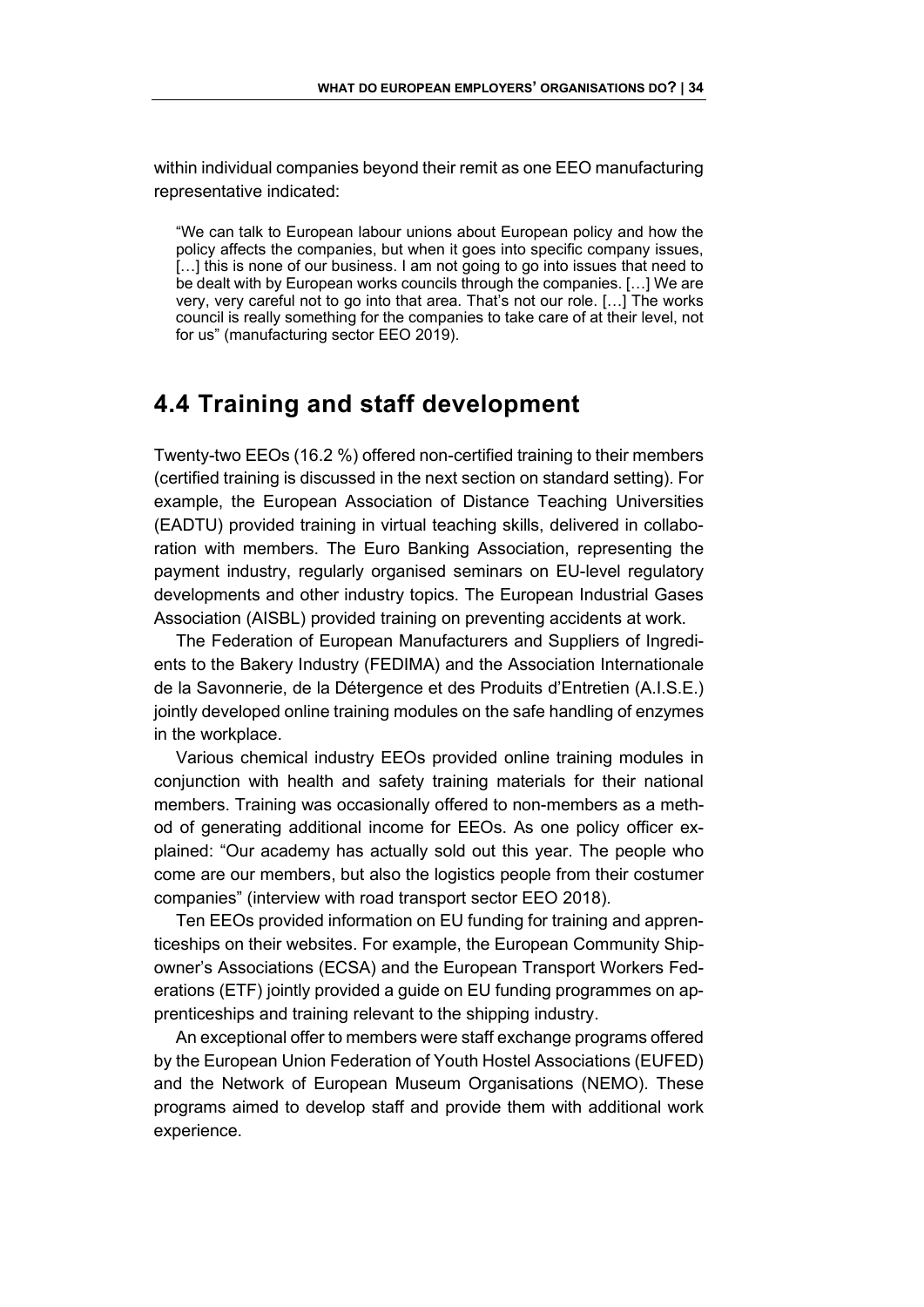within individual companies beyond their remit as one EEO manufacturing representative indicated:

"We can talk to European labour unions about European policy and how the policy affects the companies, but when it goes into specific company issues, [...] this is none of our business. I am not going to go into issues that need to be dealt with by European works councils through the companies. […] We are very, very careful not to go into that area. That's not our role. […] The works council is really something for the companies to take care of at their level, not for us" (manufacturing sector EEO 2019).

### <span id="page-33-0"></span>**4.4 Training and staff development**

Twenty-two EEOs (16.2 %) offered non-certified training to their members (certified training is discussed in the next section on standard setting). For example, the European Association of Distance Teaching Universities (EADTU) provided training in virtual teaching skills, delivered in collaboration with members. The Euro Banking Association, representing the payment industry, regularly organised seminars on EU-level regulatory developments and other industry topics. The European Industrial Gases Association (AISBL) provided training on preventing accidents at work.

The Federation of European Manufacturers and Suppliers of Ingredients to the Bakery Industry (FEDIMA) and the Association Internationale de la Savonnerie, de la Détergence et des Produits d'Entretien (A.I.S.E.) jointly developed online training modules on the safe handling of enzymes in the workplace.

Various chemical industry EEOs provided online training modules in conjunction with health and safety training materials for their national members. Training was occasionally offered to non-members as a method of generating additional income for EEOs. As one policy officer explained: "Our academy has actually sold out this year. The people who come are our members, but also the logistics people from their costumer companies" (interview with road transport sector EEO 2018).

Ten EEOs provided information on EU funding for training and apprenticeships on their websites. For example, the European Community Shipowner's Associations (ECSA) and the European Transport Workers Federations (ETF) jointly provided a guide on EU funding programmes on apprenticeships and training relevant to the shipping industry.

An exceptional offer to members were staff exchange programs offered by the European Union Federation of Youth Hostel Associations (EUFED) and the Network of European Museum Organisations (NEMO). These programs aimed to develop staff and provide them with additional work experience.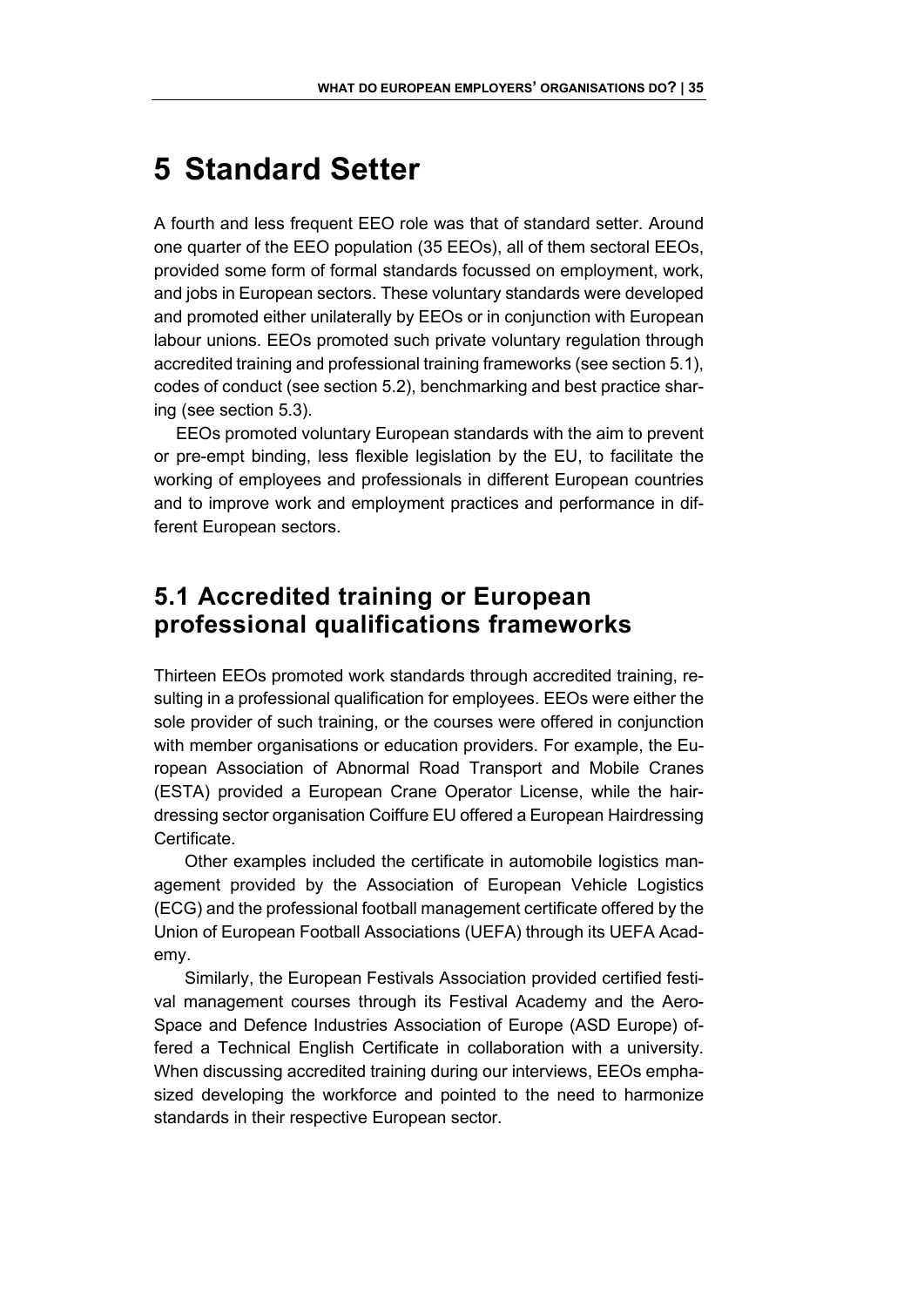# <span id="page-34-0"></span>**5 Standard Setter**

A fourth and less frequent EEO role was that of standard setter. Around one quarter of the EEO population (35 EEOs), all of them sectoral EEOs, provided some form of formal standards focussed on employment, work, and jobs in European sectors. These voluntary standards were developed and promoted either unilaterally by EEOs or in conjunction with European labour unions. EEOs promoted such private voluntary regulation through accredited training and professional training frameworks (see section 5.1), codes of conduct (see section 5.2), benchmarking and best practice sharing (see section 5.3).

EEOs promoted voluntary European standards with the aim to prevent or pre-empt binding, less flexible legislation by the EU, to facilitate the working of employees and professionals in different European countries and to improve work and employment practices and performance in different European sectors.

### <span id="page-34-1"></span>**5.1 Accredited training or European professional qualifications frameworks**

Thirteen EEOs promoted work standards through accredited training, resulting in a professional qualification for employees. EEOs were either the sole provider of such training, or the courses were offered in conjunction with member organisations or education providers. For example, the European Association of Abnormal Road Transport and Mobile Cranes (ESTA) provided a European Crane Operator License, while the hairdressing sector organisation Coiffure EU offered a European Hairdressing Certificate.

Other examples included the certificate in automobile logistics management provided by the Association of European Vehicle Logistics (ECG) and the professional football management certificate offered by the Union of European Football Associations (UEFA) through its UEFA Academy.

Similarly, the European Festivals Association provided certified festival management courses through its Festival Academy and the Aero-Space and Defence Industries Association of Europe (ASD Europe) offered a Technical English Certificate in collaboration with a university. When discussing accredited training during our interviews, EEOs emphasized developing the workforce and pointed to the need to harmonize standards in their respective European sector.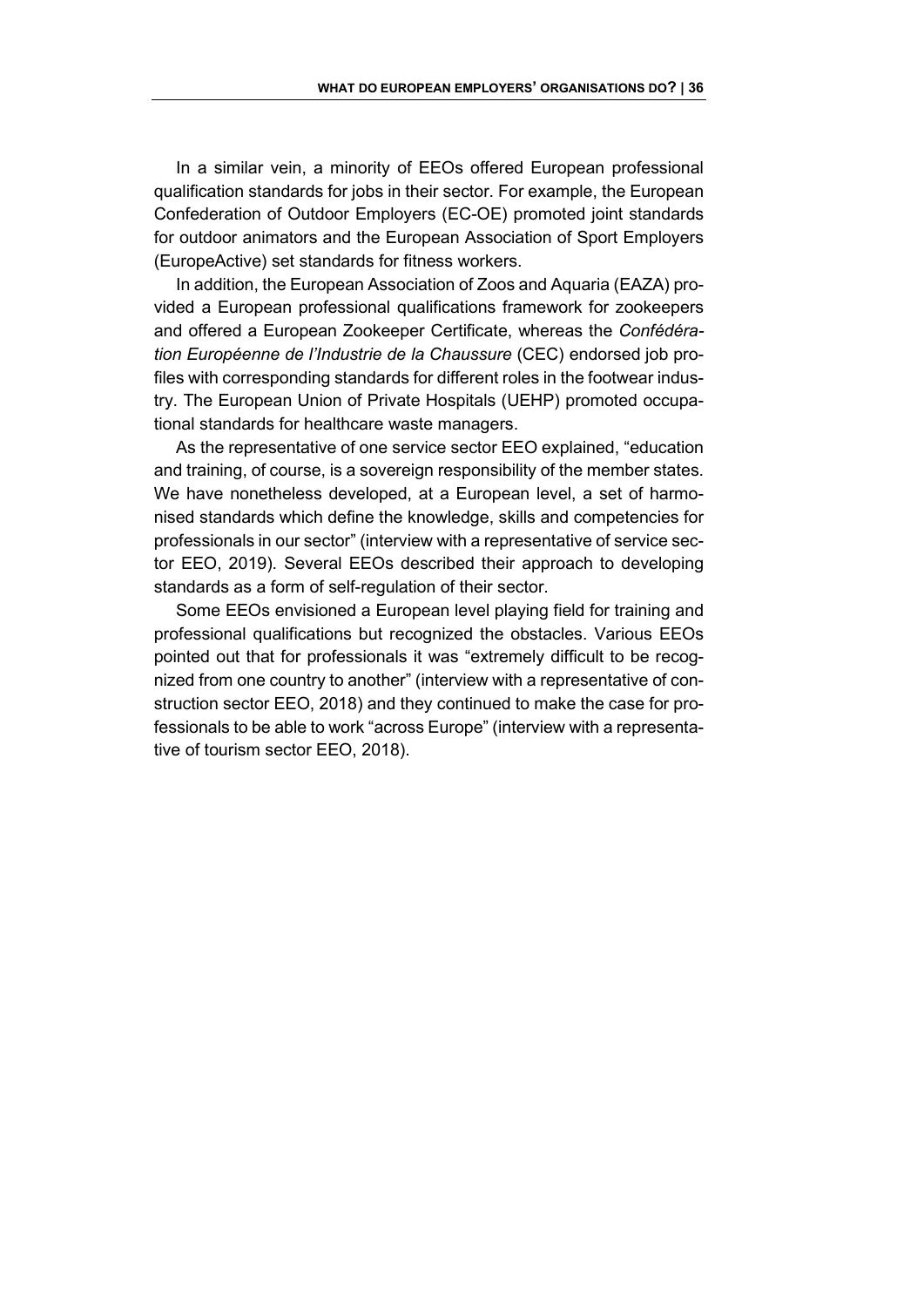In a similar vein, a minority of EEOs offered European professional qualification standards for jobs in their sector. For example, the European Confederation of Outdoor Employers (EC-OE) promoted joint standards for outdoor animators and the European Association of Sport Employers (EuropeActive) set standards for fitness workers.

In addition, the European Association of Zoos and Aquaria (EAZA) provided a European professional qualifications framework for zookeepers and offered a European Zookeeper Certificate, whereas the *Confédération Européenne de l'Industrie de la Chaussure* (CEC) endorsed job profiles with corresponding standards for different roles in the footwear industry. The European Union of Private Hospitals (UEHP) promoted occupational standards for healthcare waste managers.

As the representative of one service sector EEO explained, "education and training, of course, is a sovereign responsibility of the member states. We have nonetheless developed, at a European level, a set of harmonised standards which define the knowledge, skills and competencies for professionals in our sector" (interview with a representative of service sector EEO, 2019). Several EEOs described their approach to developing standards as a form of self-regulation of their sector.

Some EEOs envisioned a European level playing field for training and professional qualifications but recognized the obstacles. Various EEOs pointed out that for professionals it was "extremely difficult to be recognized from one country to another" (interview with a representative of construction sector EEO, 2018) and they continued to make the case for professionals to be able to work "across Europe" (interview with a representative of tourism sector EEO, 2018).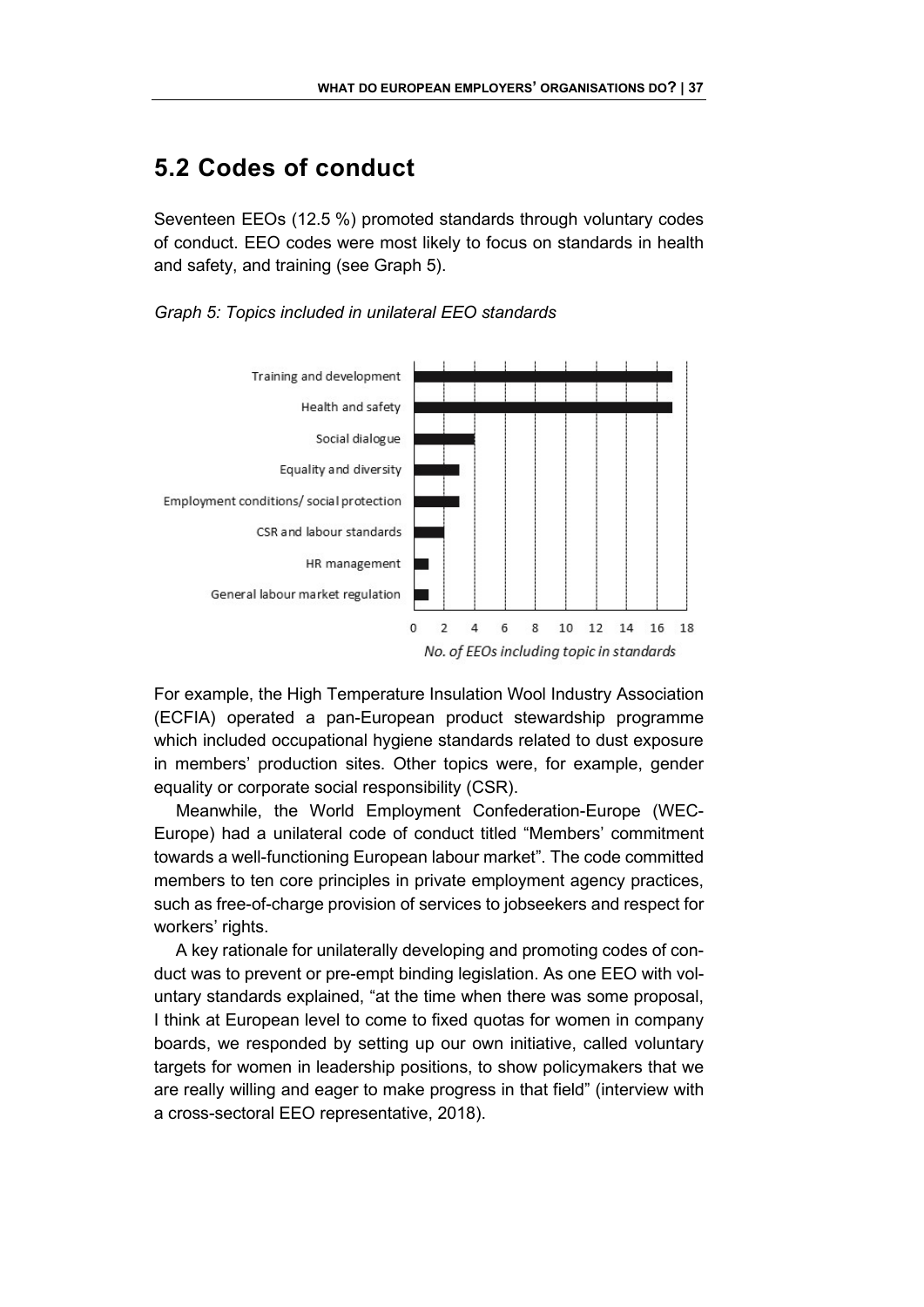#### <span id="page-36-0"></span>**5.2 Codes of conduct**

Seventeen EEOs (12.5 %) promoted standards through voluntary codes of conduct. EEO codes were most likely to focus on standards in health and safety, and training (see Graph 5).

<span id="page-36-1"></span>*Graph 5: Topics included in unilateral EEO standards*



For example, the High Temperature Insulation Wool Industry Association (ECFIA) operated a pan-European product stewardship programme which included occupational hygiene standards related to dust exposure in members' production sites. Other topics were, for example, gender equality or corporate social responsibility (CSR).

Meanwhile, the World Employment Confederation-Europe (WEC-Europe) had a unilateral code of conduct titled "Members' commitment towards a well-functioning European labour market". The code committed members to ten core principles in private employment agency practices, such as free-of-charge provision of services to jobseekers and respect for workers' rights.

A key rationale for unilaterally developing and promoting codes of conduct was to prevent or pre-empt binding legislation. As one EEO with voluntary standards explained, "at the time when there was some proposal, I think at European level to come to fixed quotas for women in company boards, we responded by setting up our own initiative, called voluntary targets for women in leadership positions, to show policymakers that we are really willing and eager to make progress in that field" (interview with a cross-sectoral EEO representative, 2018).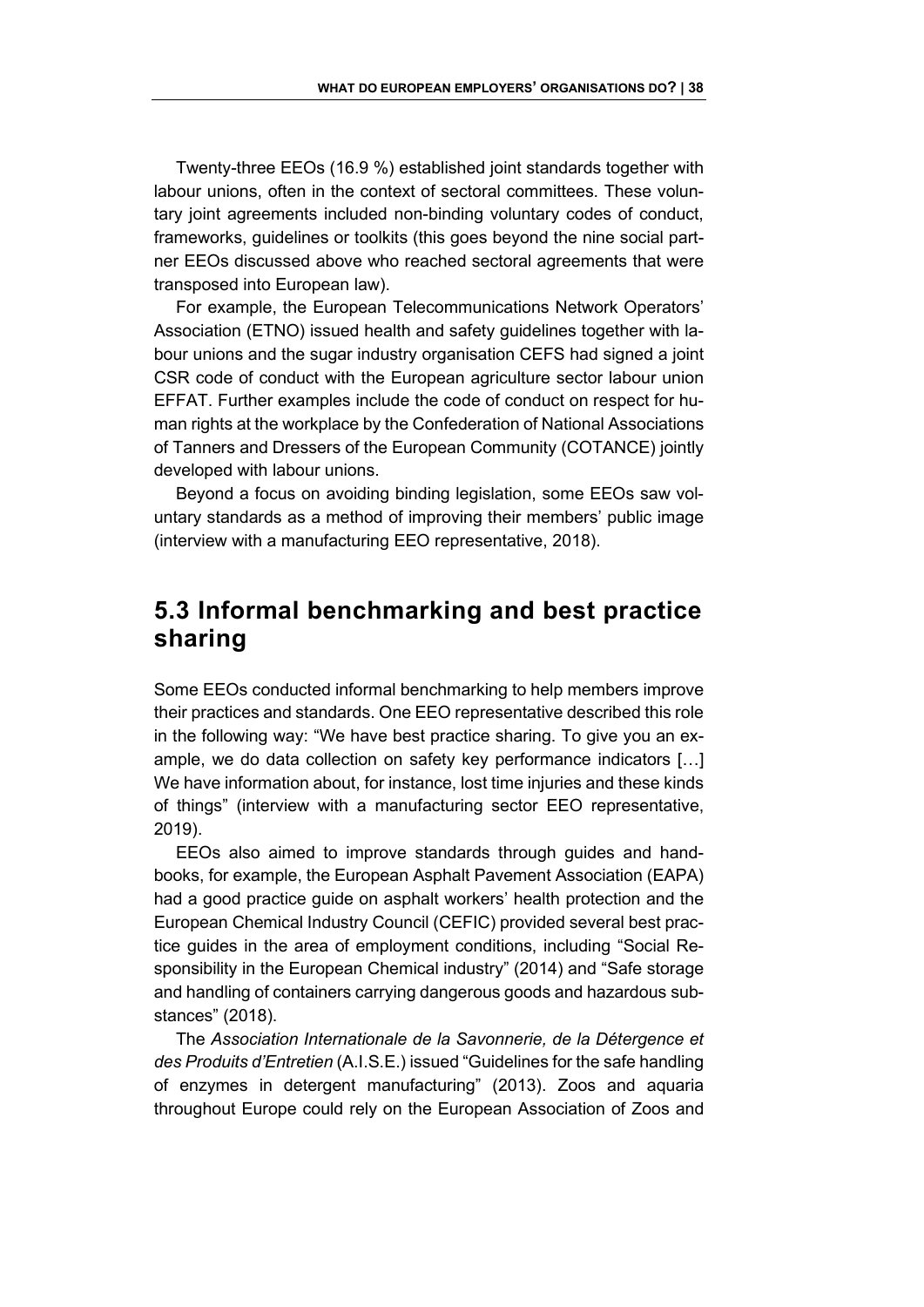Twenty-three EEOs (16.9 %) established joint standards together with labour unions, often in the context of sectoral committees. These voluntary joint agreements included non-binding voluntary codes of conduct. frameworks, guidelines or toolkits (this goes beyond the nine social partner EEOs discussed above who reached sectoral agreements that were transposed into European law).

For example, the European Telecommunications Network Operators' Association (ETNO) issued health and safety guidelines together with labour unions and the sugar industry organisation CEFS had signed a joint CSR code of conduct with the European agriculture sector labour union EFFAT. Further examples include the code of conduct on respect for human rights at the workplace by the Confederation of National Associations of Tanners and Dressers of the European Community (COTANCE) jointly developed with labour unions.

Beyond a focus on avoiding binding legislation, some EEOs saw voluntary standards as a method of improving their members' public image (interview with a manufacturing EEO representative, 2018).

#### <span id="page-37-0"></span>**5.3 Informal benchmarking and best practice sharing**

Some EEOs conducted informal benchmarking to help members improve their practices and standards. One EEO representative described this role in the following way: "We have best practice sharing. To give you an example, we do data collection on safety key performance indicators […] We have information about, for instance, lost time injuries and these kinds of things" (interview with a manufacturing sector EEO representative, 2019).

EEOs also aimed to improve standards through guides and handbooks, for example, the European Asphalt Pavement Association (EAPA) had a good practice guide on asphalt workers' health protection and the European Chemical Industry Council (CEFIC) provided several best practice guides in the area of employment conditions, including "Social Responsibility in the European Chemical industry" (2014) and "Safe storage and handling of containers carrying dangerous goods and hazardous substances" (2018).

The *Association Internationale de la Savonnerie, de la Détergence et des Produits d'Entretien* (A.I.S.E.) issued "Guidelines for the safe handling of enzymes in detergent manufacturing" (2013). Zoos and aquaria throughout Europe could rely on the European Association of Zoos and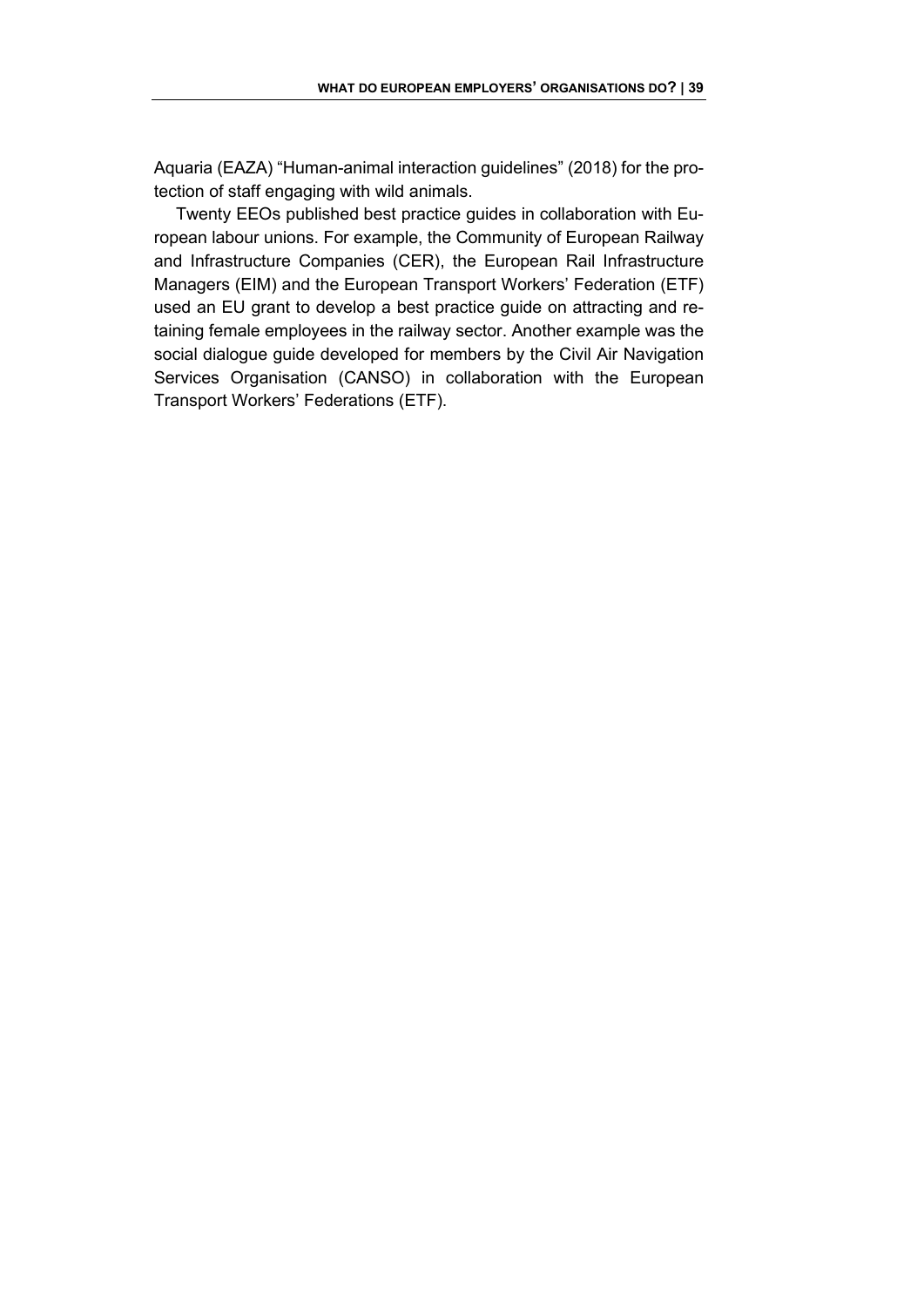Aquaria (EAZA) "Human-animal interaction guidelines" (2018) for the protection of staff engaging with wild animals.

Twenty EEOs published best practice guides in collaboration with European labour unions. For example, the Community of European Railway and Infrastructure Companies (CER), the European Rail Infrastructure Managers (EIM) and the European Transport Workers' Federation (ETF) used an EU grant to develop a best practice guide on attracting and retaining female employees in the railway sector. Another example was the social dialogue guide developed for members by the Civil Air Navigation Services Organisation (CANSO) in collaboration with the European Transport Workers' Federations (ETF).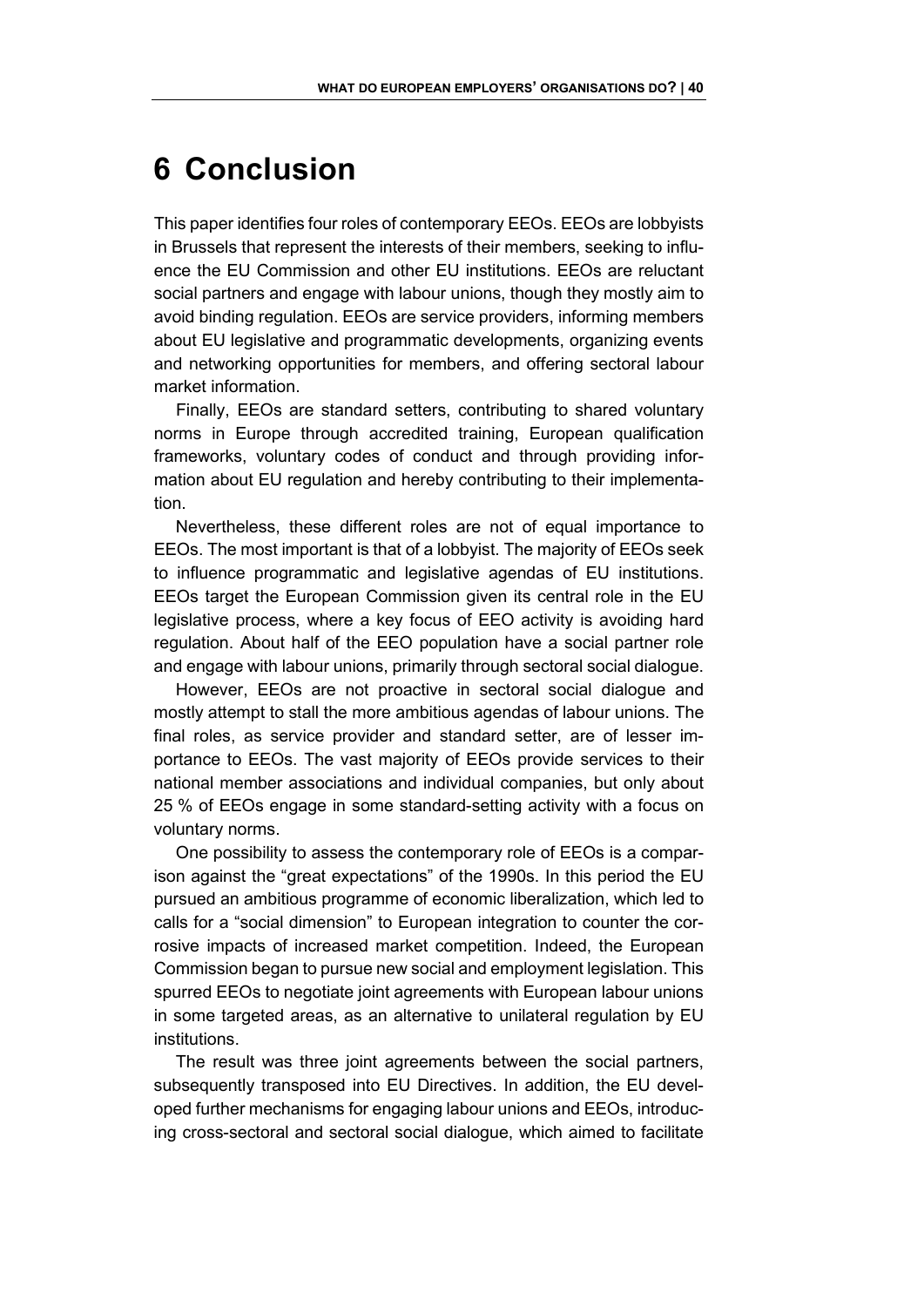# <span id="page-39-0"></span>**6 Conclusion**

This paper identifies four roles of contemporary EEOs. EEOs are lobbyists in Brussels that represent the interests of their members, seeking to influence the EU Commission and other EU institutions. EEOs are reluctant social partners and engage with labour unions, though they mostly aim to avoid binding regulation. EEOs are service providers, informing members about EU legislative and programmatic developments, organizing events and networking opportunities for members, and offering sectoral labour market information.

Finally, EEOs are standard setters, contributing to shared voluntary norms in Europe through accredited training, European qualification frameworks, voluntary codes of conduct and through providing information about EU regulation and hereby contributing to their implementation.

Nevertheless, these different roles are not of equal importance to EEOs. The most important is that of a lobbyist. The majority of EEOs seek to influence programmatic and legislative agendas of EU institutions. EEOs target the European Commission given its central role in the EU legislative process, where a key focus of EEO activity is avoiding hard regulation. About half of the EEO population have a social partner role and engage with labour unions, primarily through sectoral social dialogue.

However, EEOs are not proactive in sectoral social dialogue and mostly attempt to stall the more ambitious agendas of labour unions. The final roles, as service provider and standard setter, are of lesser importance to EEOs. The vast majority of EEOs provide services to their national member associations and individual companies, but only about 25 % of EEOs engage in some standard-setting activity with a focus on voluntary norms.

One possibility to assess the contemporary role of EEOs is a comparison against the "great expectations" of the 1990s. In this period the EU pursued an ambitious programme of economic liberalization, which led to calls for a "social dimension" to European integration to counter the corrosive impacts of increased market competition. Indeed, the European Commission began to pursue new social and employment legislation. This spurred EEOs to negotiate joint agreements with European labour unions in some targeted areas, as an alternative to unilateral regulation by EU institutions.

The result was three joint agreements between the social partners, subsequently transposed into EU Directives. In addition, the EU developed further mechanisms for engaging labour unions and EEOs, introducing cross-sectoral and sectoral social dialogue, which aimed to facilitate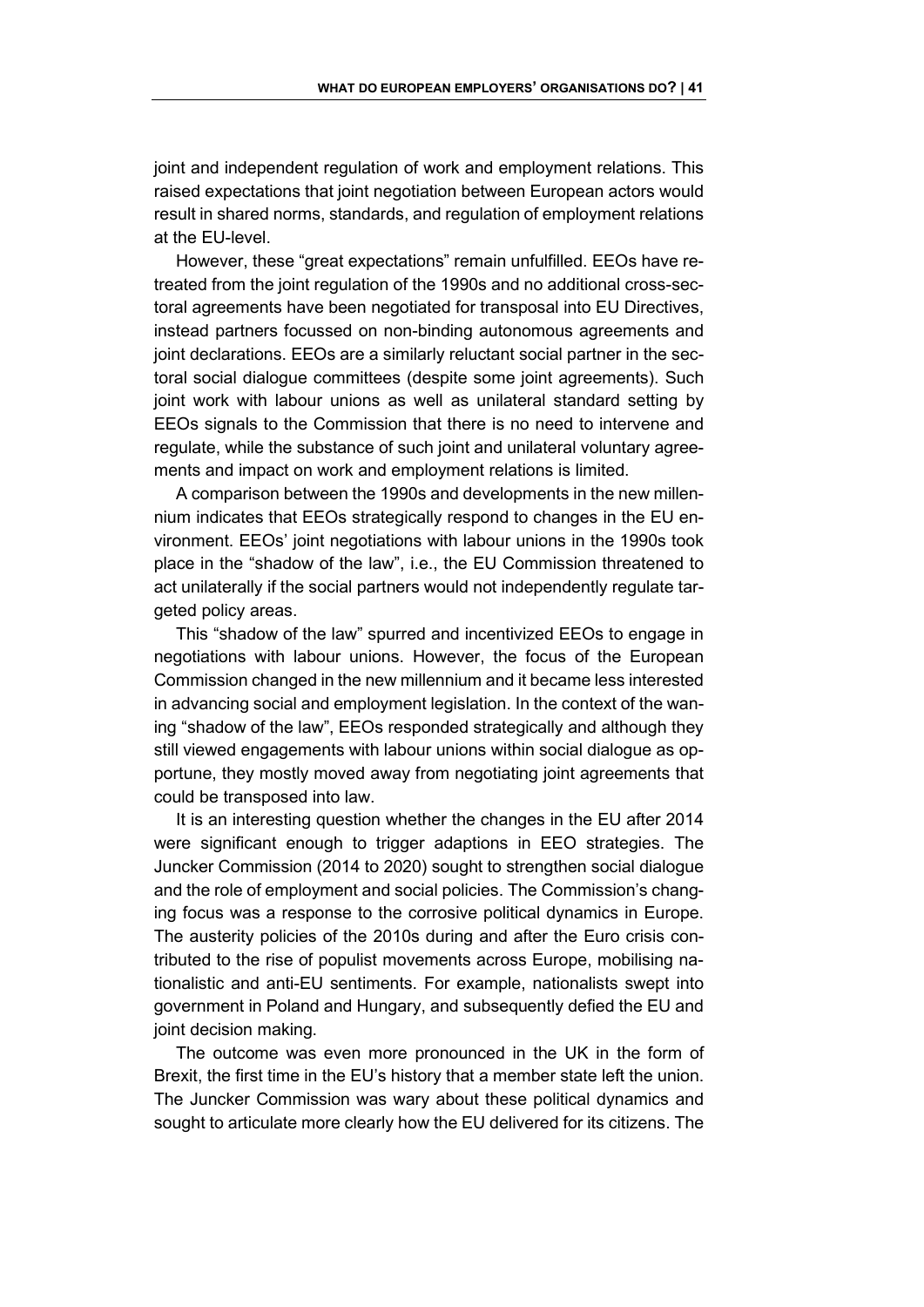joint and independent regulation of work and employment relations. This raised expectations that joint negotiation between European actors would result in shared norms, standards, and regulation of employment relations at the EU-level.

However, these "great expectations" remain unfulfilled. EEOs have retreated from the joint regulation of the 1990s and no additional cross-sectoral agreements have been negotiated for transposal into EU Directives, instead partners focussed on non-binding autonomous agreements and joint declarations. EEOs are a similarly reluctant social partner in the sectoral social dialogue committees (despite some joint agreements). Such joint work with labour unions as well as unilateral standard setting by EEOs signals to the Commission that there is no need to intervene and regulate, while the substance of such joint and unilateral voluntary agreements and impact on work and employment relations is limited.

A comparison between the 1990s and developments in the new millennium indicates that EEOs strategically respond to changes in the EU environment. EEOs' joint negotiations with labour unions in the 1990s took place in the "shadow of the law", i.e., the EU Commission threatened to act unilaterally if the social partners would not independently regulate targeted policy areas.

This "shadow of the law" spurred and incentivized EEOs to engage in negotiations with labour unions. However, the focus of the European Commission changed in the new millennium and it became less interested in advancing social and employment legislation. In the context of the waning "shadow of the law", EEOs responded strategically and although they still viewed engagements with labour unions within social dialogue as opportune, they mostly moved away from negotiating joint agreements that could be transposed into law.

It is an interesting question whether the changes in the EU after 2014 were significant enough to trigger adaptions in EEO strategies. The Juncker Commission (2014 to 2020) sought to strengthen social dialogue and the role of employment and social policies. The Commission's changing focus was a response to the corrosive political dynamics in Europe. The austerity policies of the 2010s during and after the Euro crisis contributed to the rise of populist movements across Europe, mobilising nationalistic and anti-EU sentiments. For example, nationalists swept into government in Poland and Hungary, and subsequently defied the EU and joint decision making.

The outcome was even more pronounced in the UK in the form of Brexit, the first time in the EU's history that a member state left the union. The Juncker Commission was wary about these political dynamics and sought to articulate more clearly how the EU delivered for its citizens. The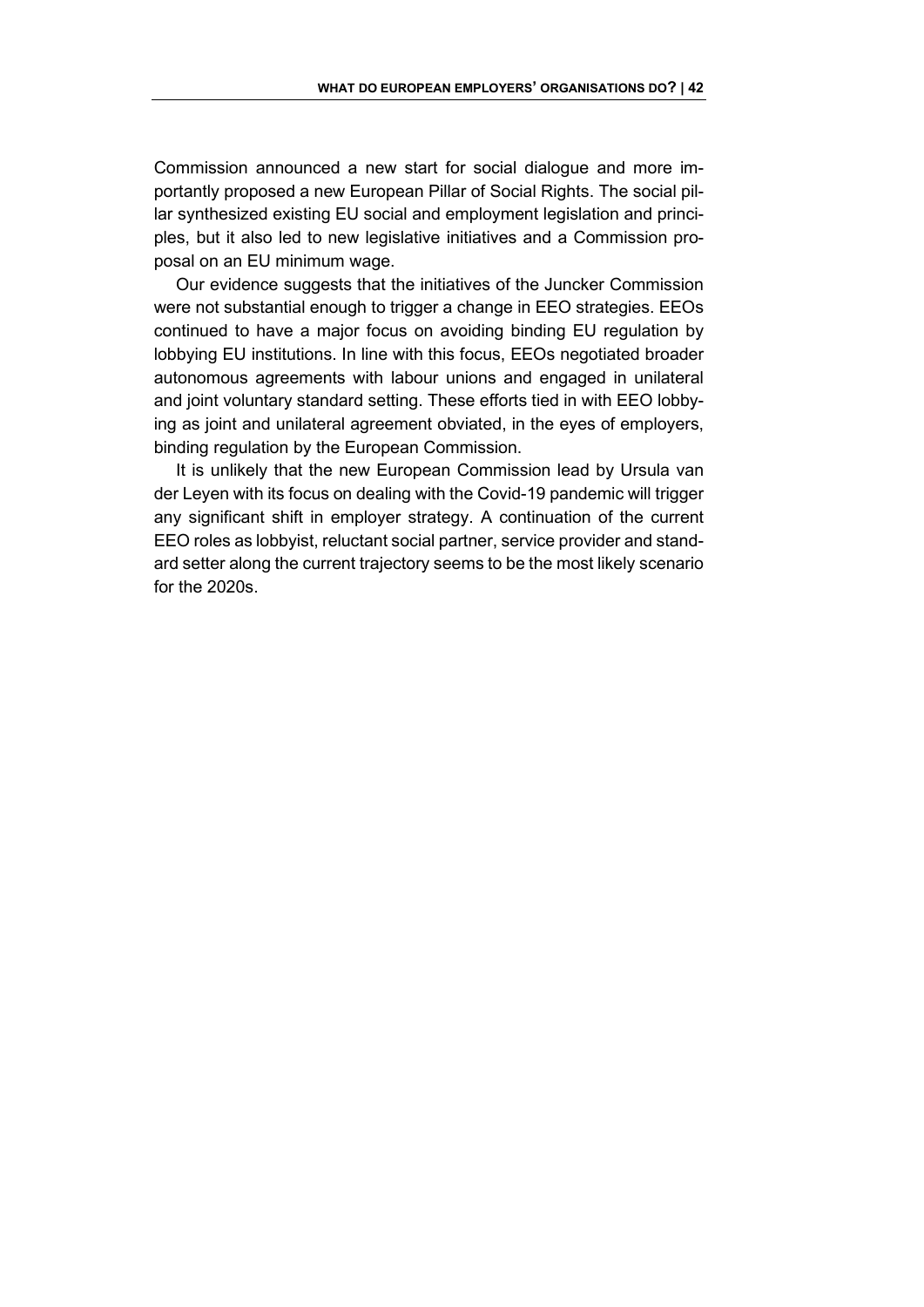Commission announced a new start for social dialogue and more importantly proposed a new European Pillar of Social Rights. The social pillar synthesized existing EU social and employment legislation and principles, but it also led to new legislative initiatives and a Commission proposal on an EU minimum wage.

Our evidence suggests that the initiatives of the Juncker Commission were not substantial enough to trigger a change in EEO strategies. EEOs continued to have a major focus on avoiding binding EU regulation by lobbying EU institutions. In line with this focus, EEOs negotiated broader autonomous agreements with labour unions and engaged in unilateral and joint voluntary standard setting. These efforts tied in with EEO lobbying as joint and unilateral agreement obviated, in the eyes of employers, binding regulation by the European Commission.

It is unlikely that the new European Commission lead by Ursula van der Leyen with its focus on dealing with the Covid-19 pandemic will trigger any significant shift in employer strategy. A continuation of the current EEO roles as lobbyist, reluctant social partner, service provider and standard setter along the current trajectory seems to be the most likely scenario for the 2020s.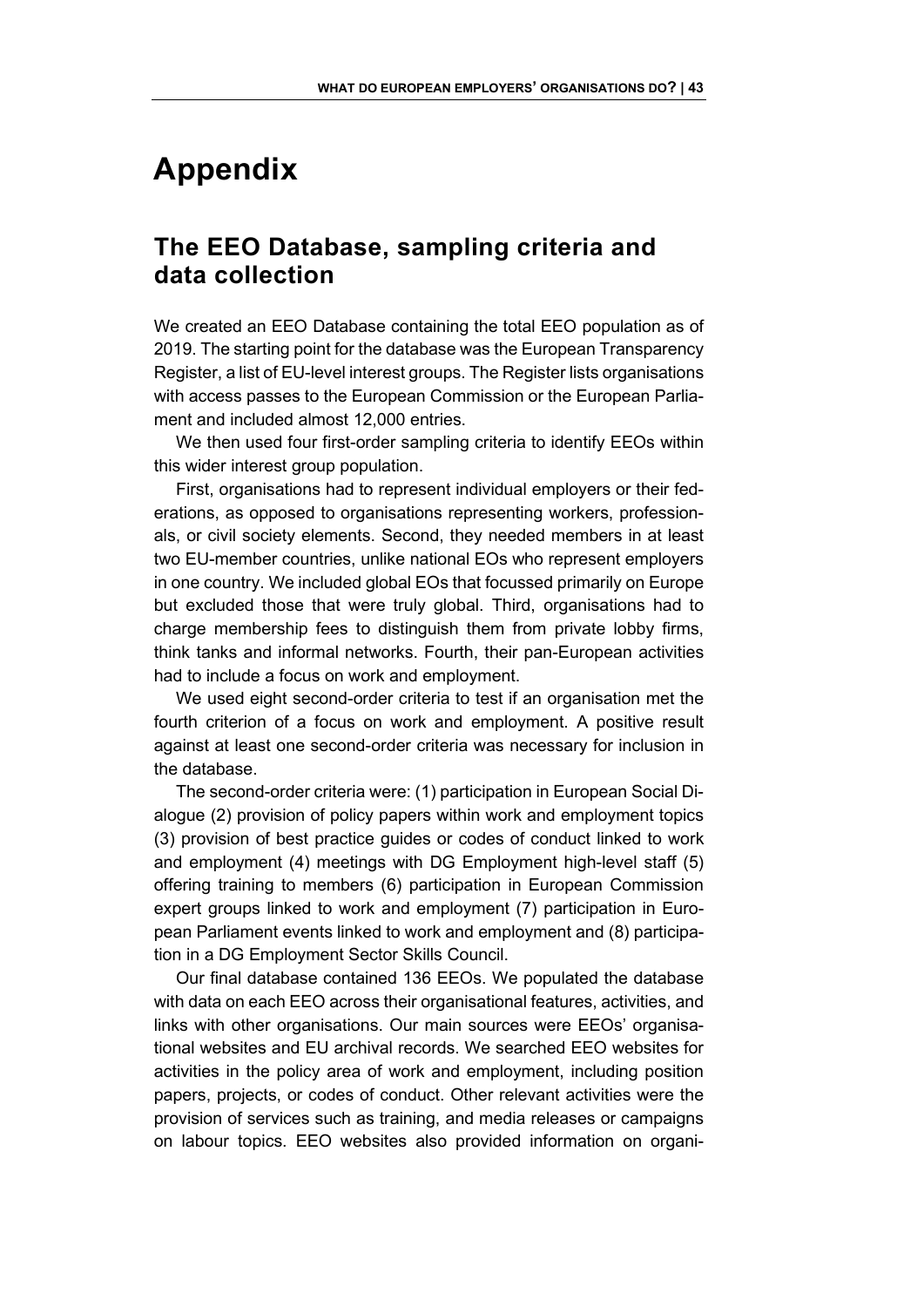# <span id="page-42-0"></span>**Appendix**

#### <span id="page-42-1"></span>**The EEO Database, sampling criteria and data collection**

We created an EEO Database containing the total EEO population as of 2019. The starting point for the database was the European Transparency Register, a list of EU-level interest groups. The Register lists organisations with access passes to the European Commission or the European Parliament and included almost 12,000 entries.

We then used four first-order sampling criteria to identify EEOs within this wider interest group population.

First, organisations had to represent individual employers or their federations, as opposed to organisations representing workers, professionals, or civil society elements. Second, they needed members in at least two EU-member countries, unlike national EOs who represent employers in one country. We included global EOs that focussed primarily on Europe but excluded those that were truly global. Third, organisations had to charge membership fees to distinguish them from private lobby firms, think tanks and informal networks. Fourth, their pan-European activities had to include a focus on work and employment.

We used eight second-order criteria to test if an organisation met the fourth criterion of a focus on work and employment. A positive result against at least one second-order criteria was necessary for inclusion in the database.

The second-order criteria were: (1) participation in European Social Dialogue (2) provision of policy papers within work and employment topics (3) provision of best practice guides or codes of conduct linked to work and employment (4) meetings with DG Employment high-level staff (5) offering training to members (6) participation in European Commission expert groups linked to work and employment (7) participation in European Parliament events linked to work and employment and (8) participation in a DG Employment Sector Skills Council.

Our final database contained 136 EEOs. We populated the database with data on each EEO across their organisational features, activities, and links with other organisations. Our main sources were EEOs' organisational websites and EU archival records. We searched EEO websites for activities in the policy area of work and employment, including position papers, projects, or codes of conduct. Other relevant activities were the provision of services such as training, and media releases or campaigns on labour topics. EEO websites also provided information on organi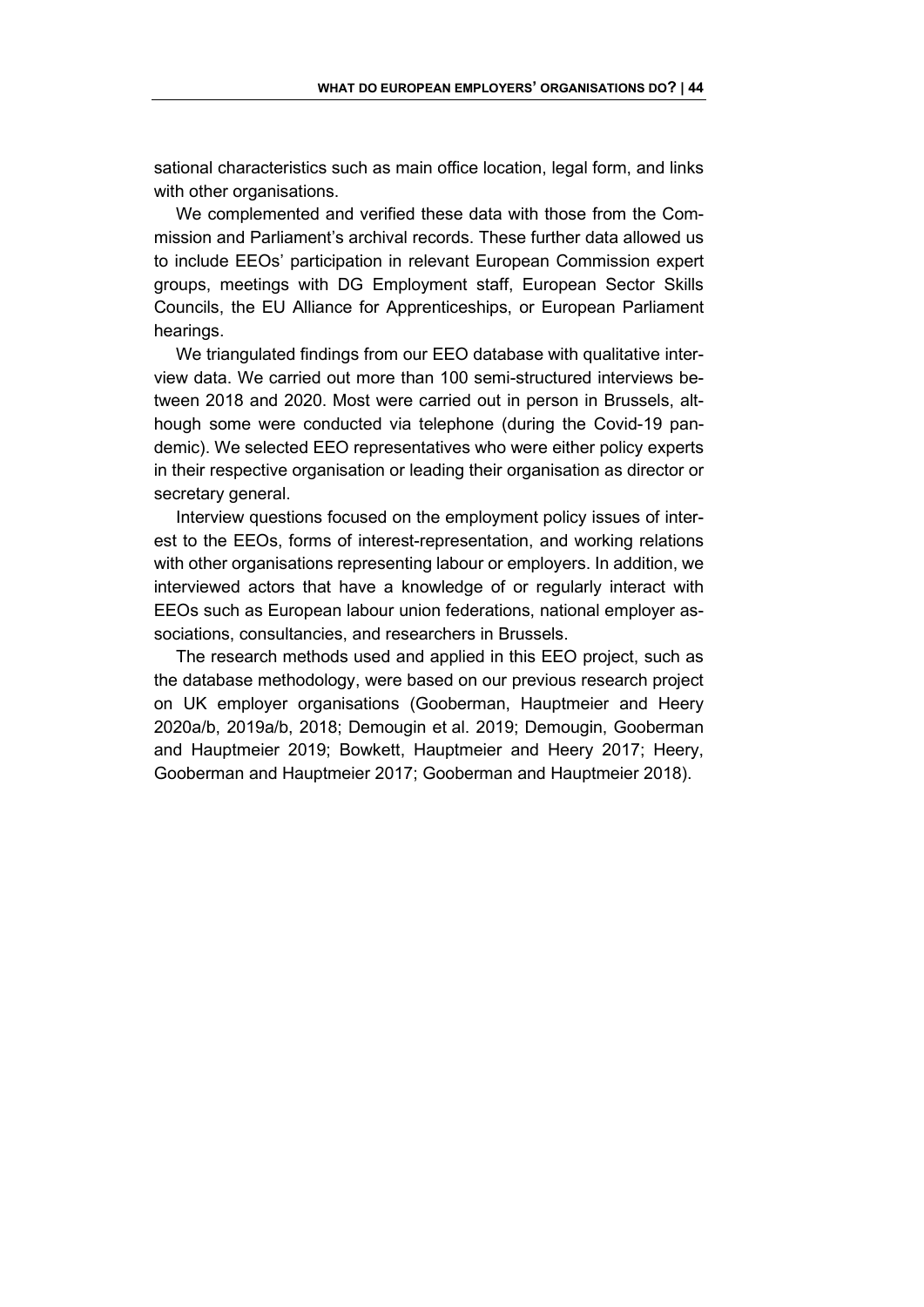sational characteristics such as main office location, legal form, and links with other organisations.

We complemented and verified these data with those from the Commission and Parliament's archival records. These further data allowed us to include EEOs' participation in relevant European Commission expert groups, meetings with DG Employment staff, European Sector Skills Councils, the EU Alliance for Apprenticeships, or European Parliament hearings.

We triangulated findings from our EEO database with qualitative interview data. We carried out more than 100 semi-structured interviews between 2018 and 2020. Most were carried out in person in Brussels, although some were conducted via telephone (during the Covid-19 pandemic). We selected EEO representatives who were either policy experts in their respective organisation or leading their organisation as director or secretary general.

Interview questions focused on the employment policy issues of interest to the EEOs, forms of interest-representation, and working relations with other organisations representing labour or employers. In addition, we interviewed actors that have a knowledge of or regularly interact with EEOs such as European labour union federations, national employer associations, consultancies, and researchers in Brussels.

The research methods used and applied in this EEO project, such as the database methodology, were based on our previous research project on UK employer organisations (Gooberman, Hauptmeier and Heery 2020a/b, 2019a/b, 2018; Demougin et al. 2019; Demougin, Gooberman and Hauptmeier 2019; Bowkett, Hauptmeier and Heery 2017; Heery, Gooberman and Hauptmeier 2017; Gooberman and Hauptmeier 2018).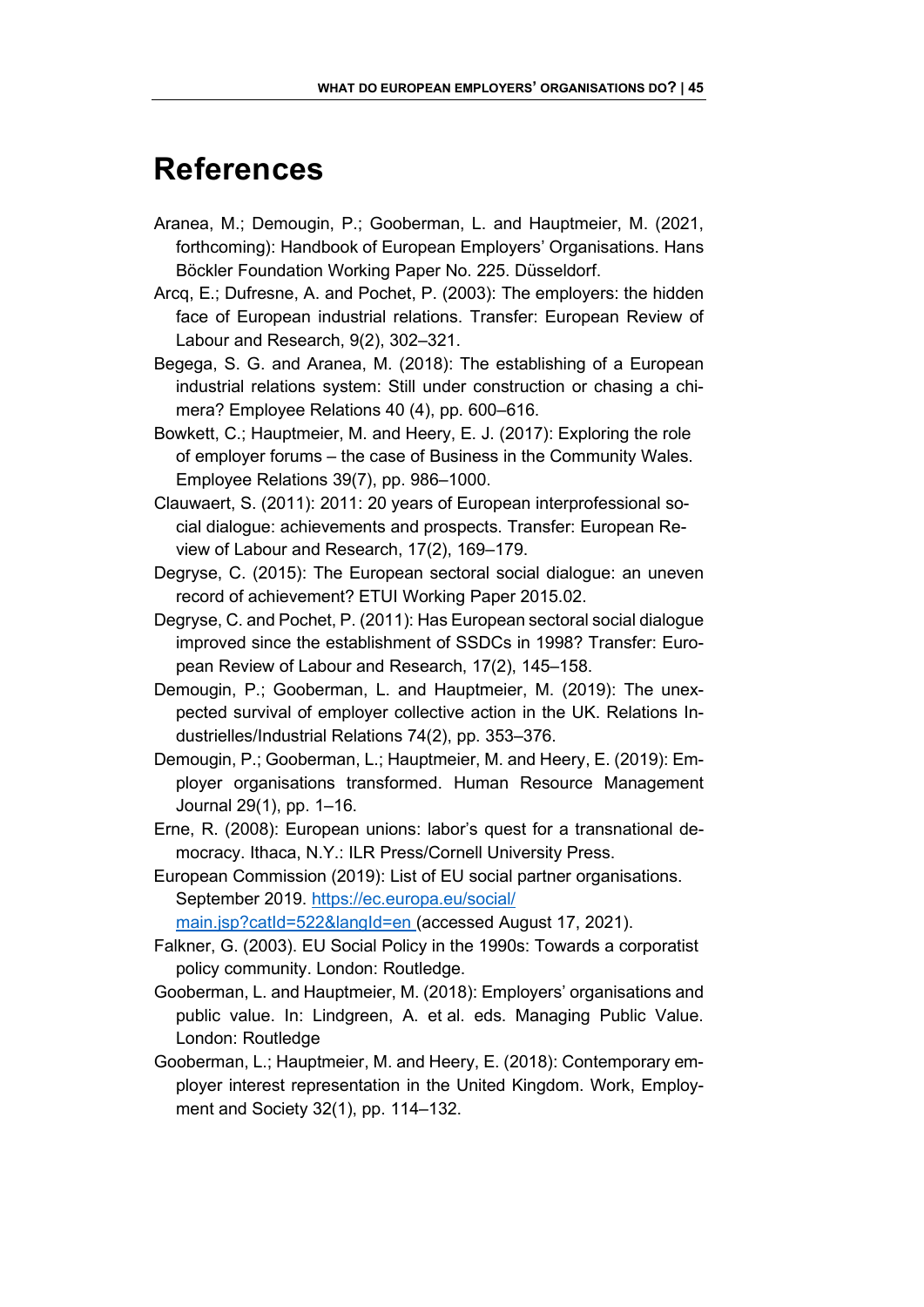# <span id="page-44-0"></span>**References**

- Aranea, M.; Demougin, P.; Gooberman, L. and Hauptmeier, M. (2021, forthcoming): Handbook of European Employers' Organisations. Hans Böckler Foundation Working Paper No. 225. Düsseldorf.
- Arcq, E.; Dufresne, A. and Pochet, P. (2003): The employers: the hidden face of European industrial relations. Transfer: European Review of Labour and Research, 9(2), 302–321.
- Begega, S. G. and Aranea, M. (2018): The establishing of a European industrial relations system: Still under construction or chasing a chimera? Employee Relations 40 (4), pp. 600–616.
- Bowkett, C.; Hauptmeier, M. and Heery, E. J. (2017): Exploring the role of employer forums – the case of Business in the Community Wales. Employee Relations 39(7), pp. 986–1000.
- Clauwaert, S. (2011): 2011: 20 years of European interprofessional social dialogue: achievements and prospects. Transfer: European Review of Labour and Research, 17(2), 169–179.
- Degryse, C. (2015): The European sectoral social dialogue: an uneven record of achievement? ETUI Working Paper 2015.02.
- Degryse, C. and Pochet, P. (2011): Has European sectoral social dialogue improved since the establishment of SSDCs in 1998? Transfer: European Review of Labour and Research, 17(2), 145–158.
- Demougin, P.; Gooberman, L. and Hauptmeier, M. (2019): The unexpected survival of employer collective action in the UK. Relations Industrielles/Industrial Relations 74(2), pp. 353–376.
- Demougin, P.; Gooberman, L.; Hauptmeier, M. and Heery, E. (2019): Employer organisations transformed. Human Resource Management Journal 29(1), pp. 1–16.
- Erne, R. (2008): European unions: labor's quest for a transnational democracy. Ithaca, N.Y.: ILR Press/Cornell University Press.
- European Commission (2019): List of EU social partner organisations. September 2019. [https://ec.europa.eu/social/](https://ec.europa.eu/social/main.jsp?catId=522&langId=en)

[main.jsp?catId=522&langId=en](https://ec.europa.eu/social/main.jsp?catId=522&langId=en) (accessed August 17, 2021).

- Falkner, G. (2003). EU Social Policy in the 1990s: Towards a corporatist policy community. London: Routledge.
- Gooberman, L. and Hauptmeier, M. (2018): Employers' organisations and public value. In: Lindgreen, A. et al. eds. Managing Public Value. London: Routledge
- Gooberman, L.; Hauptmeier, M. and Heery, E. (2018): Contemporary employer interest representation in the United Kingdom. Work, Employment and Society 32(1), pp. 114–132.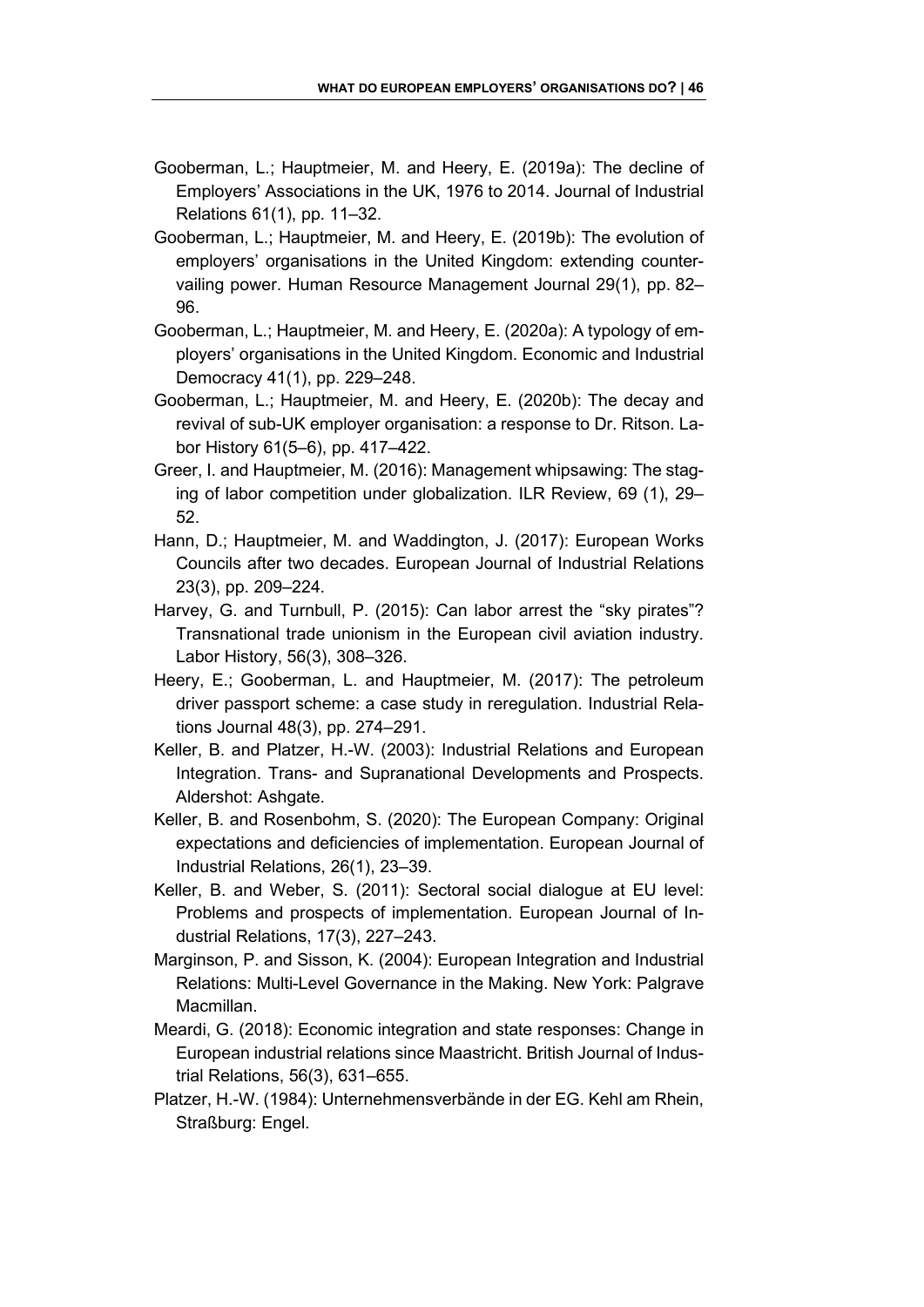- Gooberman, L.; Hauptmeier, M. and Heery, E. (2019a): The decline of Employers' Associations in the UK, 1976 to 2014. Journal of Industrial Relations 61(1), pp. 11–32.
- Gooberman, L.; Hauptmeier, M. and Heery, E. (2019b): The evolution of employers' organisations in the United Kingdom: extending countervailing power. Human Resource Management Journal 29(1), pp. 82– 96.
- Gooberman, L.; Hauptmeier, M. and Heery, E. (2020a): A typology of employers' organisations in the United Kingdom. Economic and Industrial Democracy 41(1), pp. 229–248.
- Gooberman, L.; Hauptmeier, M. and Heery, E. (2020b): The decay and revival of sub-UK employer organisation: a response to Dr. Ritson. Labor History 61(5–6), pp. 417–422.
- Greer, I. and Hauptmeier, M. (2016): Management whipsawing: The staging of labor competition under globalization. ILR Review, 69 (1), 29– 52.
- Hann, D.; Hauptmeier, M. and Waddington, J. (2017): European Works Councils after two decades. European Journal of Industrial Relations 23(3), pp. 209–224.
- Harvey, G. and Turnbull, P. (2015): Can labor arrest the "sky pirates"? Transnational trade unionism in the European civil aviation industry. Labor History, 56(3), 308–326.
- Heery, E.; Gooberman, L. and Hauptmeier, M. (2017): The petroleum driver passport scheme: a case study in reregulation. Industrial Relations Journal 48(3), pp. 274–291.
- Keller, B. and Platzer, H.-W. (2003): Industrial Relations and European Integration. Trans- and Supranational Developments and Prospects. Aldershot: Ashgate.
- Keller, B. and Rosenbohm, S. (2020): The European Company: Original expectations and deficiencies of implementation. European Journal of Industrial Relations, 26(1), 23–39.
- Keller, B. and Weber, S. (2011): Sectoral social dialogue at EU level: Problems and prospects of implementation. European Journal of Industrial Relations, 17(3), 227–243.
- Marginson, P. and Sisson, K. (2004): European Integration and Industrial Relations: Multi-Level Governance in the Making. New York: Palgrave Macmillan.
- Meardi, G. (2018): Economic integration and state responses: Change in European industrial relations since Maastricht. British Journal of Industrial Relations, 56(3), 631–655.
- Platzer, H.-W. (1984): Unternehmensverbände in der EG. Kehl am Rhein, Straßburg: Engel.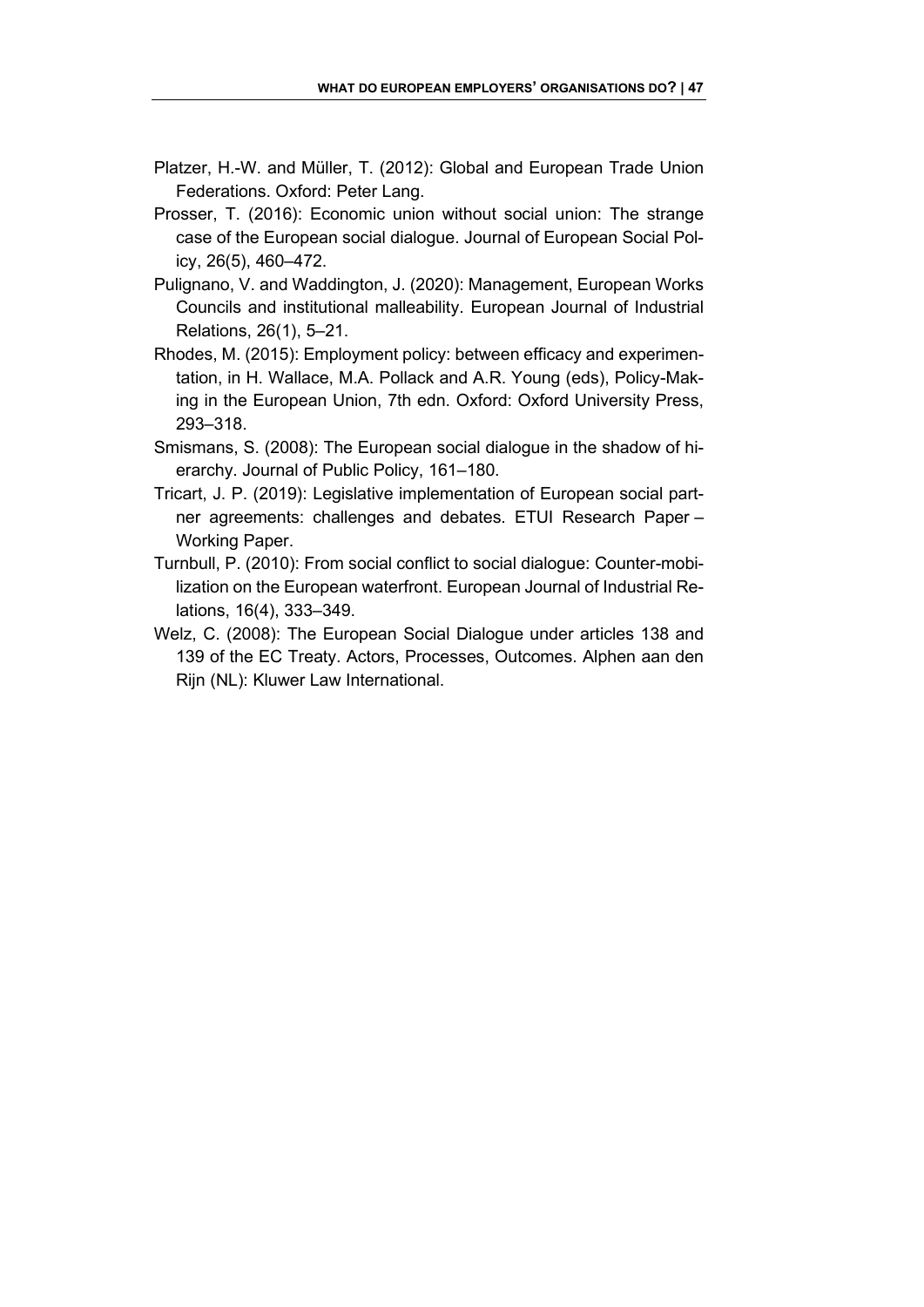- Platzer, H.-W. and Müller, T. (2012): Global and European Trade Union Federations. Oxford: Peter Lang.
- Prosser, T. (2016): Economic union without social union: The strange case of the European social dialogue. Journal of European Social Policy, 26(5), 460–472.
- Pulignano, V. and Waddington, J. (2020): Management, European Works Councils and institutional malleability. European Journal of Industrial Relations, 26(1), 5–21.
- Rhodes, M. (2015): Employment policy: between efficacy and experimentation, in H. Wallace, M.A. Pollack and A.R. Young (eds), Policy-Making in the European Union, 7th edn. Oxford: Oxford University Press, 293–318.
- Smismans, S. (2008): The European social dialogue in the shadow of hierarchy. Journal of Public Policy, 161–180.
- Tricart, J. P. (2019): Legislative implementation of European social partner agreements: challenges and debates. ETUI Research Paper – Working Paper.
- Turnbull, P. (2010): From social conflict to social dialogue: Counter-mobilization on the European waterfront. European Journal of Industrial Relations, 16(4), 333–349.
- Welz, C. (2008): The European Social Dialogue under articles 138 and 139 of the EC Treaty. Actors, Processes, Outcomes. Alphen aan den Rijn (NL): Kluwer Law International.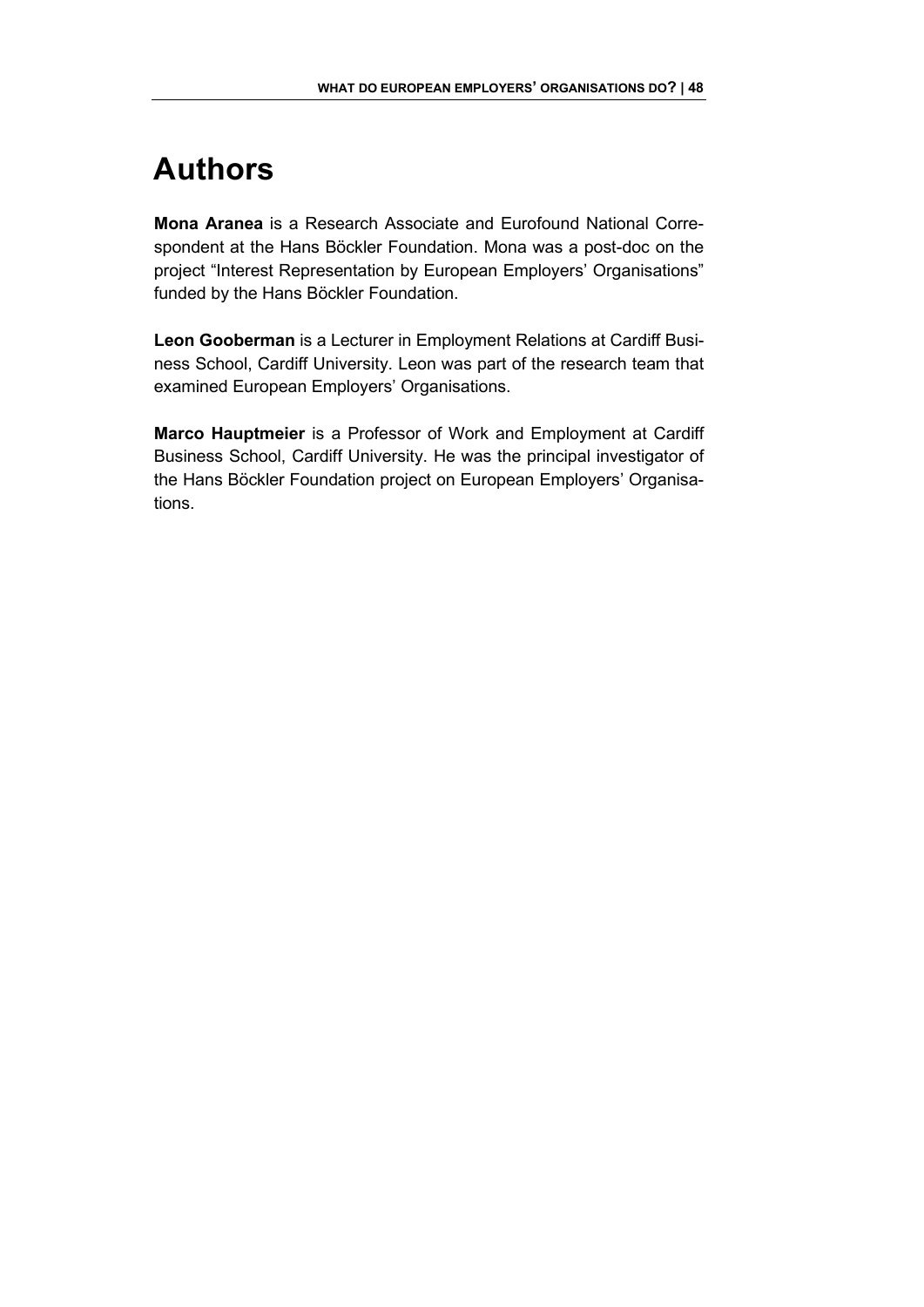# <span id="page-47-0"></span>**Authors**

**Mona Aranea** is a Research Associate and Eurofound National Correspondent at the Hans Böckler Foundation. Mona was a post-doc on the project "Interest Representation by European Employers' Organisations" funded by the Hans Böckler Foundation.

**Leon Gooberman** is a Lecturer in Employment Relations at Cardiff Business School, Cardiff University. Leon was part of the research team that examined European Employers' Organisations.

**Marco Hauptmeier** is a Professor of Work and Employment at Cardiff Business School, Cardiff University. He was the principal investigator of the Hans Böckler Foundation project on European Employers' Organisations.